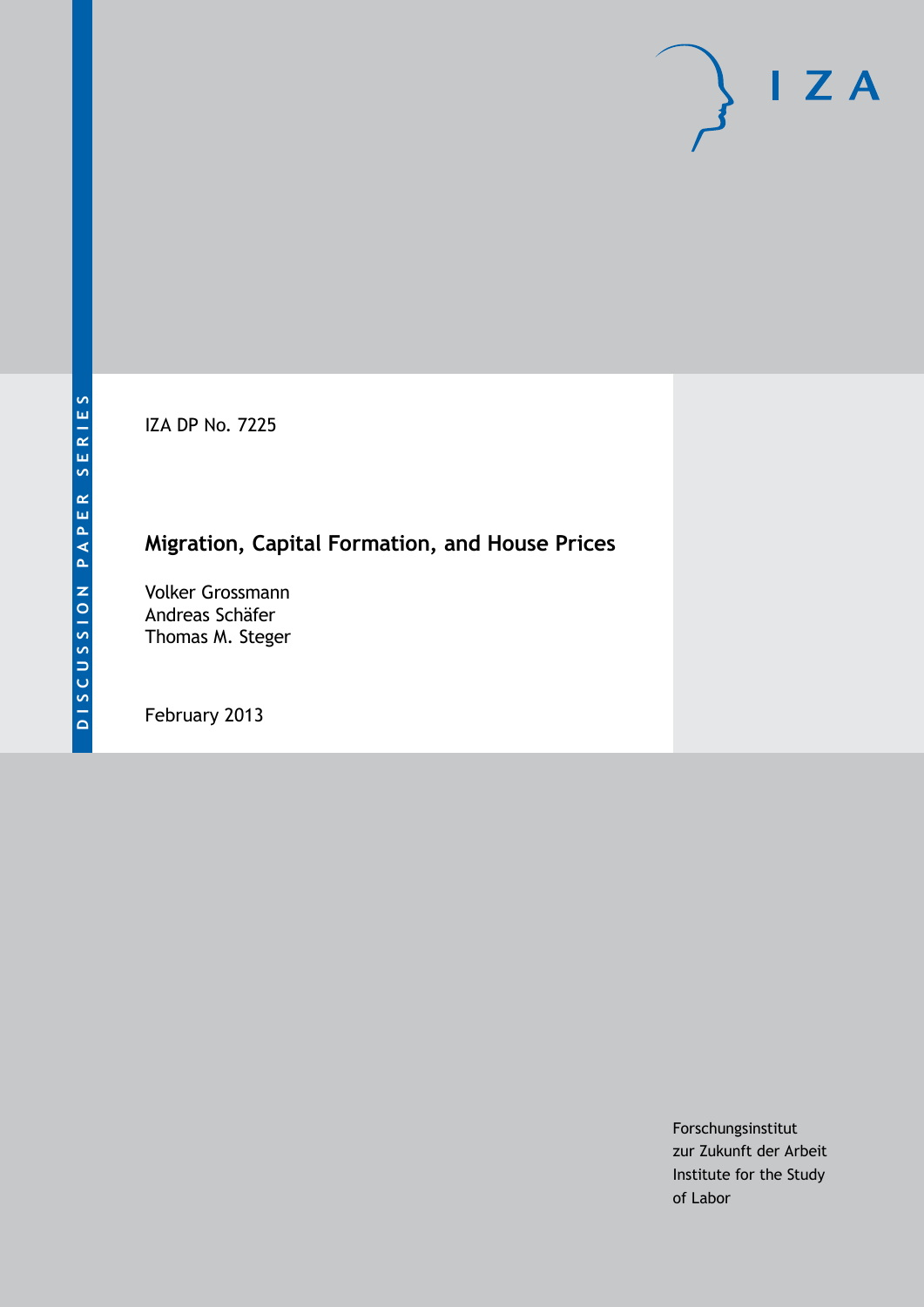IZA DP No. 7225

# **Migration, Capital Formation, and House Prices**

Volker Grossmann Andreas Schäfer Thomas M. Steger

February 2013

Forschungsinstitut zur Zukunft der Arbeit Institute for the Study of Labor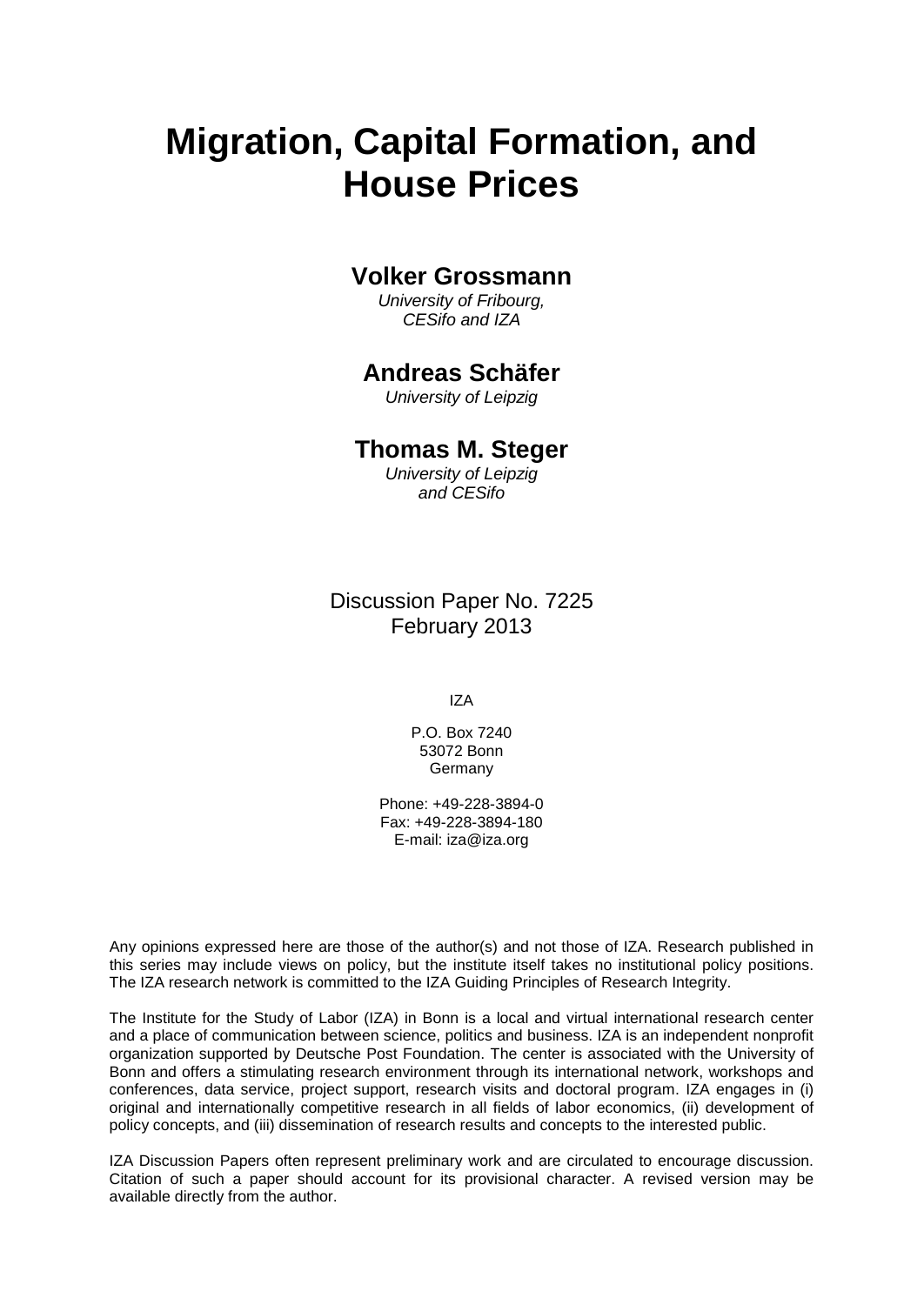# **Migration, Capital Formation, and House Prices**

### **Volker Grossmann**

*University of Fribourg, CESifo and IZA*

### **Andreas Schäfer**

*University of Leipzig*

#### **Thomas M. Steger**

*University of Leipzig and CESifo*

Discussion Paper No. 7225 February 2013

IZA

P.O. Box 7240 53072 Bonn Germany

Phone: +49-228-3894-0 Fax: +49-228-3894-180 E-mail: [iza@iza.org](mailto:iza@iza.org)

Any opinions expressed here are those of the author(s) and not those of IZA. Research published in this series may include views on policy, but the institute itself takes no institutional policy positions. The IZA research network is committed to the IZA Guiding Principles of Research Integrity.

The Institute for the Study of Labor (IZA) in Bonn is a local and virtual international research center and a place of communication between science, politics and business. IZA is an independent nonprofit organization supported by Deutsche Post Foundation. The center is associated with the University of Bonn and offers a stimulating research environment through its international network, workshops and conferences, data service, project support, research visits and doctoral program. IZA engages in (i) original and internationally competitive research in all fields of labor economics, (ii) development of policy concepts, and (iii) dissemination of research results and concepts to the interested public.

IZA Discussion Papers often represent preliminary work and are circulated to encourage discussion. Citation of such a paper should account for its provisional character. A revised version may be available directly from the author.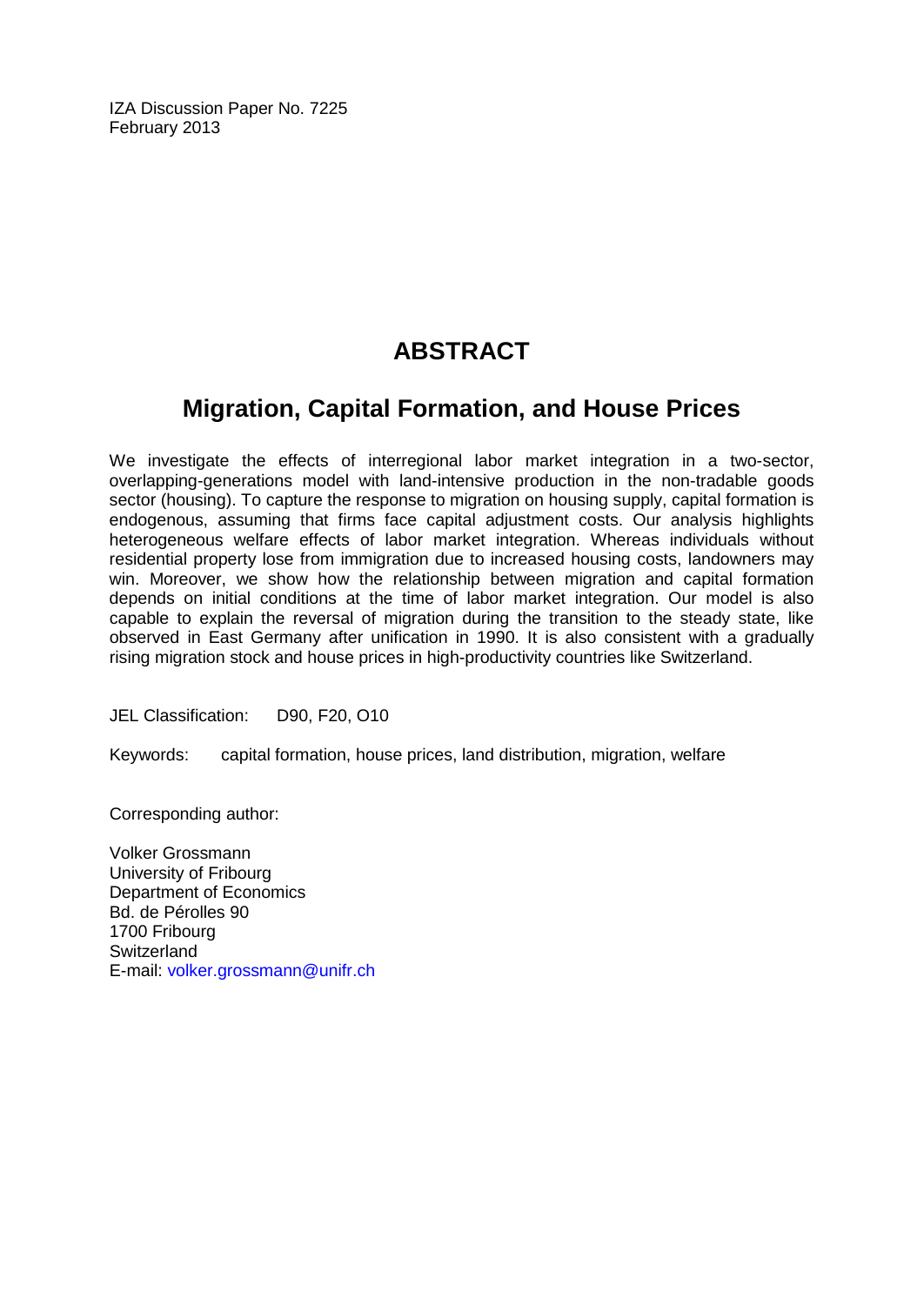IZA Discussion Paper No. 7225 February 2013

# **ABSTRACT**

# **Migration, Capital Formation, and House Prices**

We investigate the effects of interregional labor market integration in a two-sector, overlapping-generations model with land-intensive production in the non-tradable goods sector (housing). To capture the response to migration on housing supply, capital formation is endogenous, assuming that firms face capital adjustment costs. Our analysis highlights heterogeneous welfare effects of labor market integration. Whereas individuals without residential property lose from immigration due to increased housing costs, landowners may win. Moreover, we show how the relationship between migration and capital formation depends on initial conditions at the time of labor market integration. Our model is also capable to explain the reversal of migration during the transition to the steady state, like observed in East Germany after unification in 1990. It is also consistent with a gradually rising migration stock and house prices in high-productivity countries like Switzerland.

JEL Classification: D90, F20, O10

Keywords: capital formation, house prices, land distribution, migration, welfare

Corresponding author:

Volker Grossmann University of Fribourg Department of Economics Bd. de Pérolles 90 1700 Fribourg **Switzerland** E-mail: [volker.grossmann@unifr.ch](mailto:volker.grossmann@unifr.ch)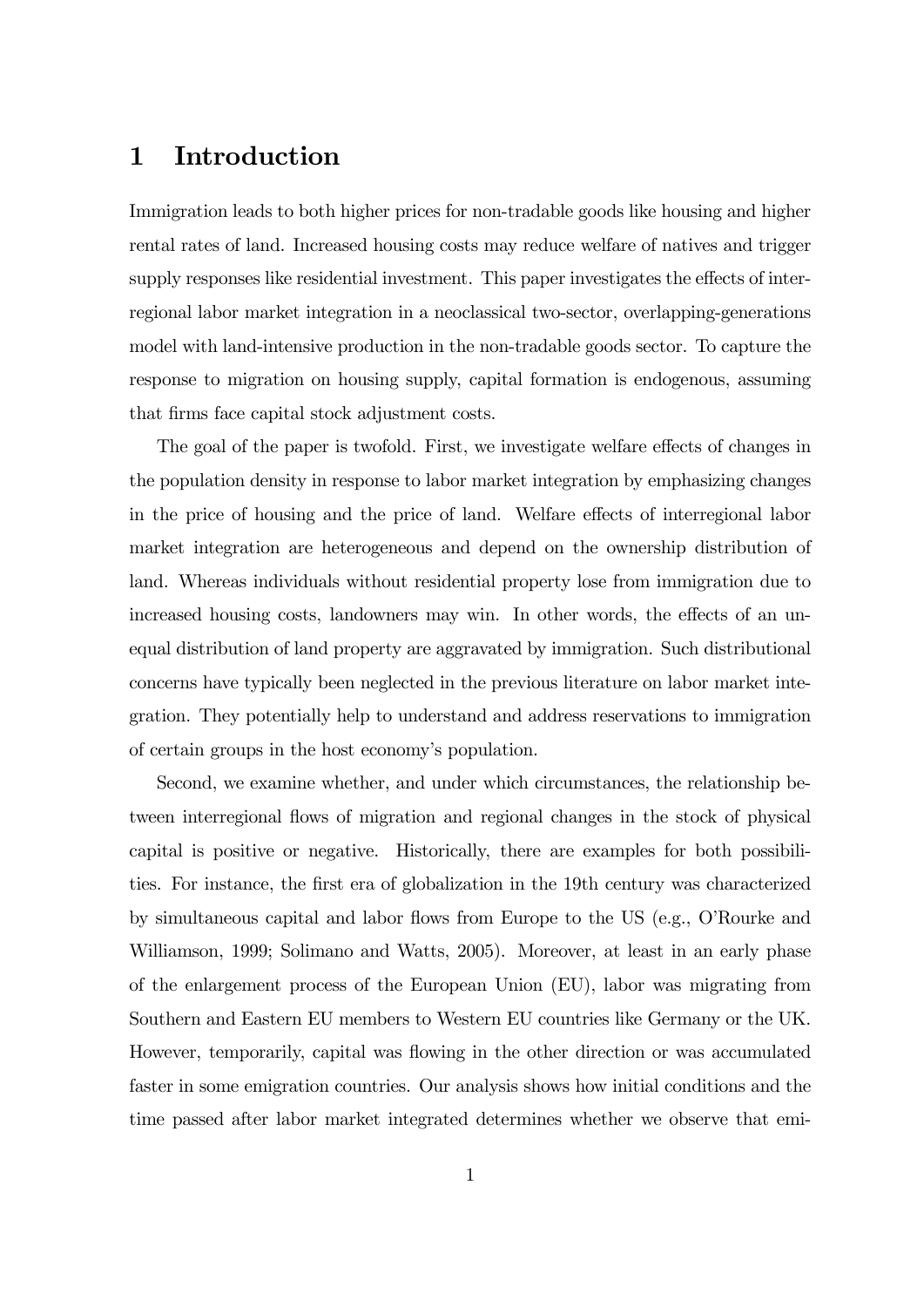# 1 Introduction

Immigration leads to both higher prices for non-tradable goods like housing and higher rental rates of land. Increased housing costs may reduce welfare of natives and trigger supply responses like residential investment. This paper investigates the effects of interregional labor market integration in a neoclassical two-sector, overlapping-generations model with land-intensive production in the non-tradable goods sector. To capture the response to migration on housing supply, capital formation is endogenous, assuming that firms face capital stock adjustment costs.

The goal of the paper is twofold. First, we investigate welfare effects of changes in the population density in response to labor market integration by emphasizing changes in the price of housing and the price of land. Welfare effects of interregional labor market integration are heterogeneous and depend on the ownership distribution of land. Whereas individuals without residential property lose from immigration due to increased housing costs, landowners may win. In other words, the effects of an unequal distribution of land property are aggravated by immigration. Such distributional concerns have typically been neglected in the previous literature on labor market integration. They potentially help to understand and address reservations to immigration of certain groups in the host economy's population.

Second, we examine whether, and under which circumstances, the relationship between interregional flows of migration and regional changes in the stock of physical capital is positive or negative. Historically, there are examples for both possibilities. For instance, the first era of globalization in the 19th century was characterized by simultaneous capital and labor flows from Europe to the US (e.g., O'Rourke and Williamson, 1999; Solimano and Watts, 2005). Moreover, at least in an early phase of the enlargement process of the European Union (EU), labor was migrating from Southern and Eastern EU members to Western EU countries like Germany or the UK. However, temporarily, capital was flowing in the other direction or was accumulated faster in some emigration countries. Our analysis shows how initial conditions and the time passed after labor market integrated determines whether we observe that emi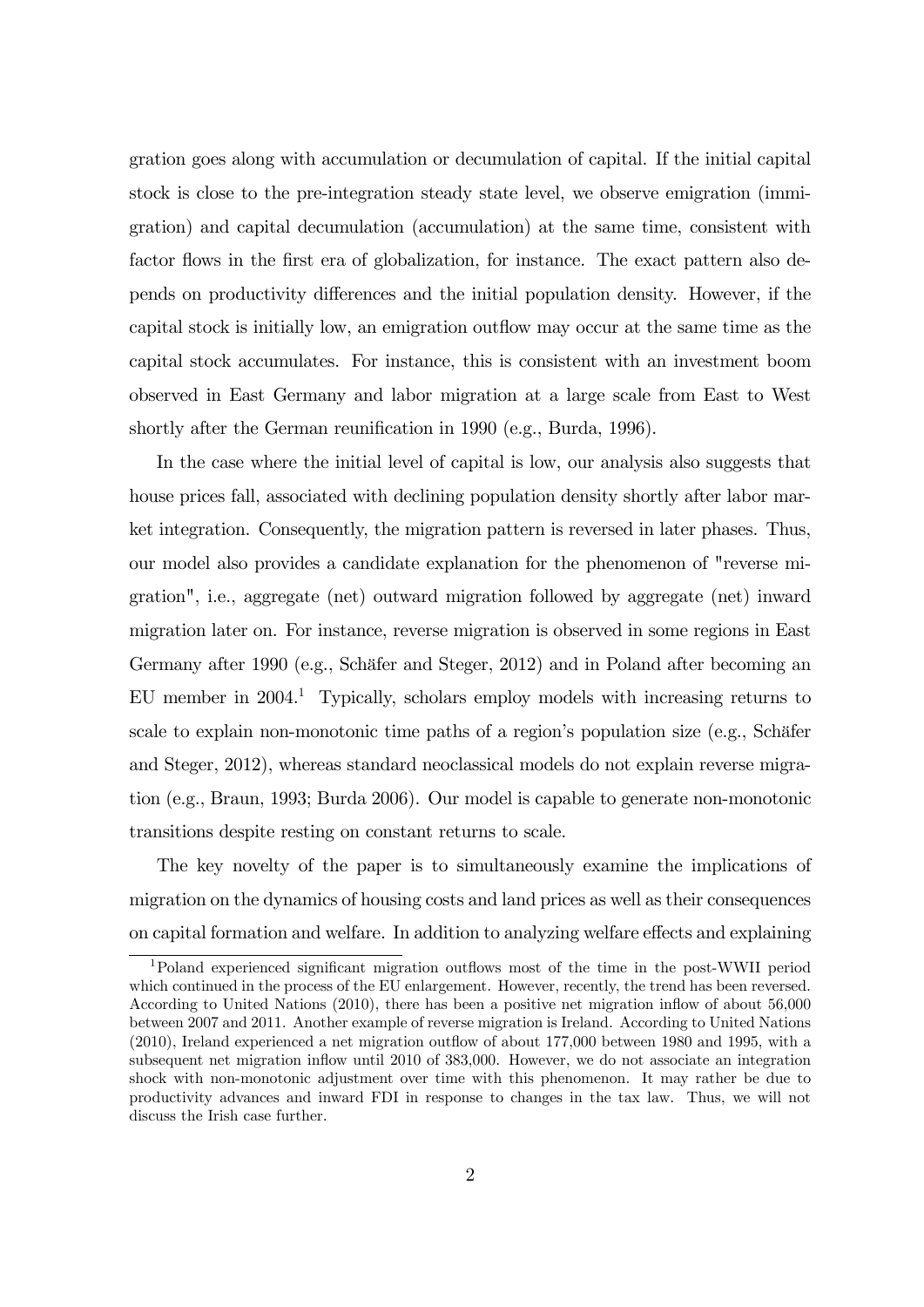gration goes along with accumulation or decumulation of capital. If the initial capital stock is close to the pre-integration steady state level, we observe emigration (immigration) and capital decumulation (accumulation) at the same time, consistent with factor flows in the first era of globalization, for instance. The exact pattern also depends on productivity differences and the initial population density. However, if the capital stock is initially low, an emigration outflow may occur at the same time as the capital stock accumulates. For instance, this is consistent with an investment boom observed in East Germany and labor migration at a large scale from East to West shortly after the German reunification in 1990 (e.g., Burda, 1996).

In the case where the initial level of capital is low, our analysis also suggests that house prices fall, associated with declining population density shortly after labor market integration. Consequently, the migration pattern is reversed in later phases. Thus, our model also provides a candidate explanation for the phenomenon of "reverse migration", i.e., aggregate (net) outward migration followed by aggregate (net) inward migration later on. For instance, reverse migration is observed in some regions in East Germany after 1990 (e.g., Schäfer and Steger, 2012) and in Poland after becoming an EU member in 2004.1 Typically, scholars employ models with increasing returns to scale to explain non-monotonic time paths of a region's population size (e.g., Schäfer and Steger, 2012), whereas standard neoclassical models do not explain reverse migration (e.g., Braun, 1993; Burda 2006). Our model is capable to generate non-monotonic transitions despite resting on constant returns to scale.

The key novelty of the paper is to simultaneously examine the implications of migration on the dynamics of housing costs and land prices as well as their consequences on capital formation and welfare. In addition to analyzing welfare effects and explaining

<sup>1</sup>Poland experienced significant migration outflows most of the time in the post-WWII period which continued in the process of the EU enlargement. However, recently, the trend has been reversed. According to United Nations (2010), there has been a positive net migration inflow of about 56,000 between 2007 and 2011. Another example of reverse migration is Ireland. According to United Nations (2010), Ireland experienced a net migration outflow of about 177,000 between 1980 and 1995, with a subsequent net migration inflow until 2010 of 383,000. However, we do not associate an integration shock with non-monotonic adjustment over time with this phenomenon. It may rather be due to productivity advances and inward FDI in response to changes in the tax law. Thus, we will not discuss the Irish case further.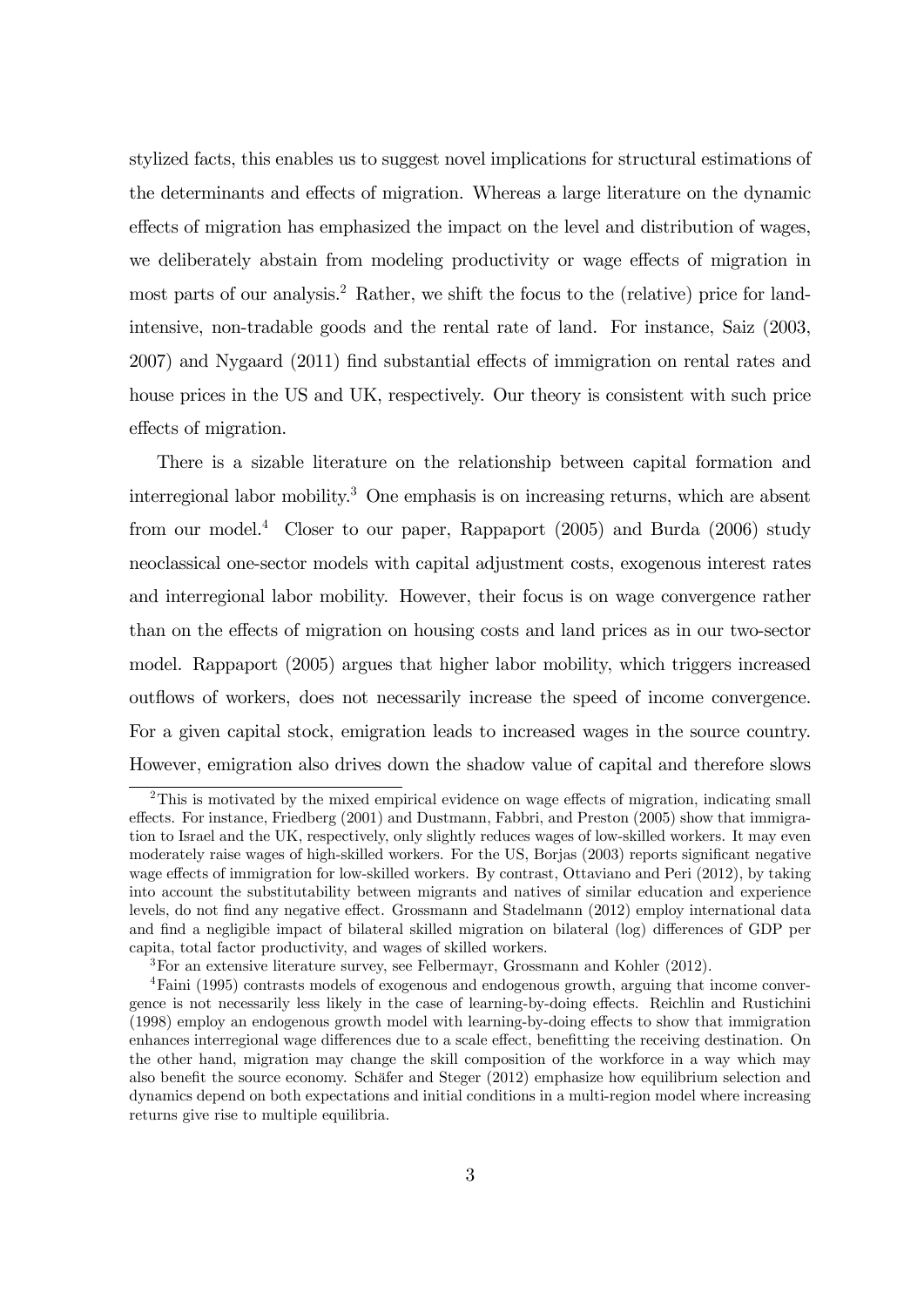stylized facts, this enables us to suggest novel implications for structural estimations of the determinants and effects of migration. Whereas a large literature on the dynamic effects of migration has emphasized the impact on the level and distribution of wages, we deliberately abstain from modeling productivity or wage effects of migration in most parts of our analysis.<sup>2</sup> Rather, we shift the focus to the (relative) price for landintensive, non-tradable goods and the rental rate of land. For instance, Saiz (2003, 2007) and Nygaard (2011) find substantial effects of immigration on rental rates and house prices in the US and UK, respectively. Our theory is consistent with such price effects of migration.

There is a sizable literature on the relationship between capital formation and interregional labor mobility.3 One emphasis is on increasing returns, which are absent from our model.<sup>4</sup> Closer to our paper, Rappaport  $(2005)$  and Burda  $(2006)$  study neoclassical one-sector models with capital adjustment costs, exogenous interest rates and interregional labor mobility. However, their focus is on wage convergence rather than on the effects of migration on housing costs and land prices as in our two-sector model. Rappaport (2005) argues that higher labor mobility, which triggers increased outflows of workers, does not necessarily increase the speed of income convergence. For a given capital stock, emigration leads to increased wages in the source country. However, emigration also drives down the shadow value of capital and therefore slows

<sup>&</sup>lt;sup>2</sup>This is motivated by the mixed empirical evidence on wage effects of migration, indicating small effects. For instance, Friedberg (2001) and Dustmann, Fabbri, and Preston (2005) show that immigration to Israel and the UK, respectively, only slightly reduces wages of low-skilled workers. It may even moderately raise wages of high-skilled workers. For the US, Borjas (2003) reports significant negative wage effects of immigration for low-skilled workers. By contrast, Ottaviano and Peri (2012), by taking into account the substitutability between migrants and natives of similar education and experience levels, do not find any negative effect. Grossmann and Stadelmann (2012) employ international data and find a negligible impact of bilateral skilled migration on bilateral (log) differences of GDP per capita, total factor productivity, and wages of skilled workers.

<sup>&</sup>lt;sup>3</sup>For an extensive literature survey, see Felbermayr, Grossmann and Kohler  $(2012)$ .

<sup>4</sup>Faini (1995) contrasts models of exogenous and endogenous growth, arguing that income convergence is not necessarily less likely in the case of learning-by-doing effects. Reichlin and Rustichini (1998) employ an endogenous growth model with learning-by-doing effects to show that immigration enhances interregional wage differences due to a scale effect, benefitting the receiving destination. On the other hand, migration may change the skill composition of the workforce in a way which may also benefit the source economy. Schäfer and Steger (2012) emphasize how equilibrium selection and dynamics depend on both expectations and initial conditions in a multi-region model where increasing returns give rise to multiple equilibria.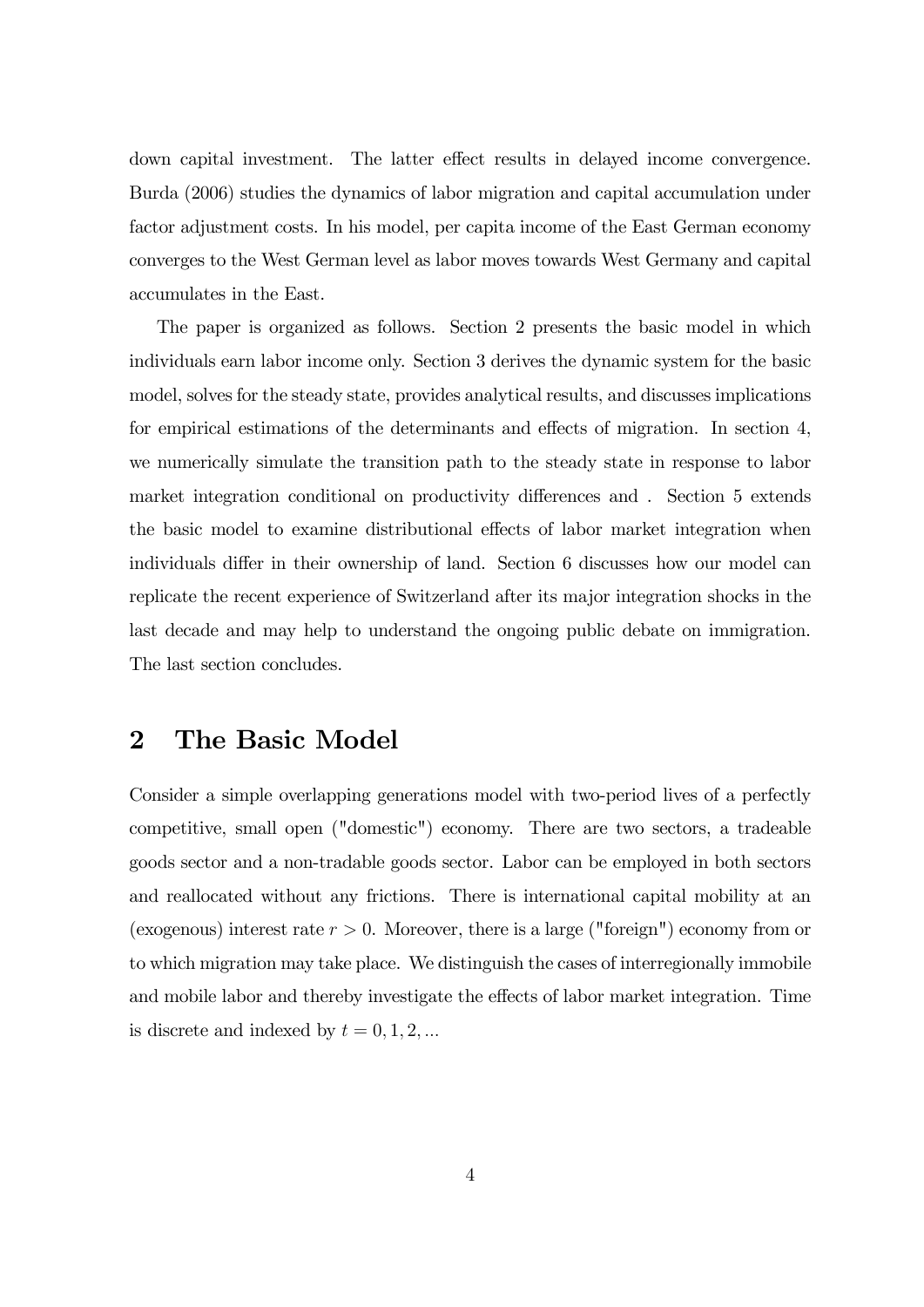down capital investment. The latter effect results in delayed income convergence. Burda (2006) studies the dynamics of labor migration and capital accumulation under factor adjustment costs. In his model, per capita income of the East German economy converges to the West German level as labor moves towards West Germany and capital accumulates in the East.

The paper is organized as follows. Section 2 presents the basic model in which individuals earn labor income only. Section 3 derives the dynamic system for the basic model, solves for the steady state, provides analytical results, and discusses implications for empirical estimations of the determinants and effects of migration. In section 4, we numerically simulate the transition path to the steady state in response to labor market integration conditional on productivity differences and . Section 5 extends the basic model to examine distributional effects of labor market integration when individuals differ in their ownership of land. Section 6 discusses how our model can replicate the recent experience of Switzerland after its major integration shocks in the last decade and may help to understand the ongoing public debate on immigration. The last section concludes.

### 2 The Basic Model

Consider a simple overlapping generations model with two-period lives of a perfectly competitive, small open ("domestic") economy. There are two sectors, a tradeable goods sector and a non-tradable goods sector. Labor can be employed in both sectors and reallocated without any frictions. There is international capital mobility at an (exogenous) interest rate  $r > 0$ . Moreover, there is a large ("foreign") economy from or to which migration may take place. We distinguish the cases of interregionally immobile and mobile labor and thereby investigate the effects of labor market integration. Time is discrete and indexed by  $t = 0, 1, 2, ...$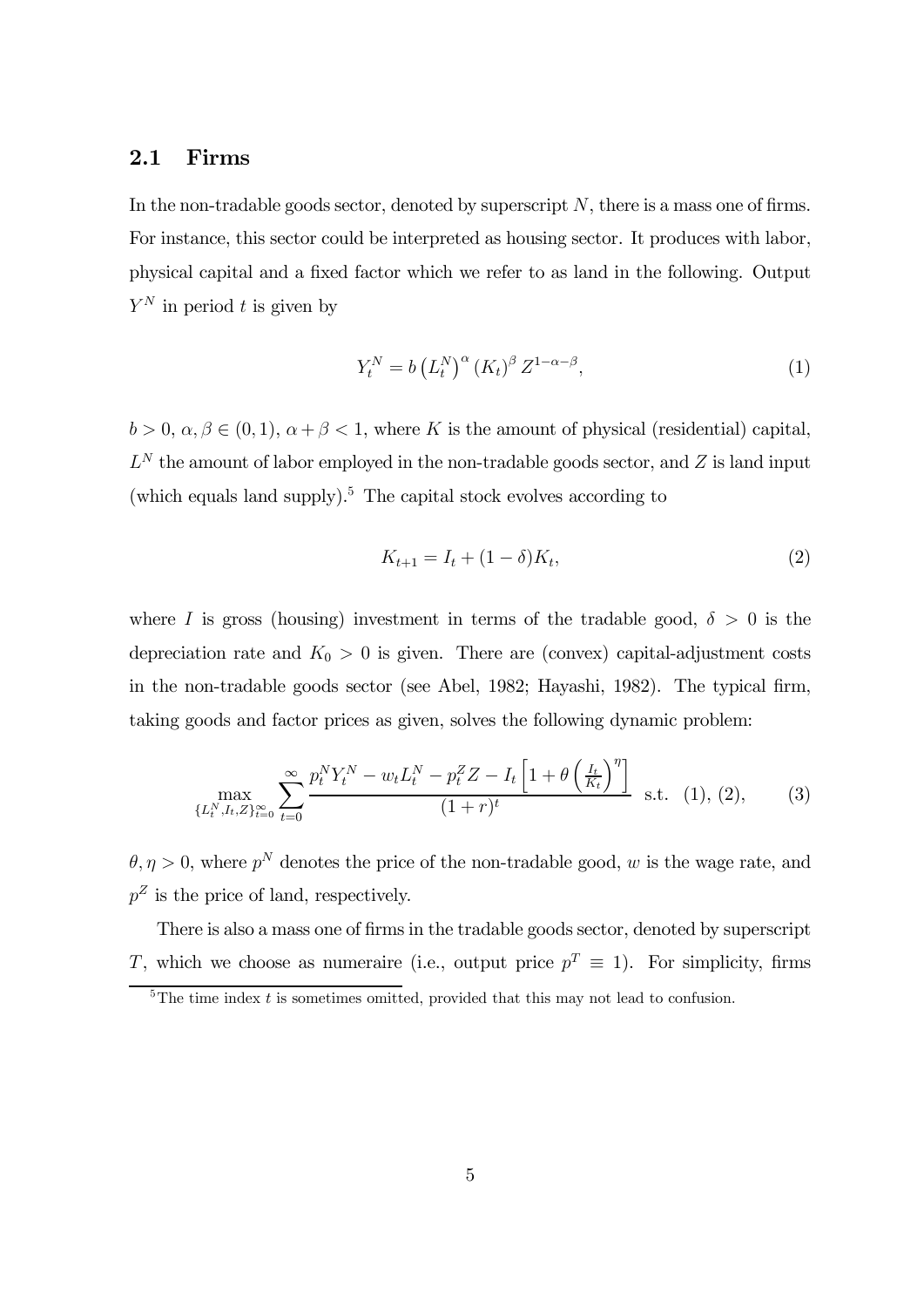#### 2.1 Firms

In the non-tradable goods sector, denoted by superscript  $N$ , there is a mass one of firms. For instance, this sector could be interpreted as housing sector. It produces with labor, physical capital and a fixed factor which we refer to as land in the following. Output  $Y^N$  in period t is given by

$$
Y_t^N = b \left( L_t^N \right)^\alpha \left( K_t \right)^\beta Z^{1-\alpha-\beta},\tag{1}
$$

 $b > 0, \alpha, \beta \in (0, 1), \alpha + \beta < 1$ , where K is the amount of physical (residential) capital,  ${\mathcal L}^N$  the amount of labor employed in the non-tradable goods sector, and  $Z$  is land input (which equals land supply).<sup>5</sup> The capital stock evolves according to

$$
K_{t+1} = I_t + (1 - \delta)K_t,
$$
\n(2)

where I is gross (housing) investment in terms of the tradable good,  $\delta > 0$  is the depreciation rate and  $K_0 > 0$  is given. There are (convex) capital-adjustment costs in the non-tradable goods sector (see Abel, 1982; Hayashi, 1982). The typical firm, taking goods and factor prices as given, solves the following dynamic problem:

$$
\max_{\{L_t^N, I_t, Z\}_{t=0}^{\infty}} \sum_{t=0}^{\infty} \frac{p_t^N Y_t^N - w_t L_t^N - p_t^Z Z - I_t \left[1 + \theta \left(\frac{I_t}{K_t}\right)^{\eta}\right]}{(1+r)^t} \text{ s.t. } (1), (2), \quad (3)
$$

 $\theta, \eta > 0$ , where  $p^N$  denotes the price of the non-tradable good, w is the wage rate, and  $p^Z$  is the price of land, respectively.

There is also a mass one of firms in the tradable goods sector, denoted by superscript T, which we choose as numeraire (i.e., output price  $p^T \equiv 1$ ). For simplicity, firms

 ${}^{5}$ The time index t is sometimes omitted, provided that this may not lead to confusion.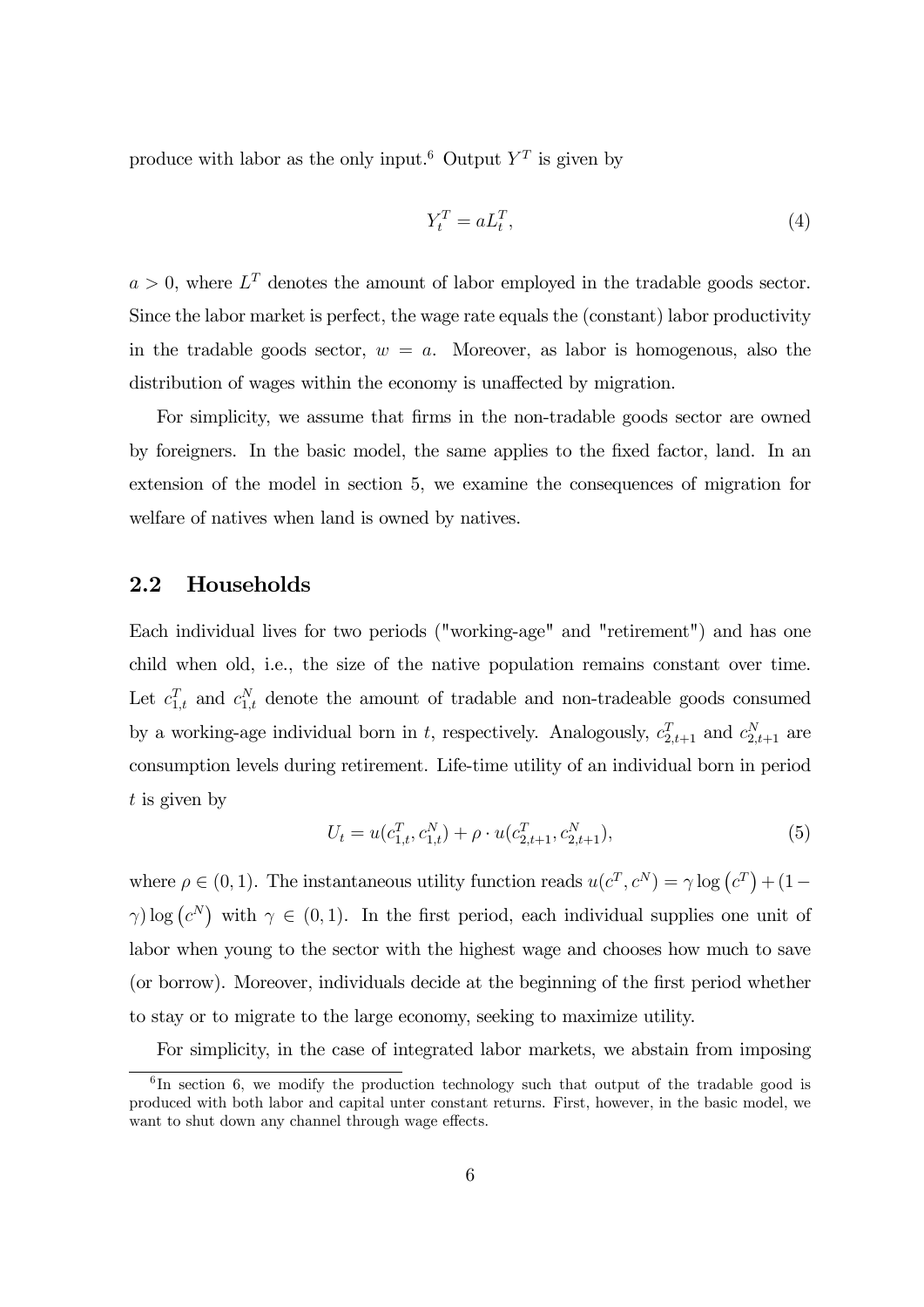produce with labor as the only input.<sup>6</sup> Output  $Y^T$  is given by

$$
Y_t^T = a L_t^T,\t\t(4)
$$

 $a > 0$ , where  $L^T$  denotes the amount of labor employed in the tradable goods sector. Since the labor market is perfect, the wage rate equals the (constant) labor productivity in the tradable goods sector,  $w = a$ . Moreover, as labor is homogenous, also the distribution of wages within the economy is unaffected by migration.

For simplicity, we assume that firms in the non-tradable goods sector are owned by foreigners. In the basic model, the same applies to the fixed factor, land. In an extension of the model in section 5, we examine the consequences of migration for welfare of natives when land is owned by natives.

#### 2.2 Households

Each individual lives for two periods ("working-age" and "retirement") and has one child when old, i.e., the size of the native population remains constant over time. Let  $c_{1,t}^T$  and  $c_{1,t}^N$  denote the amount of tradable and non-tradeable goods consumed by a working-age individual born in t, respectively. Analogously,  $c_{2,t+1}^T$  and  $c_{2,t+1}^N$  are consumption levels during retirement. Life-time utility of an individual born in period  $t$  is given by

$$
U_t = u(c_{1,t}^T, c_{1,t}^N) + \rho \cdot u(c_{2,t+1}^T, c_{2,t+1}^N),
$$
\n<sup>(5)</sup>

where  $\rho \in (0, 1)$ . The instantaneous utility function reads  $u(c^T, c^N) = \gamma \log(c^T) + (1 \gamma$ ) log  $(c^N)$  with  $\gamma \in (0,1)$ . In the first period, each individual supplies one unit of labor when young to the sector with the highest wage and chooses how much to save (or borrow). Moreover, individuals decide at the beginning of the first period whether to stay or to migrate to the large economy, seeking to maximize utility.

For simplicity, in the case of integrated labor markets, we abstain from imposing

 ${}^{6}$ In section 6, we modify the production technology such that output of the tradable good is produced with both labor and capital unter constant returns. First, however, in the basic model, we want to shut down any channel through wage effects.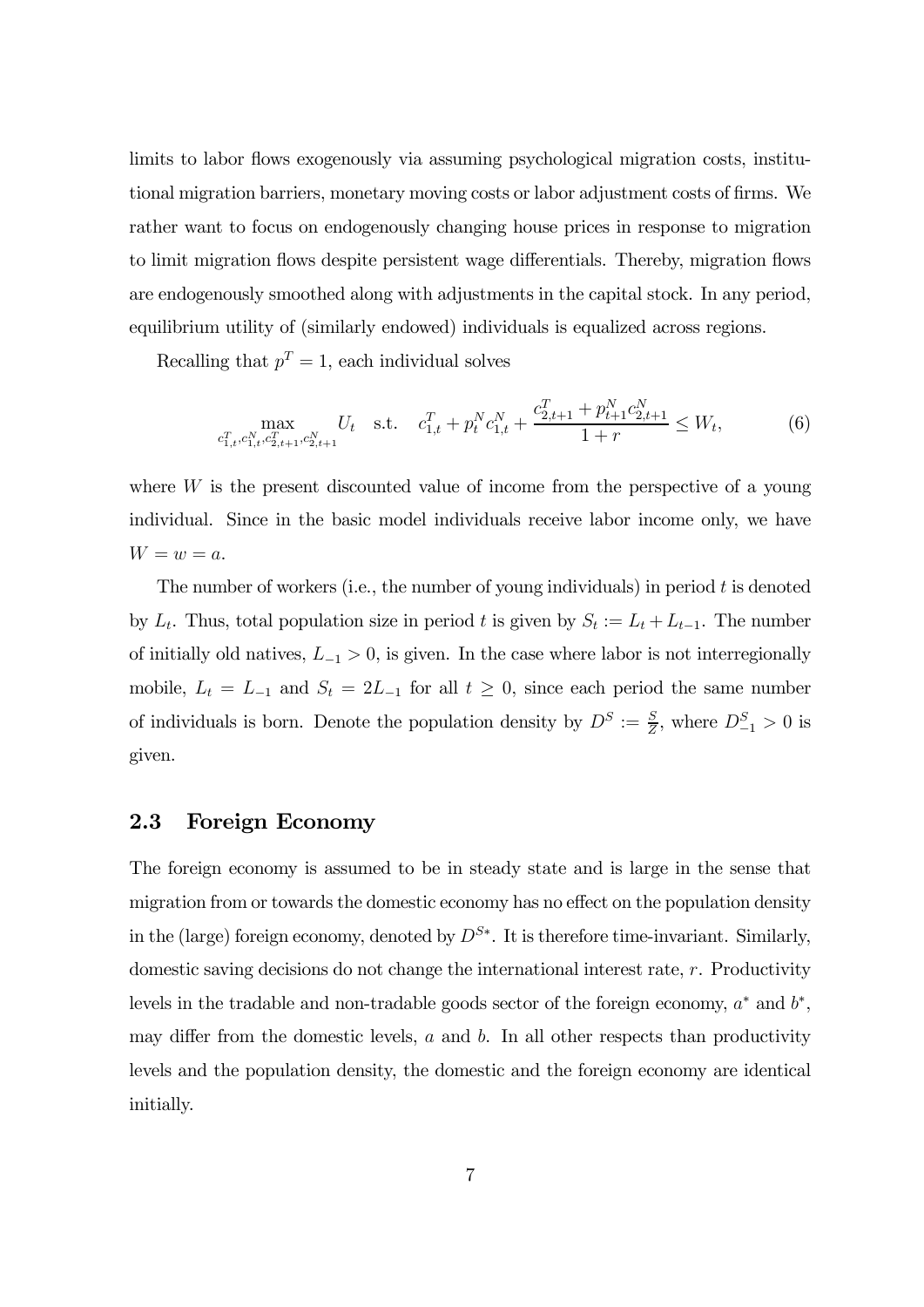limits to labor flows exogenously via assuming psychological migration costs, institutional migration barriers, monetary moving costs or labor adjustment costs of firms. We rather want to focus on endogenously changing house prices in response to migration to limit migration flows despite persistent wage differentials. Thereby, migration flows are endogenously smoothed along with adjustments in the capital stock. In any period, equilibrium utility of (similarly endowed) individuals is equalized across regions.

Recalling that  $p^T = 1$ , each individual solves

$$
\max_{c_{1,t}^T, c_{1,t}^N, c_{2,t+1}^T, c_{2,t+1}^N} U_t \quad \text{s.t.} \quad c_{1,t}^T + p_t^N c_{1,t}^N + \frac{c_{2,t+1}^T + p_{t+1}^N c_{2,t+1}^N}{1+r} \le W_t,
$$
\n
$$
(6)
$$

where  $W$  is the present discounted value of income from the perspective of a young individual. Since in the basic model individuals receive labor income only, we have  $W = w = a.$ 

The number of workers (i.e., the number of young individuals) in period  $t$  is denoted by  $L_t$ . Thus, total population size in period t is given by  $S_t := L_t + L_{t-1}$ . The number of initially old natives,  $L_{-1} > 0$ , is given. In the case where labor is not interregionally mobile,  $L_t = L_{-1}$  and  $S_t = 2L_{-1}$  for all  $t \ge 0$ , since each period the same number of individuals is born. Denote the population density by  $D^S := \frac{S}{Z}$ , where  $D_{-1}^S > 0$  is given.

#### 2.3 Foreign Economy

The foreign economy is assumed to be in steady state and is large in the sense that migration from or towards the domestic economy has no effect on the population density in the (large) foreign economy, denoted by  $D^{S*}$ . It is therefore time-invariant. Similarly, domestic saving decisions do not change the international interest rate,  $r$ . Productivity levels in the tradable and non-tradable goods sector of the foreign economy,  $a^*$  and  $b^*$ , may differ from the domestic levels,  $a$  and  $b$ . In all other respects than productivity levels and the population density, the domestic and the foreign economy are identical initially.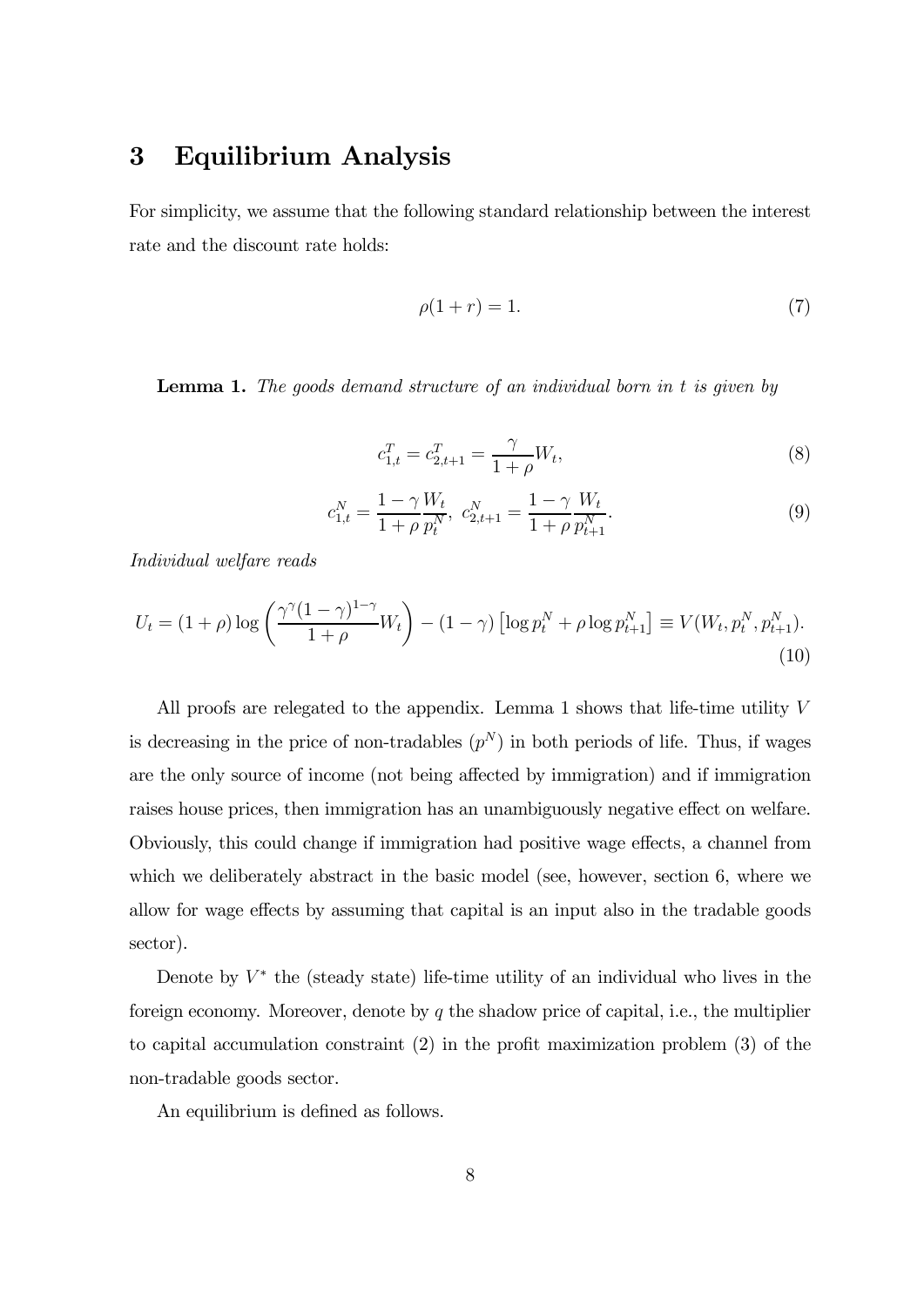# 3 Equilibrium Analysis

For simplicity, we assume that the following standard relationship between the interest rate and the discount rate holds:

$$
\rho(1+r) = 1.\tag{7}
$$

**Lemma 1.** The goods demand structure of an individual born in  $t$  is given by

$$
c_{1,t}^T = c_{2,t+1}^T = \frac{\gamma}{1+\rho} W_t,
$$
\n(8)

$$
c_{1,t}^N = \frac{1 - \gamma W_t}{1 + \rho p_t^N}, \ c_{2,t+1}^N = \frac{1 - \gamma W_t}{1 + \rho p_{t+1}^N}.
$$
\n(9)

Individual welfare reads

$$
U_t = (1+\rho)\log\left(\frac{\gamma^{\gamma}(1-\gamma)^{1-\gamma}}{1+\rho}W_t\right) - (1-\gamma)\left[\log p_t^N + \rho\log p_{t+1}^N\right] \equiv V(W_t, p_t^N, p_{t+1}^N). \tag{10}
$$

All proofs are relegated to the appendix. Lemma 1 shows that life-time utility  $V$ is decreasing in the price of non-tradables  $(p^N)$  in both periods of life. Thus, if wages are the only source of income (not being affected by immigration) and if immigration raises house prices, then immigration has an unambiguously negative effect on welfare. Obviously, this could change if immigration had positive wage effects, a channel from which we deliberately abstract in the basic model (see, however, section 6, where we allow for wage effects by assuming that capital is an input also in the tradable goods sector).

Denote by  $V^*$  the (steady state) life-time utility of an individual who lives in the foreign economy. Moreover, denote by  $q$  the shadow price of capital, i.e., the multiplier to capital accumulation constraint (2) in the profit maximization problem (3) of the non-tradable goods sector.

An equilibrium is defined as follows.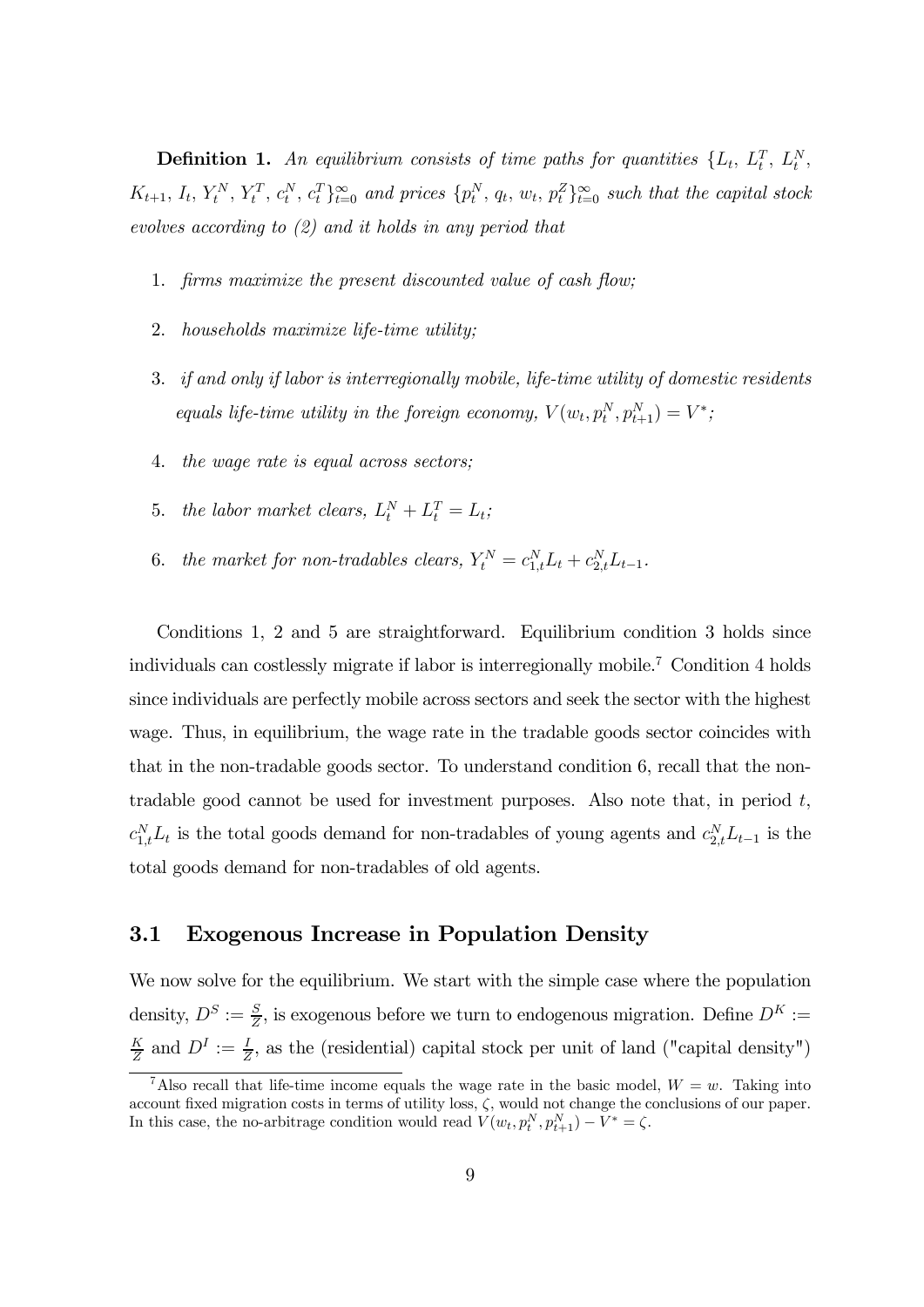**Definition 1.** An equilibrium consists of time paths for quantities  $\{L_t, L_t^T, L_t^N, L_t^N\}$  $K_{t+1}, I_t, Y_t^N, Y_t^T, c_t^N, c_t^T\}_{t=0}^{\infty}$  and prices  $\{p_t^N, q_t, w_t, p_t^Z\}_{t=0}^{\infty}$  such that the capital stock evolves according to (2) and it holds in any period that

- 1. firms maximize the present discounted value of cash flow;
- 2. households maximize life-time utility;
- 3. if and only if labor is interregionally mobile, life-time utility of domestic residents equals life-time utility in the foreign economy,  $V(w_t, p_t^N, p_{t+1}^N) = V^*$ ;
- 4. the wage rate is equal across sectors;
- 5. the labor market clears,  $L_t^N + L_t^T = L_t$ ;
- 6. the market for non-tradables clears,  $Y_t^N = c_{1,t}^N L_t + c_{2,t}^N L_{t-1}$ .

Conditions 1, 2 and 5 are straightforward. Equilibrium condition 3 holds since individuals can costlessly migrate if labor is interregionally mobile.7 Condition 4 holds since individuals are perfectly mobile across sectors and seek the sector with the highest wage. Thus, in equilibrium, the wage rate in the tradable goods sector coincides with that in the non-tradable goods sector. To understand condition 6, recall that the nontradable good cannot be used for investment purposes. Also note that, in period  $t$ ,  $c_{1,t}^N L_t$  is the total goods demand for non-tradables of young agents and  $c_{2,t}^N L_{t-1}$  is the total goods demand for non-tradables of old agents.

#### 3.1 Exogenous Increase in Population Density

We now solve for the equilibrium. We start with the simple case where the population density,  $D^S := \frac{S}{Z}$ , is exogenous before we turn to endogenous migration. Define  $D^K :=$  $\frac{K}{Z}$  and  $D^I := \frac{I}{Z}$ , as the (residential) capital stock per unit of land ("capital density")

<sup>&</sup>lt;sup>7</sup>Also recall that life-time income equals the wage rate in the basic model,  $W = w$ . Taking into account fixed migration costs in terms of utility loss,  $\zeta$ , would not change the conclusions of our paper. In this case, the no-arbitrage condition would read  $V(w_t, p_t^N, p_{t+1}^N) - V^* = \zeta$ .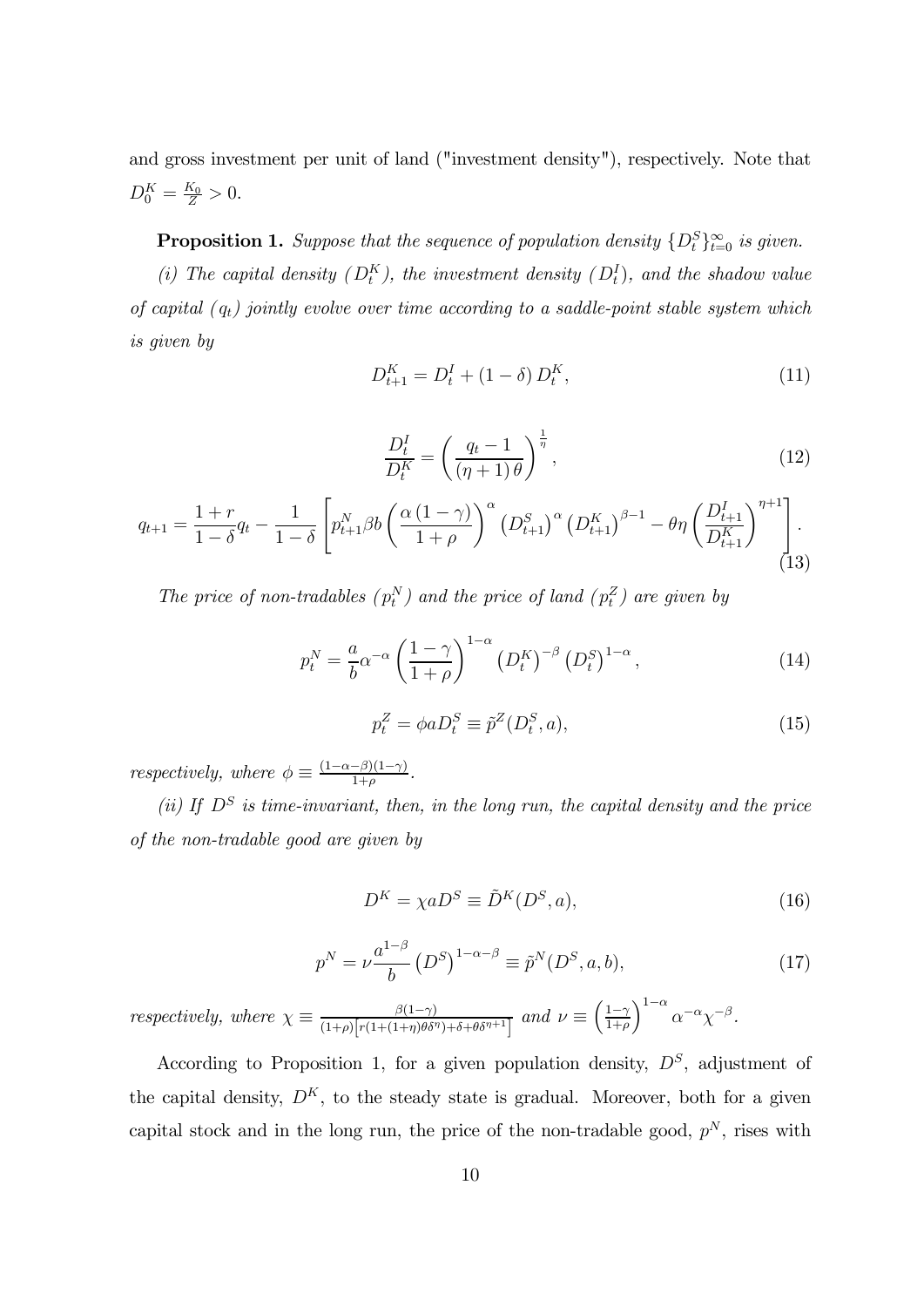and gross investment per unit of land ("investment density"), respectively. Note that  $D_0^K = \frac{K_0}{Z} > 0.$ 

**Proposition 1.** Suppose that the sequence of population density  $\{D_t^S\}_{t=0}^{\infty}$  is given.

(i) The capital density  $(D_t^K)$ , the investment density  $(D_t^I)$ , and the shadow value of capital  $(q_t)$  jointly evolve over time according to a saddle-point stable system which is given by

$$
D_{t+1}^{K} = D_t^I + (1 - \delta) D_t^K,
$$
\n(11)

$$
\frac{D_t^I}{D_t^K} = \left(\frac{q_t - 1}{(\eta + 1)\theta}\right)^{\frac{1}{\eta}},\tag{12}
$$

$$
q_{t+1} = \frac{1+r}{1-\delta}q_t - \frac{1}{1-\delta} \left[ p_{t+1}^N \beta b \left( \frac{\alpha (1-\gamma)}{1+\rho} \right)^{\alpha} \left( D_{t+1}^S \right)^{\alpha} \left( D_{t+1}^K \right)^{\beta-1} - \theta \eta \left( \frac{D_{t+1}^I}{D_{t+1}^K} \right)^{\eta+1} \right].
$$
\n(13)

The price of non-tradables  $(p_t^N)$  and the price of land  $(p_t^Z)$  are given by

$$
p_t^N = \frac{a}{b} \alpha^{-\alpha} \left(\frac{1-\gamma}{1+\rho}\right)^{1-\alpha} \left(D_t^K\right)^{-\beta} \left(D_t^S\right)^{1-\alpha},\tag{14}
$$

$$
p_t^Z = \phi a D_t^S \equiv \tilde{p}^Z(D_t^S, a),\tag{15}
$$

respectively, where  $\phi \equiv \frac{(1-\alpha-\beta)(1-\gamma)}{1+\rho}$ .

(ii) If  $D^S$  is time-invariant, then, in the long run, the capital density and the price of the non-tradable good are given by

$$
D^{K} = \chi a D^{S} \equiv \tilde{D}^{K}(D^{S}, a), \qquad (16)
$$

$$
p^{N} = \nu \frac{a^{1-\beta}}{b} \left( D^{S} \right)^{1-\alpha-\beta} \equiv \tilde{p}^{N} (D^{S}, a, b), \tag{17}
$$

respectively, where  $\chi \equiv \frac{\beta(1-\gamma)}{(1+\rho)\left[r(1+(1+\eta)\theta\delta^{\eta})+\delta+\theta\delta^{\eta+1}\right]}$  and  $\nu \equiv \left(\frac{1-\gamma}{1+\rho}\right)$  $\int^{1-\alpha} \alpha^{-\alpha} \chi^{-\beta}.$ 

According to Proposition 1, for a given population density,  $D<sup>S</sup>$ , adjustment of the capital density,  $D^{K}$ , to the steady state is gradual. Moreover, both for a given capital stock and in the long run, the price of the non-tradable good,  $p^N$ , rises with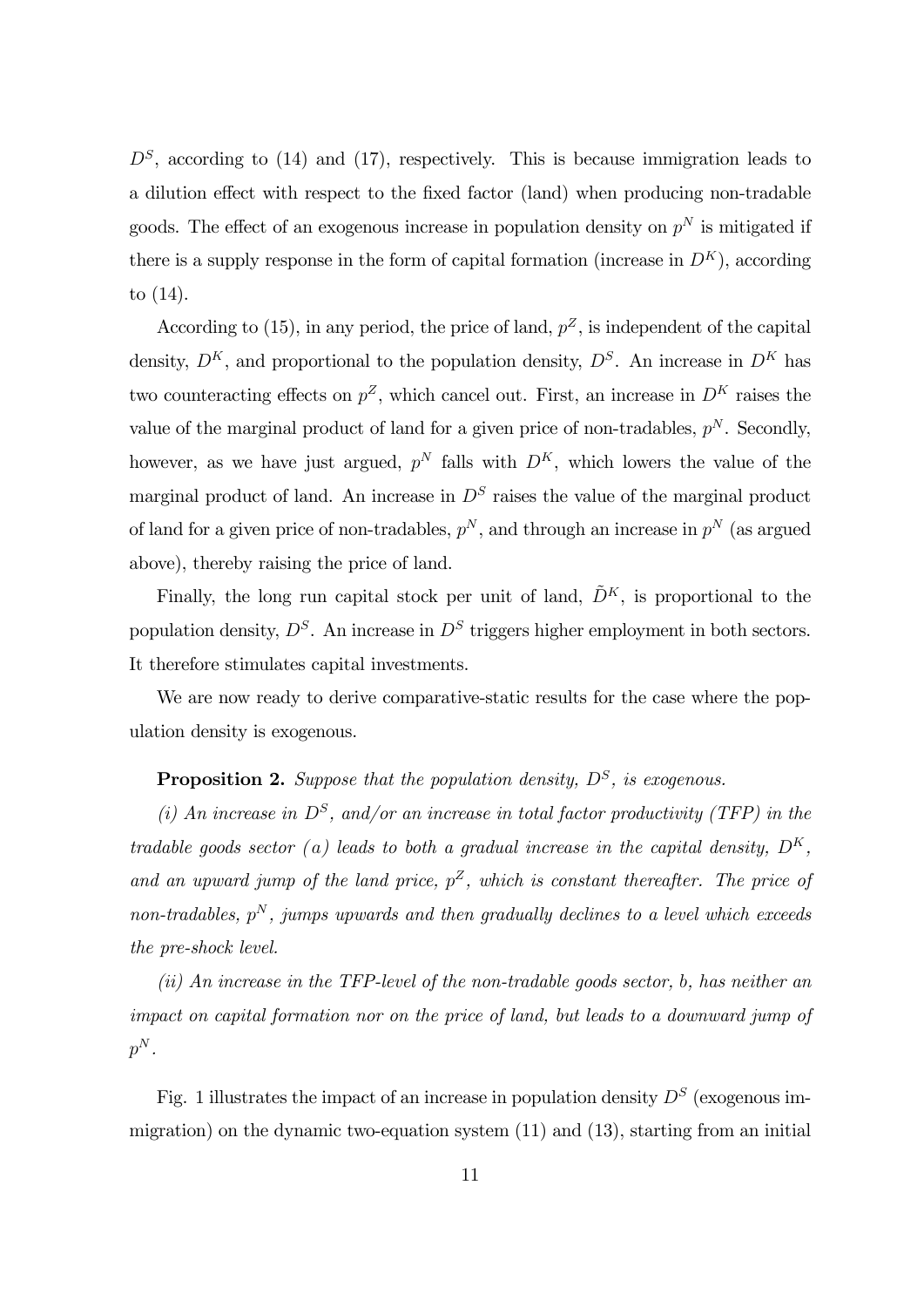$D<sup>S</sup>$ , according to (14) and (17), respectively. This is because immigration leads to a dilution effect with respect to the fixed factor (land) when producing non-tradable goods. The effect of an exogenous increase in population density on  $p^N$  is mitigated if there is a supply response in the form of capital formation (increase in  $D^{K}$ ), according to (14).

According to (15), in any period, the price of land,  $p^Z$ , is independent of the capital density,  $D^{K}$ , and proportional to the population density,  $D^{S}$ . An increase in  $D^{K}$  has two counteracting effects on  $p^Z$ , which cancel out. First, an increase in  $D^K$  raises the value of the marginal product of land for a given price of non-tradables,  $p<sup>N</sup>$ . Secondly, however, as we have just argued,  $p^N$  falls with  $D^K$ , which lowers the value of the marginal product of land. An increase in  $D<sup>S</sup>$  raises the value of the marginal product of land for a given price of non-tradables,  $p^N$ , and through an increase in  $p^N$  (as argued above), thereby raising the price of land.

Finally, the long run capital stock per unit of land,  $\tilde{D}^K$ , is proportional to the population density,  $D^S$ . An increase in  $D^S$  triggers higher employment in both sectors. It therefore stimulates capital investments.

We are now ready to derive comparative-static results for the case where the population density is exogenous.

**Proposition 2.** Suppose that the population density,  $D<sup>S</sup>$ , is exogenous.

(i) An increase in  $D^S$ , and/or an increase in total factor productivity (TFP) in the tradable goods sector (a) leads to both a gradual increase in the capital density,  $D^{K}$ , and an upward jump of the land price,  $p^Z$ , which is constant thereafter. The price of non-tradables,  $p^N$ , jumps upwards and then gradually declines to a level which exceeds the pre-shock level.

(ii) An increase in the TFP-level of the non-tradable goods sector,  $b$ , has neither an impact on capital formation nor on the price of land, but leads to a downward jump of  $p^N$ .

Fig. 1 illustrates the impact of an increase in population density  $D<sup>S</sup>$  (exogenous immigration) on the dynamic two-equation system  $(11)$  and  $(13)$ , starting from an initial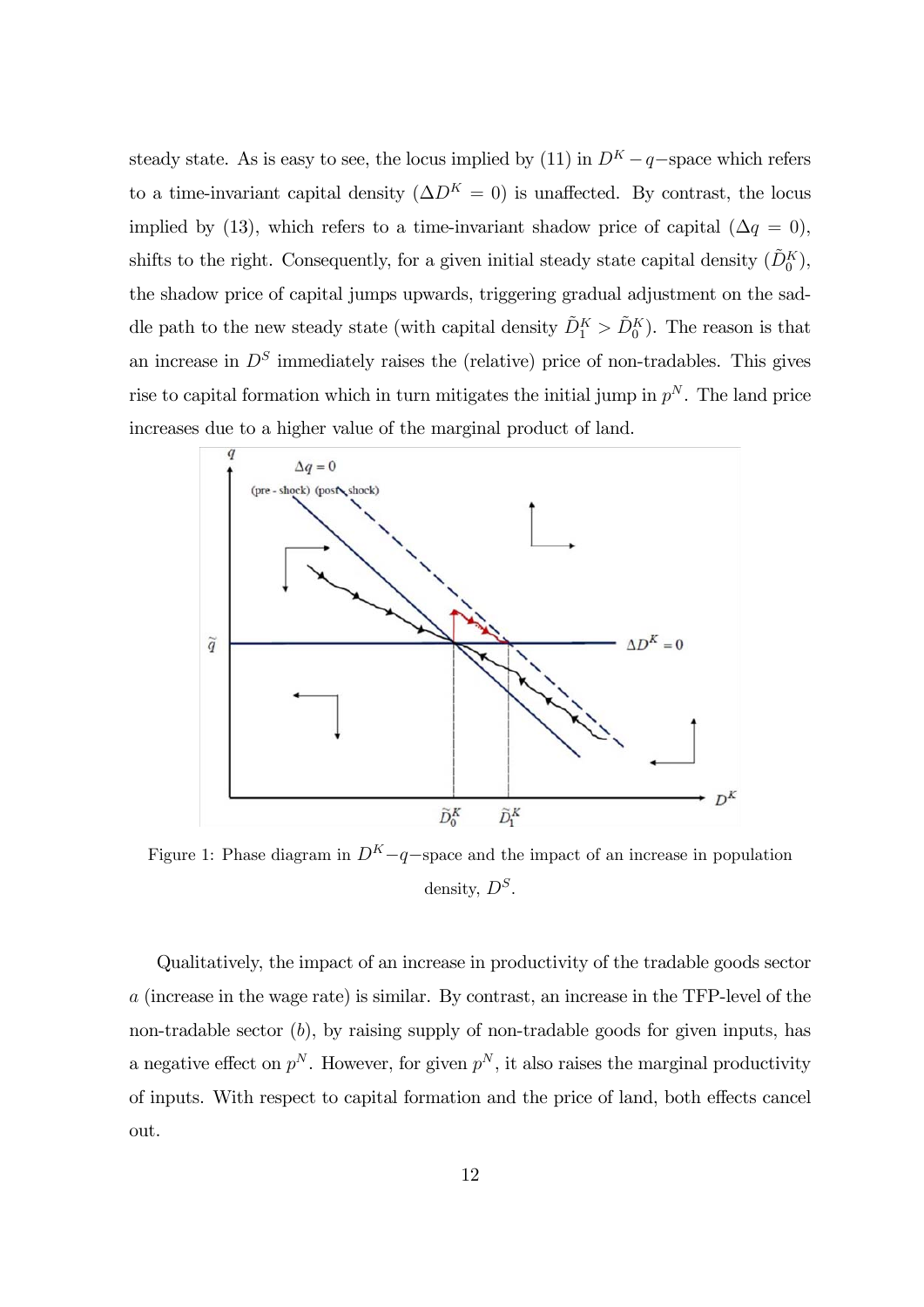steady state. As is easy to see, the locus implied by (11) in  $D^{K}-q$ -space which refers to a time-invariant capital density  $(\Delta D^{K} = 0)$  is unaffected. By contrast, the locus implied by (13), which refers to a time-invariant shadow price of capital ( $\Delta q = 0$ ), shifts to the right. Consequently, for a given initial steady state capital density  $(\tilde{D}_0^K)$ , the shadow price of capital jumps upwards, triggering gradual adjustment on the saddle path to the new steady state (with capital density  $\tilde{D}_{1}^{K} > \tilde{D}_{0}^{K}$ ). The reason is that an increase in  $D<sup>S</sup>$  immediately raises the (relative) price of non-tradables. This gives rise to capital formation which in turn mitigates the initial jump in  $p^N$ . The land price increases due to a higher value of the marginal product of land.



Figure 1: Phase diagram in  $D^{K}-q$ -space and the impact of an increase in population density,  $D^S$ .

Qualitatively, the impact of an increase in productivity of the tradable goods sector  $a$  (increase in the wage rate) is similar. By contrast, an increase in the TFP-level of the non-tradable sector  $(b)$ , by raising supply of non-tradable goods for given inputs, has a negative effect on  $p^N$ . However, for given  $p^N$ , it also raises the marginal productivity of inputs. With respect to capital formation and the price of land, both effects cancel out.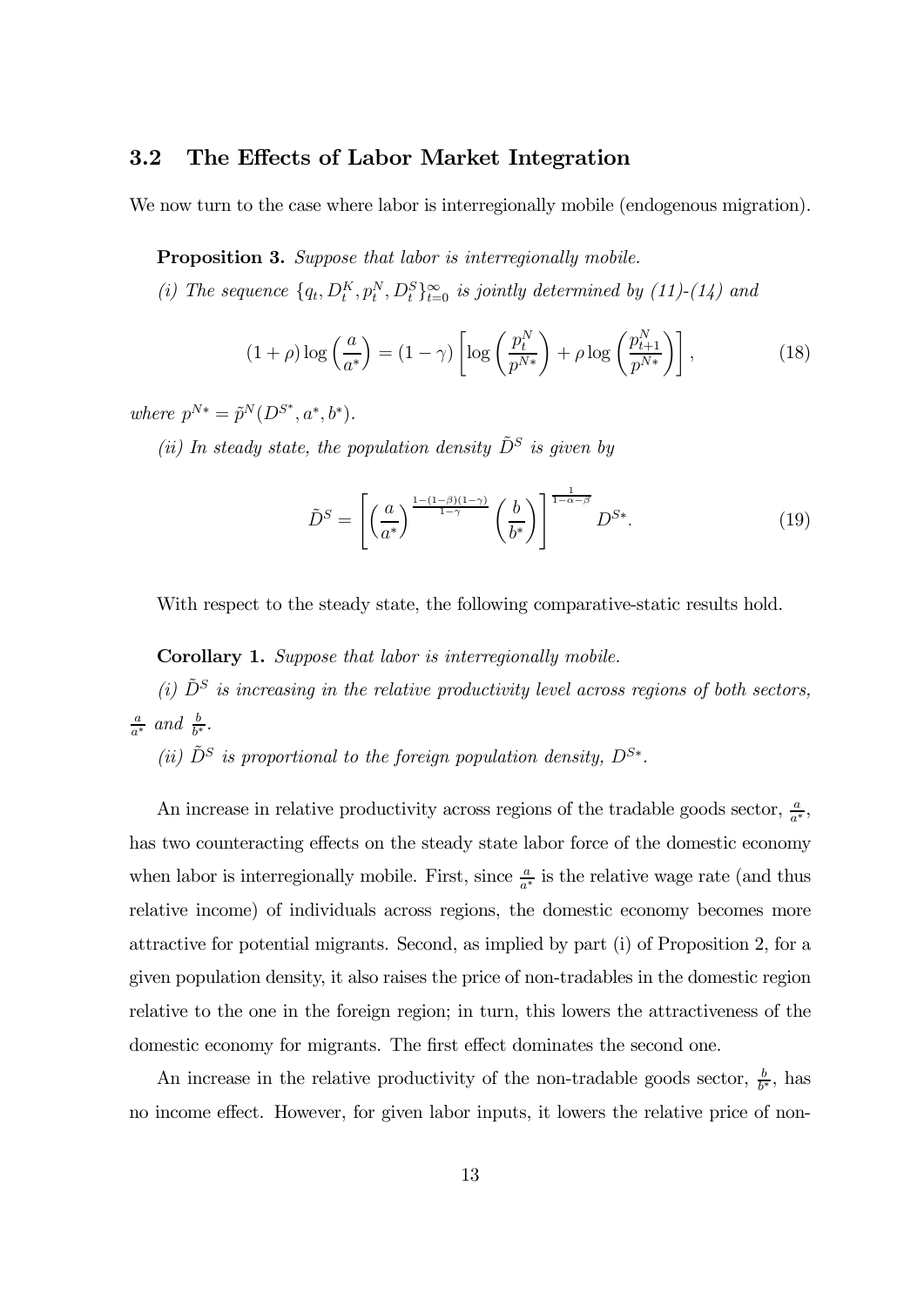#### 3.2 The Effects of Labor Market Integration

We now turn to the case where labor is interregionally mobile (endogenous migration).

**Proposition 3.** Suppose that labor is interregionally mobile.

(i) The sequence  $\{q_t, D_t^K, p_t^N, D_t^S\}_{t=0}^{\infty}$  is jointly determined by (11)-(14) and

$$
(1+\rho)\log\left(\frac{a}{a^*}\right) = (1-\gamma)\left[\log\left(\frac{p_t^N}{p^{N*}}\right) + \rho\log\left(\frac{p_{t+1}^N}{p^{N*}}\right)\right],\tag{18}
$$

where  $p^{N*} = \tilde{p}^N(D^{S^*}, a^*, b^*).$ 

(ii) In steady state, the population density  $\tilde{D}^S$  is given by

$$
\tilde{D}^S = \left[ \left( \frac{a}{a^*} \right)^{\frac{1 - (1 - \beta)(1 - \gamma)}{1 - \gamma}} \left( \frac{b}{b^*} \right) \right]^{\frac{1}{1 - \alpha - \beta}} D^{S*}.
$$
\n(19)

With respect to the steady state, the following comparative-static results hold.

#### Corollary 1. Suppose that labor is interregionally mobile.

(i)  $\tilde{D}^S$  is increasing in the relative productivity level across regions of both sectors,  $\frac{a}{a^*}$  and  $\frac{b}{b^*}$ .

(ii)  $\tilde{D}^S$  is proportional to the foreign population density,  $D^{S*}$ .

An increase in relative productivity across regions of the tradable goods sector,  $\frac{a}{a^*}$ , has two counteracting effects on the steady state labor force of the domestic economy when labor is interregionally mobile. First, since  $\frac{a}{a^*}$  is the relative wage rate (and thus relative income) of individuals across regions, the domestic economy becomes more attractive for potential migrants. Second, as implied by part (i) of Proposition 2, for a given population density, it also raises the price of non-tradables in the domestic region relative to the one in the foreign region; in turn, this lowers the attractiveness of the domestic economy for migrants. The first effect dominates the second one.

An increase in the relative productivity of the non-tradable goods sector,  $\frac{b}{b^*}$ , has no income effect. However, for given labor inputs, it lowers the relative price of non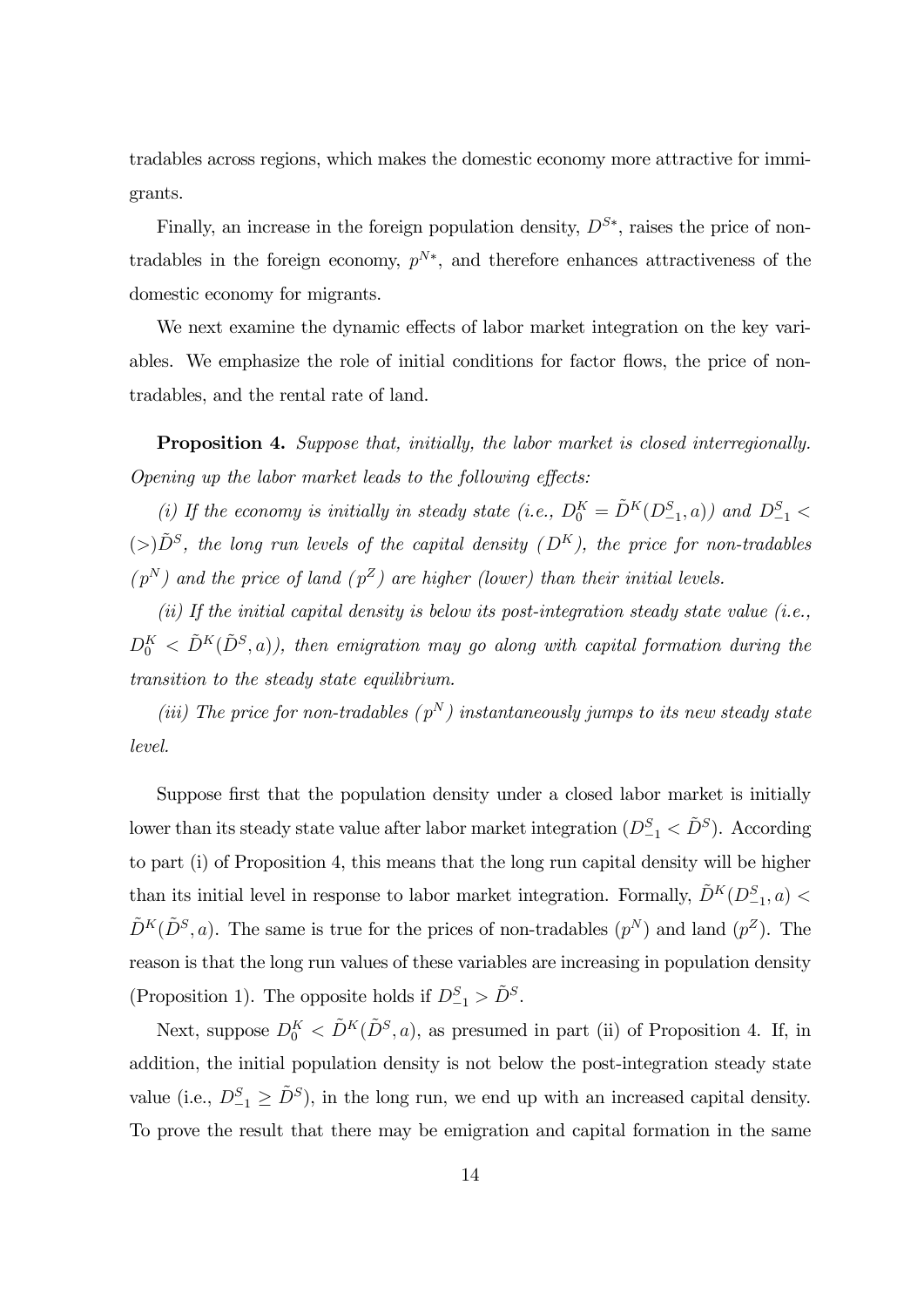tradables across regions, which makes the domestic economy more attractive for immigrants.

Finally, an increase in the foreign population density,  $D^{S*}$ , raises the price of nontradables in the foreign economy,  $p^{N*}$ , and therefore enhances attractiveness of the domestic economy for migrants.

We next examine the dynamic effects of labor market integration on the key variables. We emphasize the role of initial conditions for factor flows, the price of nontradables, and the rental rate of land.

**Proposition 4.** Suppose that, initially, the labor market is closed interregionally. Opening up the labor market leads to the following effects:

(i) If the economy is initially in steady state (i.e.,  $D_0^K = \tilde{D}^K(D_{-1}^S, a)$ ) and  $D_{-1}^S$ ( $>$ ) $\tilde{D}^{S}$ , the long run levels of the capital density ( $D^{K}$ ), the price for non-tradables  $(p^N)$  and the price of land  $(p^Z)$  are higher (lower) than their initial levels.

(ii) If the initial capital density is below its post-integration steady state value (i.e.,  $D_0^K\,<\,\tilde{D}^K(\tilde{D}^S,a))$ , then emigration may go along with capital formation during the transition to the steady state equilibrium.

(iii) The price for non-tradables  $(p^N)$  instantaneously jumps to its new steady state level.

Suppose first that the population density under a closed labor market is initially lower than its steady state value after labor market integration  $(D_{-1}^S < \tilde{D}^S)$ . According to part (i) of Proposition 4, this means that the long run capital density will be higher than its initial level in response to labor market integration. Formally,  $\tilde{D}^{K}(D_{-1}^{S},a)$  <  $\tilde{D}^{K}(\tilde{D}^{S}, a)$ . The same is true for the prices of non-tradables  $(p^{N})$  and land  $(p^{Z})$ . The reason is that the long run values of these variables are increasing in population density (Proposition 1). The opposite holds if  $D_{-1}^S > \tilde{D}^S$ .

Next, suppose  $D_0^K < \tilde{D}^K(\tilde{D}^S, a)$ , as presumed in part (ii) of Proposition 4. If, in addition, the initial population density is not below the post-integration steady state value (i.e.,  $D_{-1}^S \ge \tilde{D}^S$ ), in the long run, we end up with an increased capital density. To prove the result that there may be emigration and capital formation in the same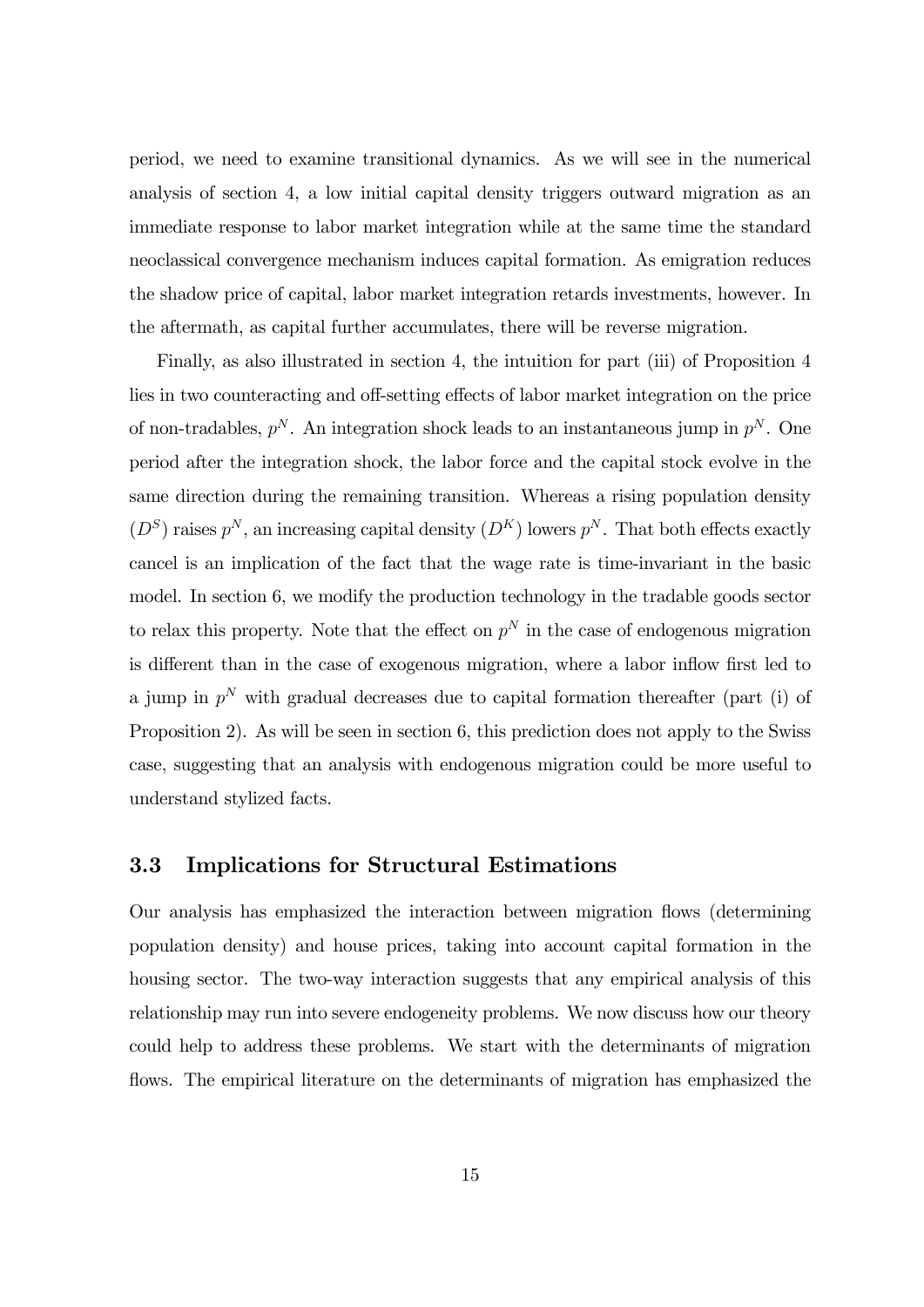period, we need to examine transitional dynamics. As we will see in the numerical analysis of section 4, a low initial capital density triggers outward migration as an immediate response to labor market integration while at the same time the standard neoclassical convergence mechanism induces capital formation. As emigration reduces the shadow price of capital, labor market integration retards investments, however. In the aftermath, as capital further accumulates, there will be reverse migration.

Finally, as also illustrated in section 4, the intuition for part (iii) of Proposition 4 lies in two counteracting and off-setting effects of labor market integration on the price of non-tradables,  $p^N$ . An integration shock leads to an instantaneous jump in  $p^N$ . One period after the integration shock, the labor force and the capital stock evolve in the same direction during the remaining transition. Whereas a rising population density  $(D^S)$  raises  $p^N$ , an increasing capital density  $(D^K)$  lowers  $p^N$ . That both effects exactly cancel is an implication of the fact that the wage rate is time-invariant in the basic model. In section 6, we modify the production technology in the tradable goods sector to relax this property. Note that the effect on  $p<sup>N</sup>$  in the case of endogenous migration is different than in the case of exogenous migration, where a labor inflow first led to a jump in  $p^N$  with gradual decreases due to capital formation thereafter (part (i) of Proposition 2). As will be seen in section 6, this prediction does not apply to the Swiss case, suggesting that an analysis with endogenous migration could be more useful to understand stylized facts.

#### 3.3 Implications for Structural Estimations

Our analysis has emphasized the interaction between migration flows (determining population density) and house prices, taking into account capital formation in the housing sector. The two-way interaction suggests that any empirical analysis of this relationship may run into severe endogeneity problems. We now discuss how our theory could help to address these problems. We start with the determinants of migration flows. The empirical literature on the determinants of migration has emphasized the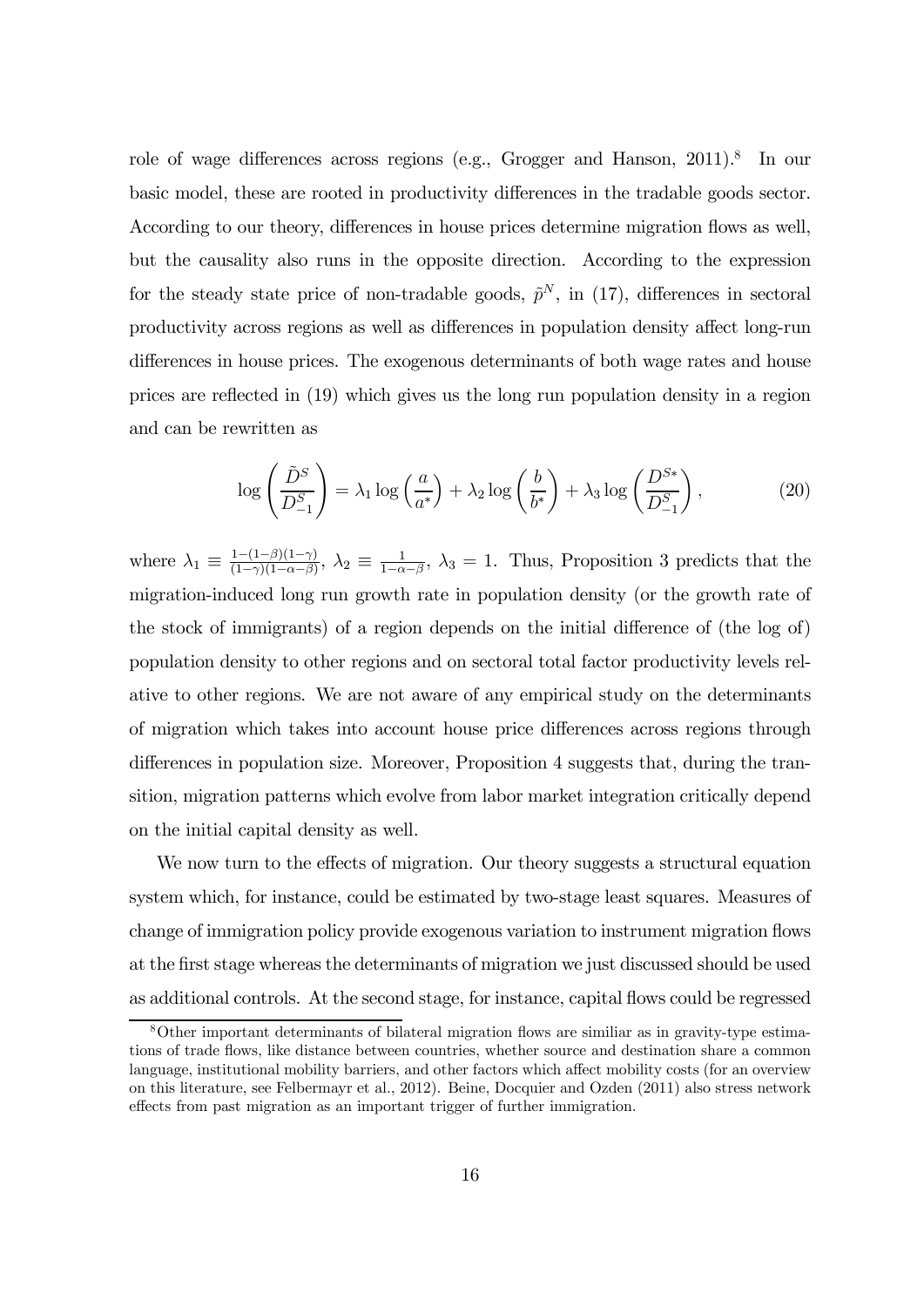role of wage differences across regions (e.g., Grogger and Hanson, 2011).<sup>8</sup> In our basic model, these are rooted in productivity differences in the tradable goods sector. According to our theory, differences in house prices determine migration flows as well, but the causality also runs in the opposite direction. According to the expression for the steady state price of non-tradable goods,  $\tilde{p}^N$ , in (17), differences in sectoral productivity across regions as well as differences in population density affect long-run differences in house prices. The exogenous determinants of both wage rates and house prices are reflected in (19) which gives us the long run population density in a region and can be rewritten as

$$
\log\left(\frac{\tilde{D}^S}{D_{-1}^S}\right) = \lambda_1 \log\left(\frac{a}{a^*}\right) + \lambda_2 \log\left(\frac{b}{b^*}\right) + \lambda_3 \log\left(\frac{D^{S*}}{D_{-1}^S}\right),\tag{20}
$$

where  $\lambda_1 \equiv \frac{1-(1-\beta)(1-\gamma)}{(1-\gamma)(1-\alpha-\beta)}$ ,  $\lambda_2 \equiv \frac{1}{1-\alpha-\beta}$ ,  $\lambda_3 = 1$ . Thus, Proposition 3 predicts that the migration-induced long run growth rate in population density (or the growth rate of the stock of immigrants) of a region depends on the initial difference of (the log of) population density to other regions and on sectoral total factor productivity levels relative to other regions. We are not aware of any empirical study on the determinants of migration which takes into account house price differences across regions through differences in population size. Moreover, Proposition 4 suggests that, during the transition, migration patterns which evolve from labor market integration critically depend on the initial capital density as well.

We now turn to the effects of migration. Our theory suggests a structural equation system which, for instance, could be estimated by two-stage least squares. Measures of change of immigration policy provide exogenous variation to instrument migration flows at the first stage whereas the determinants of migration we just discussed should be used as additional controls. At the second stage, for instance, capital flows could be regressed

<sup>8</sup>Other important determinants of bilateral migration flows are similiar as in gravity-type estimations of trade flows, like distance between countries, whether source and destination share a common language, institutional mobility barriers, and other factors which affect mobility costs (for an overview on this literature, see Felbermayr et al., 2012). Beine, Docquier and Ozden (2011) also stress network effects from past migration as an important trigger of further immigration.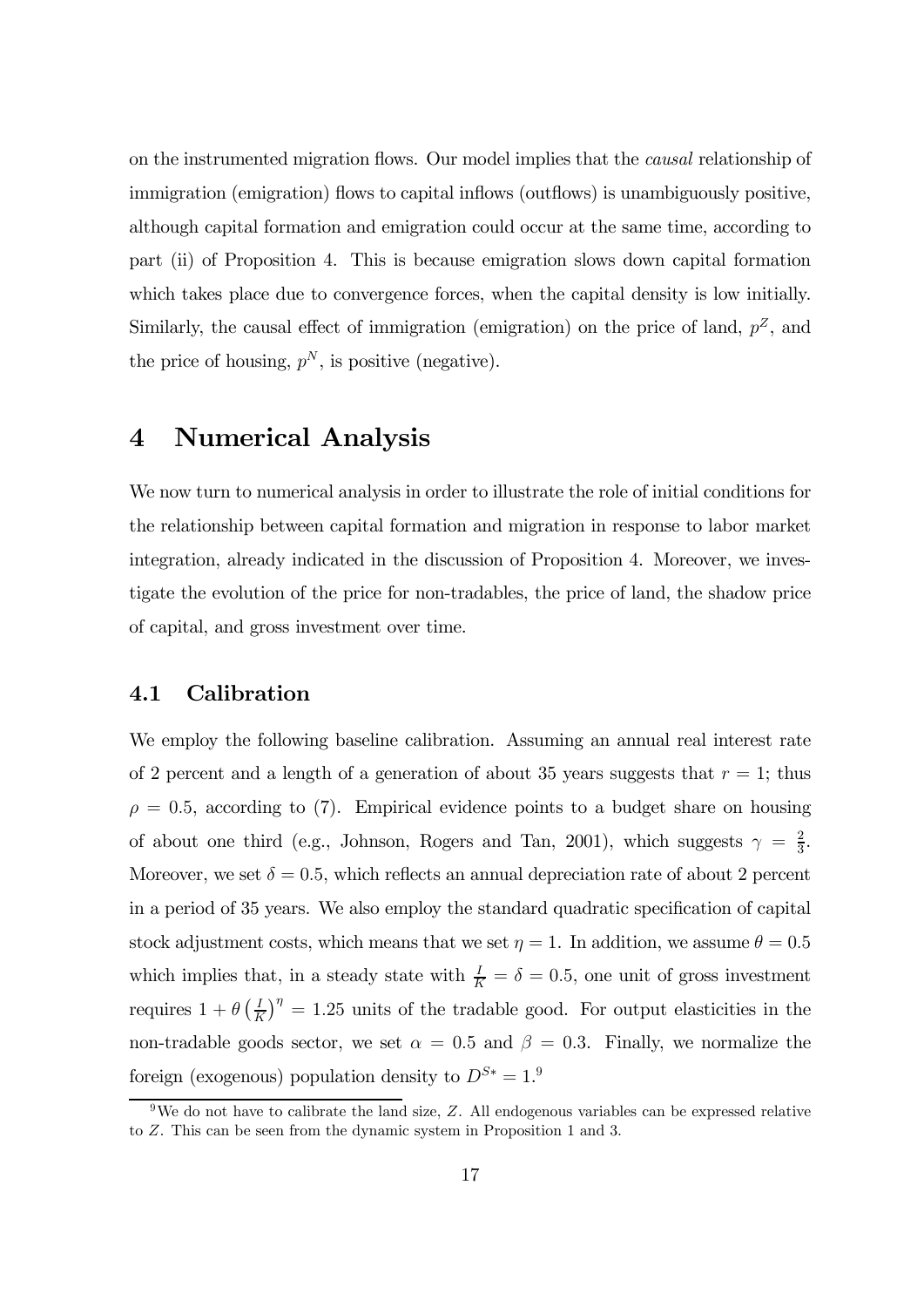on the instrumented migration flows. Our model implies that the causal relationship of immigration (emigration) flows to capital inflows (outflows) is unambiguously positive, although capital formation and emigration could occur at the same time, according to part (ii) of Proposition 4. This is because emigration slows down capital formation which takes place due to convergence forces, when the capital density is low initially. Similarly, the causal effect of immigration (emigration) on the price of land,  $p^Z$ , and the price of housing,  $p^N$ , is positive (negative).

## 4 Numerical Analysis

We now turn to numerical analysis in order to illustrate the role of initial conditions for the relationship between capital formation and migration in response to labor market integration, already indicated in the discussion of Proposition 4. Moreover, we investigate the evolution of the price for non-tradables, the price of land, the shadow price of capital, and gross investment over time.

#### 4.1 Calibration

We employ the following baseline calibration. Assuming an annual real interest rate of 2 percent and a length of a generation of about 35 years suggests that  $r = 1$ ; thus  $\rho = 0.5$ , according to (7). Empirical evidence points to a budget share on housing of about one third (e.g., Johnson, Rogers and Tan, 2001), which suggests  $\gamma = \frac{2}{3}$ . Moreover, we set  $\delta = 0.5$ , which reflects an annual depreciation rate of about 2 percent in a period of 35 years. We also employ the standard quadratic specification of capital stock adjustment costs, which means that we set  $\eta = 1$ . In addition, we assume  $\theta = 0.5$ which implies that, in a steady state with  $\frac{I}{K} = \delta = 0.5$ , one unit of gross investment requires  $1 + \theta \left(\frac{I}{K}\right)^{\eta} = 1.25$  units of the tradable good. For output elasticities in the non-tradable goods sector, we set  $\alpha = 0.5$  and  $\beta = 0.3$ . Finally, we normalize the foreign (exogenous) population density to  $D^{S*} = 1$ <sup>9</sup>

 $9W$ e do not have to calibrate the land size, Z. All endogenous variables can be expressed relative to  $Z$ . This can be seen from the dynamic system in Proposition 1 and 3.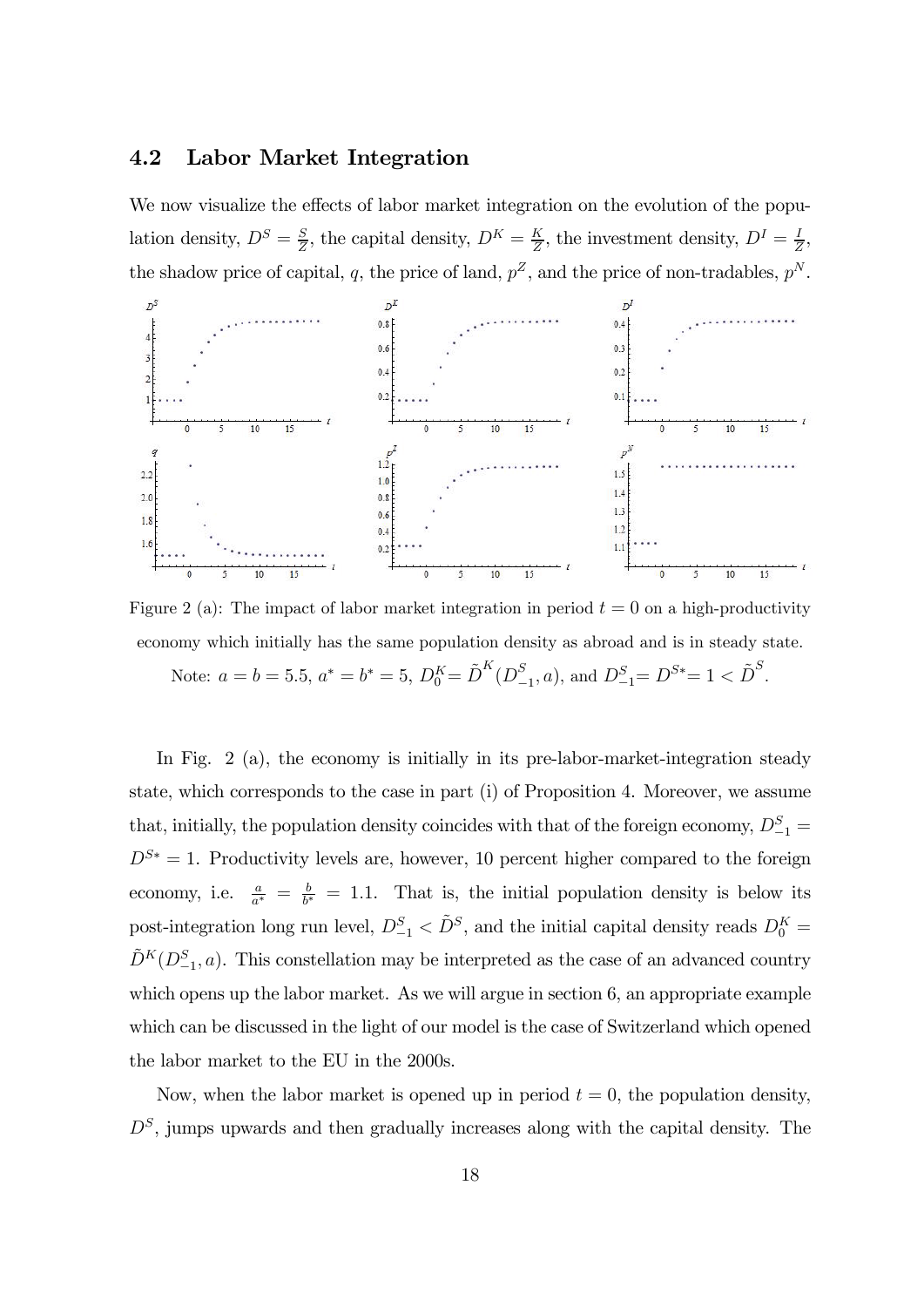#### 4.2 Labor Market Integration

We now visualize the effects of labor market integration on the evolution of the population density,  $D^S = \frac{S}{Z}$ , the capital density,  $D^K = \frac{K}{Z}$ , the investment density,  $D^I = \frac{I}{Z}$ , the shadow price of capital, q, the price of land,  $p^Z$ , and the price of non-tradables,  $p^N$ .



Figure 2 (a): The impact of labor market integration in period  $t = 0$  on a high-productivity economy which initially has the same population density as abroad and is in steady state. Note:  $a = b = 5.5$ ,  $a^* = b^* = 5$ ,  $D_0^K = \tilde{D}^K(D_{-1}^S, a)$ , and  $D_{-1}^S = D^{S*} = 1 < \tilde{D}^S$ .

In Fig. 2 (a), the economy is initially in its pre-labor-market-integration steady state, which corresponds to the case in part (i) of Proposition 4. Moreover, we assume that, initially, the population density coincides with that of the foreign economy,  $D_{-1}^S$  =  $D^{S*} = 1$ . Productivity levels are, however, 10 percent higher compared to the foreign economy, i.e.  $\frac{a}{a^*} = \frac{b}{b^*} = 1.1$ . That is, the initial population density is below its post-integration long run level,  $D_{-1}^S < \tilde{D}^S$ , and the initial capital density reads  $D_0^K$  $\tilde{D}^K(D_{-1}^S,a)$ . This constellation may be interpreted as the case of an advanced country which opens up the labor market. As we will argue in section 6, an appropriate example which can be discussed in the light of our model is the case of Switzerland which opened the labor market to the EU in the 2000s.

Now, when the labor market is opened up in period  $t = 0$ , the population density,  $D<sup>S</sup>$ , jumps upwards and then gradually increases along with the capital density. The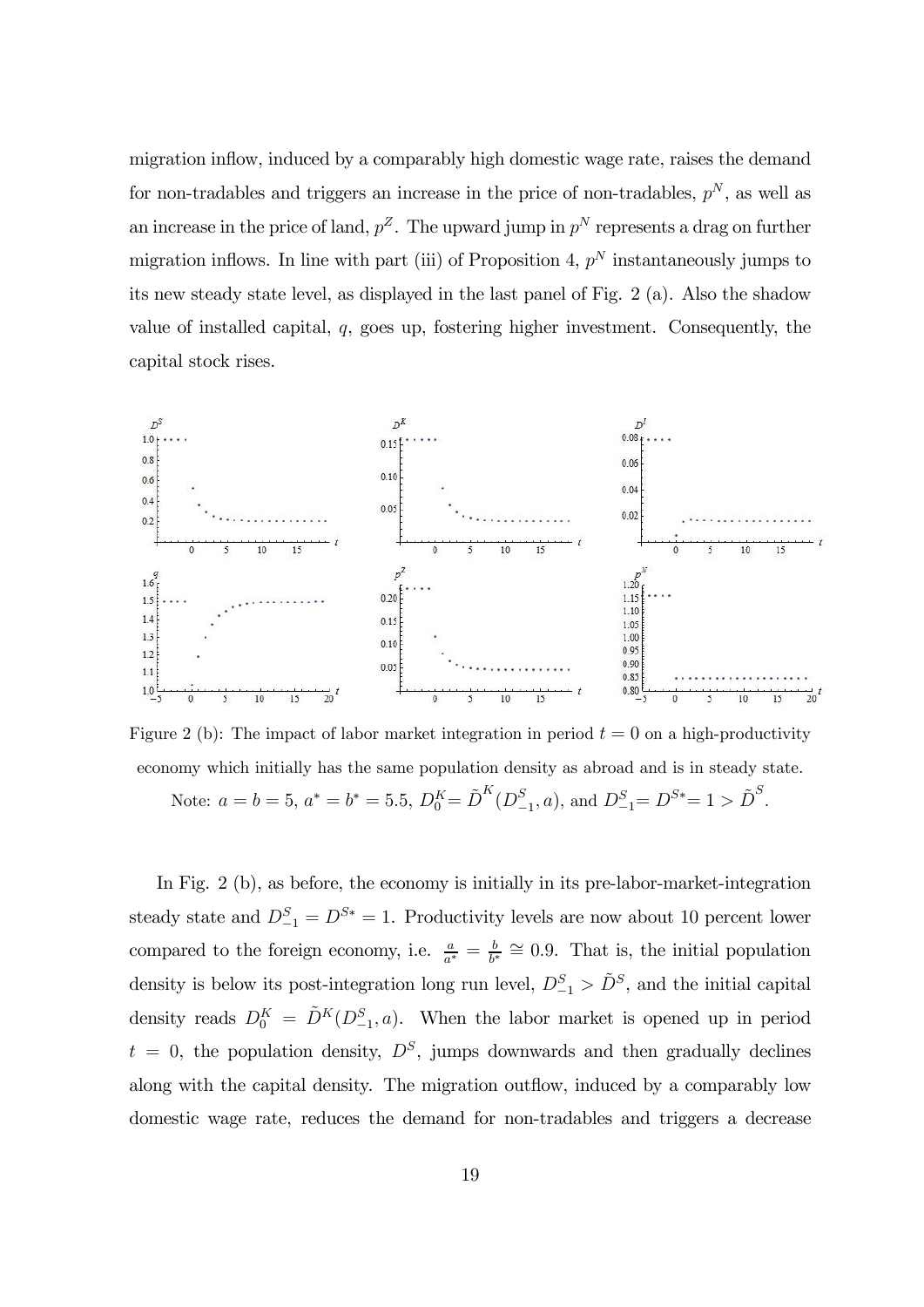migration inflow, induced by a comparably high domestic wage rate, raises the demand for non-tradables and triggers an increase in the price of non-tradables,  $p^N$ , as well as an increase in the price of land,  $p^Z$ . The upward jump in  $p^N$  represents a drag on further migration inflows. In line with part (iii) of Proposition 4,  $p<sup>N</sup>$  instantaneously jumps to its new steady state level, as displayed in the last panel of Fig. 2 (a). Also the shadow value of installed capital,  $q$ , goes up, fostering higher investment. Consequently, the capital stock rises.



Figure 2 (b): The impact of labor market integration in period  $t = 0$  on a high-productivity economy which initially has the same population density as abroad and is in steady state. Note:  $a = b = 5$ ,  $a^* = b^* = 5.5$ ,  $D_0^K = \tilde{D}^K(D_{-1}^S, a)$ , and  $D_{-1}^S = D^{S*} = 1 > \tilde{D}^S$ .

In Fig. 2 (b), as before, the economy is initially in its pre-labor-market-integration steady state and  $D_{-1}^S = D^{S*} = 1$ . Productivity levels are now about 10 percent lower compared to the foreign economy, i.e.  $\frac{a}{a^*} = \frac{b}{b^*} \cong 0.9$ . That is, the initial population density is below its post-integration long run level,  $D_{-1}^S > \tilde{D}^S$ , and the initial capital

density reads  $D_0^K = \tilde{D}^K(D_{-1}^S, a)$ . When the labor market is opened up in period  $t = 0$ , the population density,  $D<sup>S</sup>$ , jumps downwards and then gradually declines along with the capital density. The migration outflow, induced by a comparably low domestic wage rate, reduces the demand for non-tradables and triggers a decrease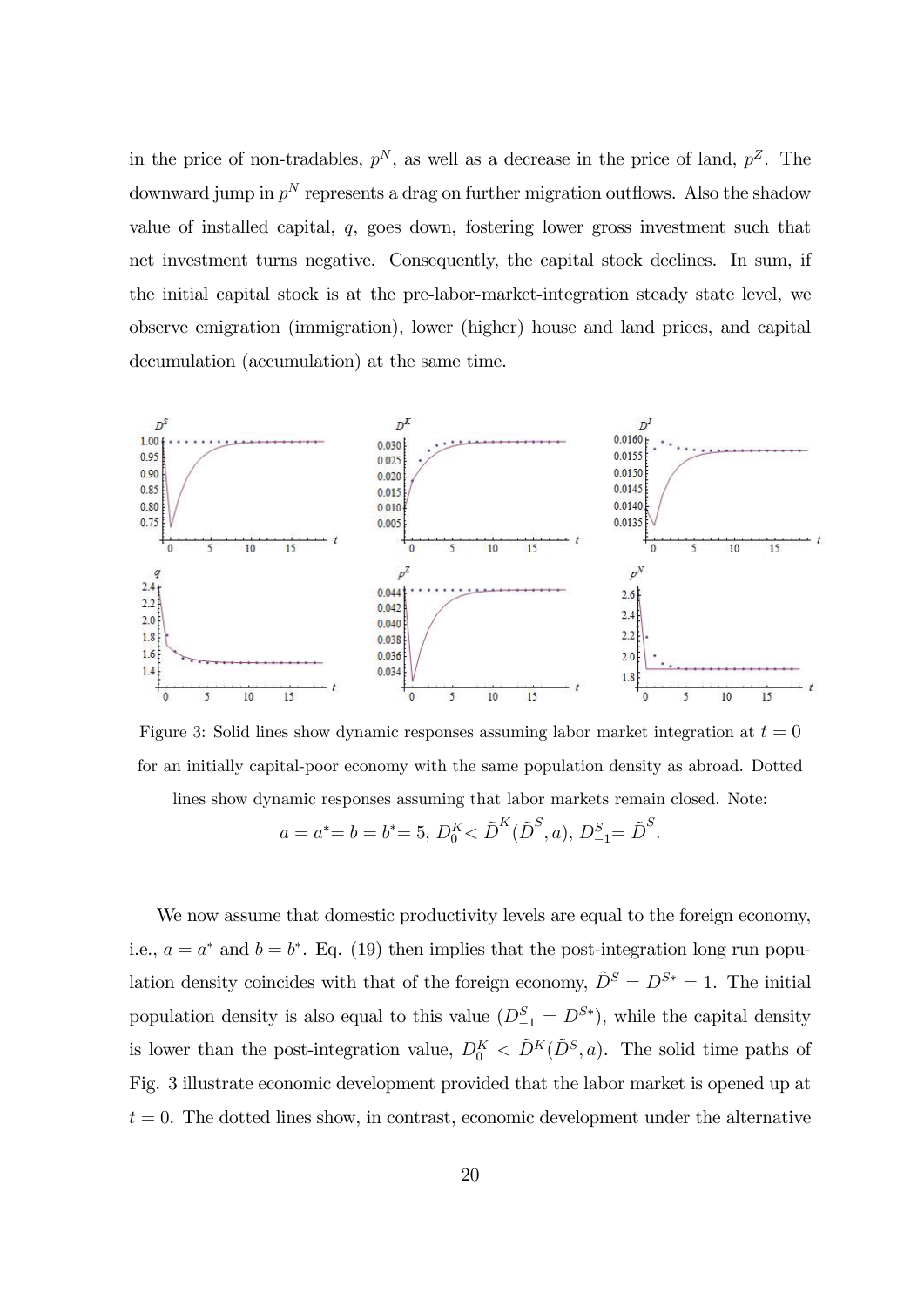in the price of non-tradables,  $p^N$ , as well as a decrease in the price of land,  $p^Z$ . The downward jump in  $p^N$  represents a drag on further migration outflows. Also the shadow value of installed capital,  $q$ , goes down, fostering lower gross investment such that net investment turns negative. Consequently, the capital stock declines. In sum, if the initial capital stock is at the pre-labor-market-integration steady state level, we observe emigration (immigration), lower (higher) house and land prices, and capital decumulation (accumulation) at the same time.



Figure 3: Solid lines show dynamic responses assuming labor market integration at  $t = 0$ for an initially capital-poor economy with the same population density as abroad. Dotted

lines show dynamic responses assuming that labor markets remain closed. Note:

$$
a = a^* = b = b^* = 5, D_0^K < \tilde{D}^K(\tilde{D}^S, a), D_{-1}^S = \tilde{D}^S.
$$

We now assume that domestic productivity levels are equal to the foreign economy, i.e.,  $a = a^*$  and  $b = b^*$ . Eq. (19) then implies that the post-integration long run population density coincides with that of the foreign economy,  $\tilde{D}^S = D^{S*} = 1$ . The initial population density is also equal to this value  $(D_{-1}^S = D^{S*})$ , while the capital density is lower than the post-integration value,  $D_0^K < \tilde{D}^K(\tilde{D}^S, a)$ . The solid time paths of Fig. 3 illustrate economic development provided that the labor market is opened up at  $t = 0$ . The dotted lines show, in contrast, economic development under the alternative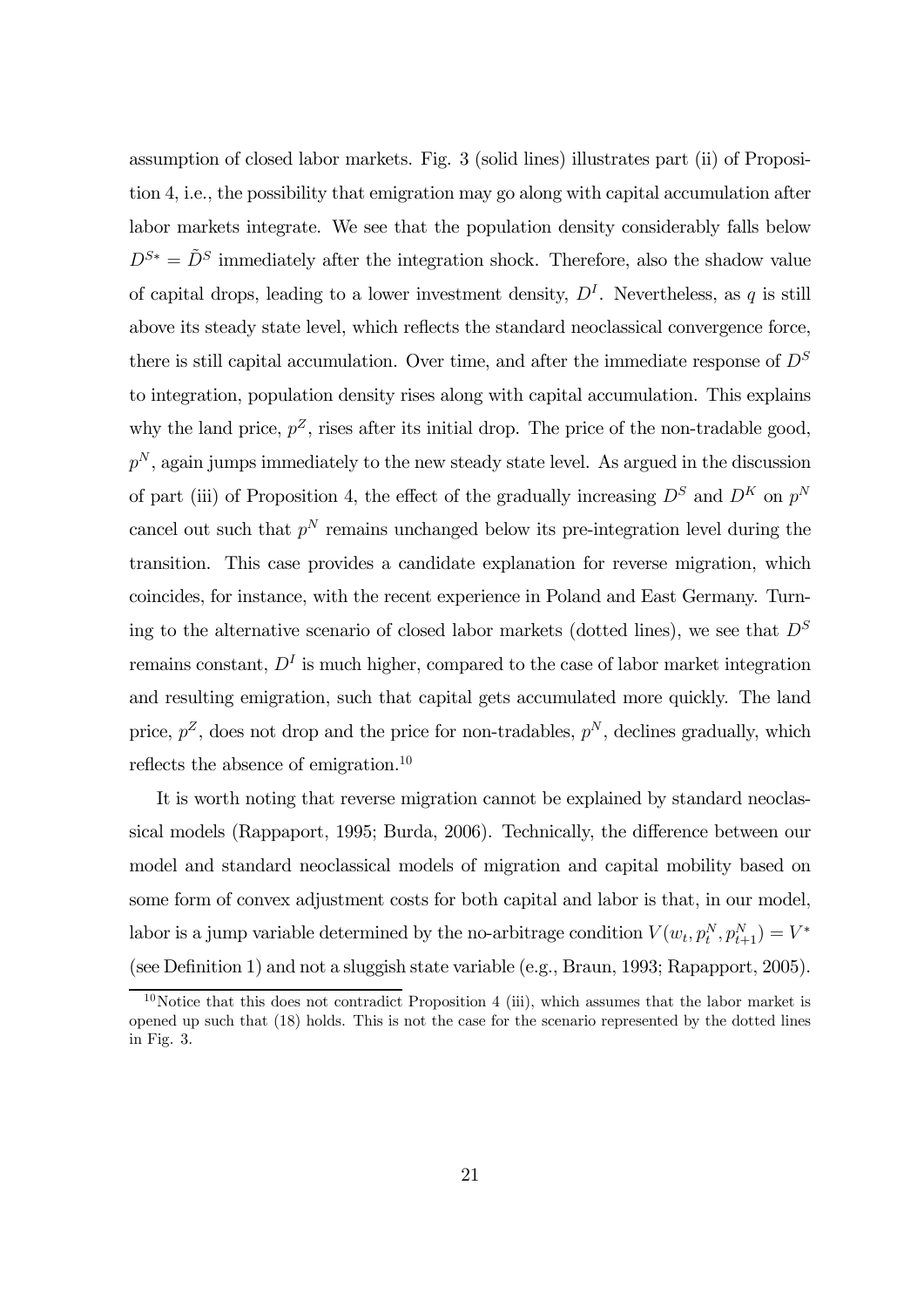assumption of closed labor markets. Fig. 3 (solid lines) illustrates part (ii) of Proposition 4, i.e., the possibility that emigration may go along with capital accumulation after labor markets integrate. We see that the population density considerably falls below  $D^{S*} = \tilde{D}^S$  immediately after the integration shock. Therefore, also the shadow value of capital drops, leading to a lower investment density,  $D<sup>I</sup>$ . Nevertheless, as q is still above its steady state level, which reflects the standard neoclassical convergence force, there is still capital accumulation. Over time, and after the immediate response of  $D<sup>S</sup>$ to integration, population density rises along with capital accumulation. This explains why the land price,  $p^Z$ , rises after its initial drop. The price of the non-tradable good,  $p<sup>N</sup>$ , again jumps immediately to the new steady state level. As argued in the discussion of part (iii) of Proposition 4, the effect of the gradually increasing  $D^S$  and  $D^K$  on  $p^N$ cancel out such that  $p^N$  remains unchanged below its pre-integration level during the transition. This case provides a candidate explanation for reverse migration, which coincides, for instance, with the recent experience in Poland and East Germany. Turning to the alternative scenario of closed labor markets (dotted lines), we see that  $D<sup>S</sup>$ remains constant,  $D<sup>I</sup>$  is much higher, compared to the case of labor market integration and resulting emigration, such that capital gets accumulated more quickly. The land price,  $p^Z$ , does not drop and the price for non-tradables,  $p^N$ , declines gradually, which reflects the absence of emigration.<sup>10</sup>

It is worth noting that reverse migration cannot be explained by standard neoclassical models (Rappaport, 1995; Burda, 2006). Technically, the difference between our model and standard neoclassical models of migration and capital mobility based on some form of convex adjustment costs for both capital and labor is that, in our model, labor is a jump variable determined by the no-arbitrage condition  $V(w_t, p_t^N, p_{t+1}^N) = V^*$ (see Definition 1) and not a sluggish state variable (e.g., Braun, 1993; Rapapport, 2005).

 $10$ Notice that this does not contradict Proposition 4 (iii), which assumes that the labor market is opened up such that (18) holds. This is not the case for the scenario represented by the dotted lines in Fig. 3.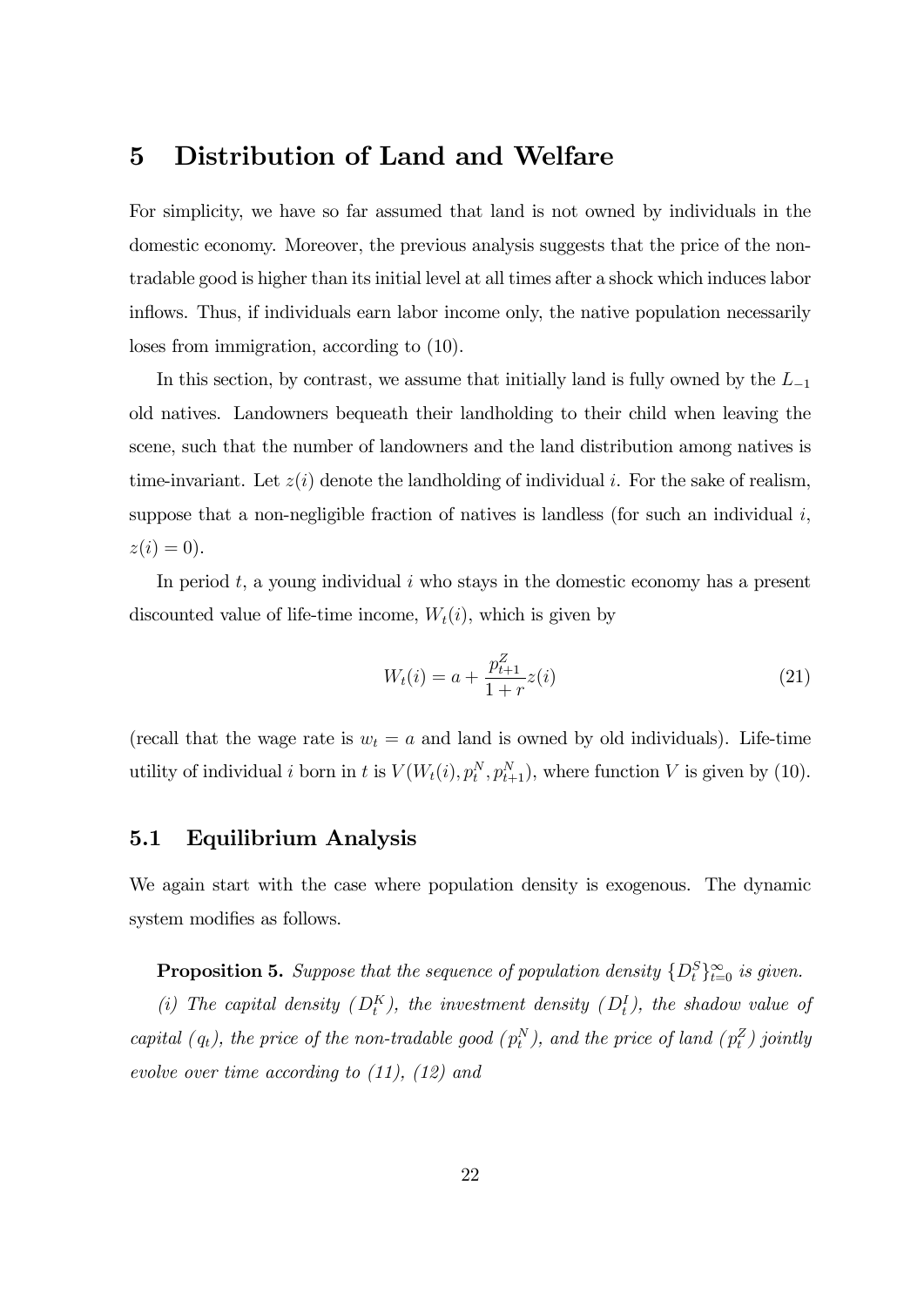## 5 Distribution of Land and Welfare

For simplicity, we have so far assumed that land is not owned by individuals in the domestic economy. Moreover, the previous analysis suggests that the price of the nontradable good is higher than its initial level at all times after a shock which induces labor inflows. Thus, if individuals earn labor income only, the native population necessarily loses from immigration, according to (10).

In this section, by contrast, we assume that initially land is fully owned by the  $L_{-1}$ old natives. Landowners bequeath their landholding to their child when leaving the scene, such that the number of landowners and the land distribution among natives is time-invariant. Let  $z(i)$  denote the landholding of individual i. For the sake of realism, suppose that a non-negligible fraction of natives is landless (for such an individual  $i$ ,  $z(i)=0$ ).

In period  $t$ , a young individual  $i$  who stays in the domestic economy has a present discounted value of life-time income,  $W_t(i)$ , which is given by

$$
W_t(i) = a + \frac{p_{t+1}^Z}{1+r}z(i)
$$
\n(21)

(recall that the wage rate is  $w_t = a$  and land is owned by old individuals). Life-time utility of individual *i* born in *t* is  $V(W_t(i), p_t^N, p_{t+1}^N)$ , where function *V* is given by (10).

#### 5.1 Equilibrium Analysis

We again start with the case where population density is exogenous. The dynamic system modifies as follows.

**Proposition 5.** Suppose that the sequence of population density  $\{D_t^S\}_{t=0}^{\infty}$  is given.

(i) The capital density  $(D_t^K)$ , the investment density  $(D_t^I)$ , the shadow value of capital  $(q_t)$ , the price of the non-tradable good  $(p_t^N)$ , and the price of land  $(p_t^Z)$  jointly evolve over time according to (11), (12) and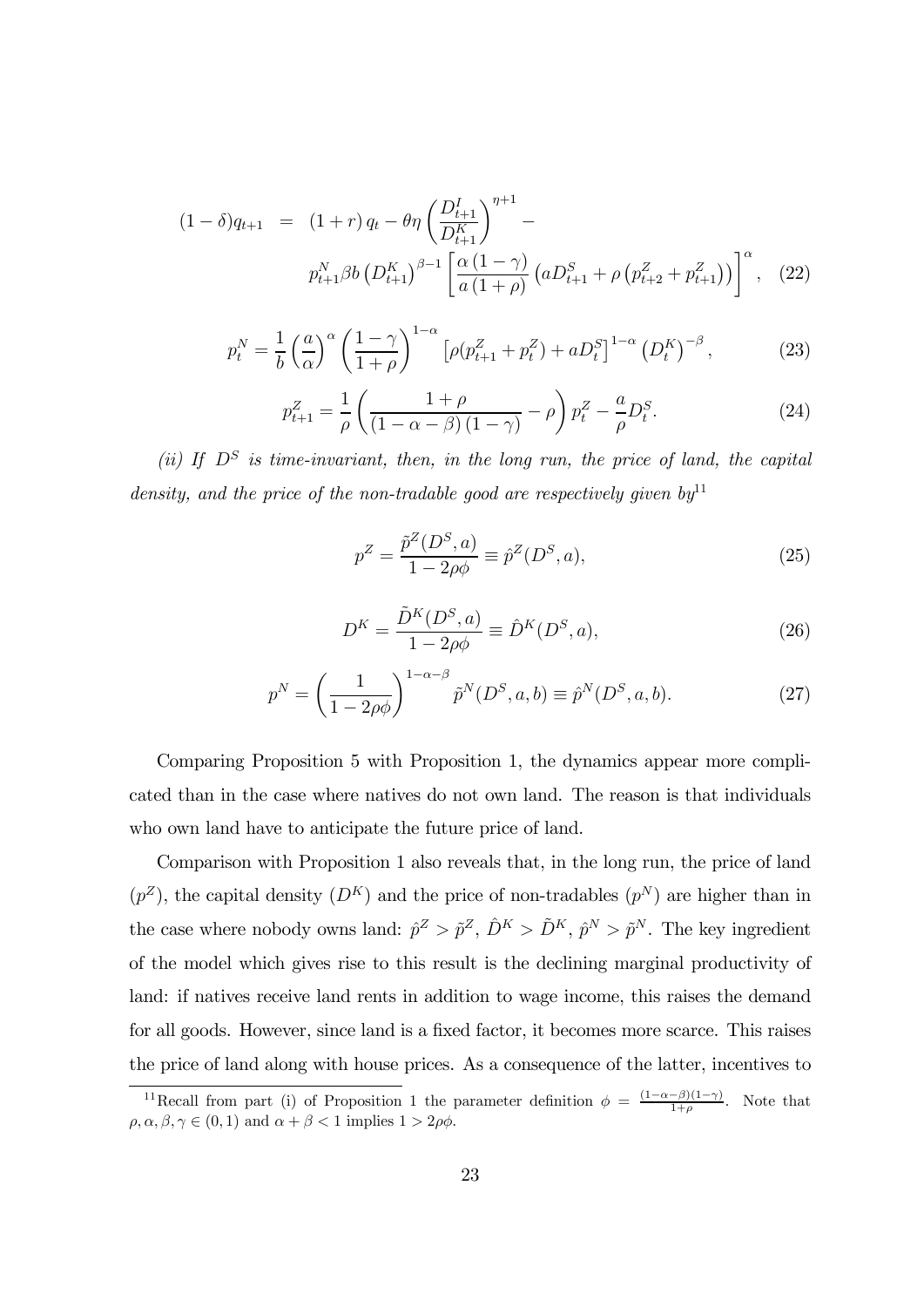$$
(1 - \delta)q_{t+1} = (1 + r)q_t - \theta \eta \left(\frac{D_{t+1}^I}{D_{t+1}^K}\right)^{\eta+1} -
$$
  

$$
p_{t+1}^N \beta b \left(D_{t+1}^K\right)^{\beta-1} \left[\frac{\alpha (1 - \gamma)}{a (1 + \rho)} \left(a D_{t+1}^S + \rho \left(p_{t+2}^Z + p_{t+1}^Z\right)\right)\right]^\alpha, (22)
$$

$$
p_t^N = \frac{1}{b} \left(\frac{a}{\alpha}\right)^{\alpha} \left(\frac{1-\gamma}{1+\rho}\right)^{1-\alpha} \left[\rho(p_{t+1}^Z + p_t^Z) + aD_t^S\right]^{1-\alpha} \left(D_t^K\right)^{-\beta},\tag{23}
$$

$$
p_{t+1}^{Z} = \frac{1}{\rho} \left( \frac{1+\rho}{(1-\alpha-\beta)(1-\gamma)} - \rho \right) p_{t}^{Z} - \frac{a}{\rho} D_{t}^{S}.
$$
 (24)

(ii) If  $D^S$  is time-invariant, then, in the long run, the price of land, the capital density, and the price of the non-tradable good are respectively given by  $y^{11}$ 

$$
p^Z = \frac{\tilde{p}^Z(D^S, a)}{1 - 2\rho\phi} \equiv \hat{p}^Z(D^S, a),
$$
\n(25)

$$
D^{K} = \frac{\tilde{D}^{K}(D^{S}, a)}{1 - 2\rho\phi} \equiv \hat{D}^{K}(D^{S}, a), \qquad (26)
$$

$$
p^N = \left(\frac{1}{1 - 2\rho\phi}\right)^{1 - \alpha - \beta} \tilde{p}^N(D^S, a, b) \equiv \hat{p}^N(D^S, a, b). \tag{27}
$$

Comparing Proposition 5 with Proposition 1, the dynamics appear more complicated than in the case where natives do not own land. The reason is that individuals who own land have to anticipate the future price of land.

Comparison with Proposition 1 also reveals that, in the long run, the price of land  $(p^Z)$ , the capital density  $(D^K)$  and the price of non-tradables  $(p^N)$  are higher than in the case where nobody owns land:  $\hat{p}^Z > \tilde{p}^Z$ ,  $\hat{D}^K > \tilde{D}^K$ ,  $\hat{p}^N > \tilde{p}^N$ . The key ingredient of the model which gives rise to this result is the declining marginal productivity of land: if natives receive land rents in addition to wage income, this raises the demand for all goods. However, since land is a fixed factor, it becomes more scarce. This raises the price of land along with house prices. As a consequence of the latter, incentives to

<sup>&</sup>lt;sup>11</sup>Recall from part (i) of Proposition 1 the parameter definition  $\phi = \frac{(1-\alpha-\beta)(1-\gamma)}{1+\rho}$ . Note that  $\rho, \alpha, \beta, \gamma \in (0, 1)$  and  $\alpha + \beta < 1$  implies  $1 > 2\rho\phi$ .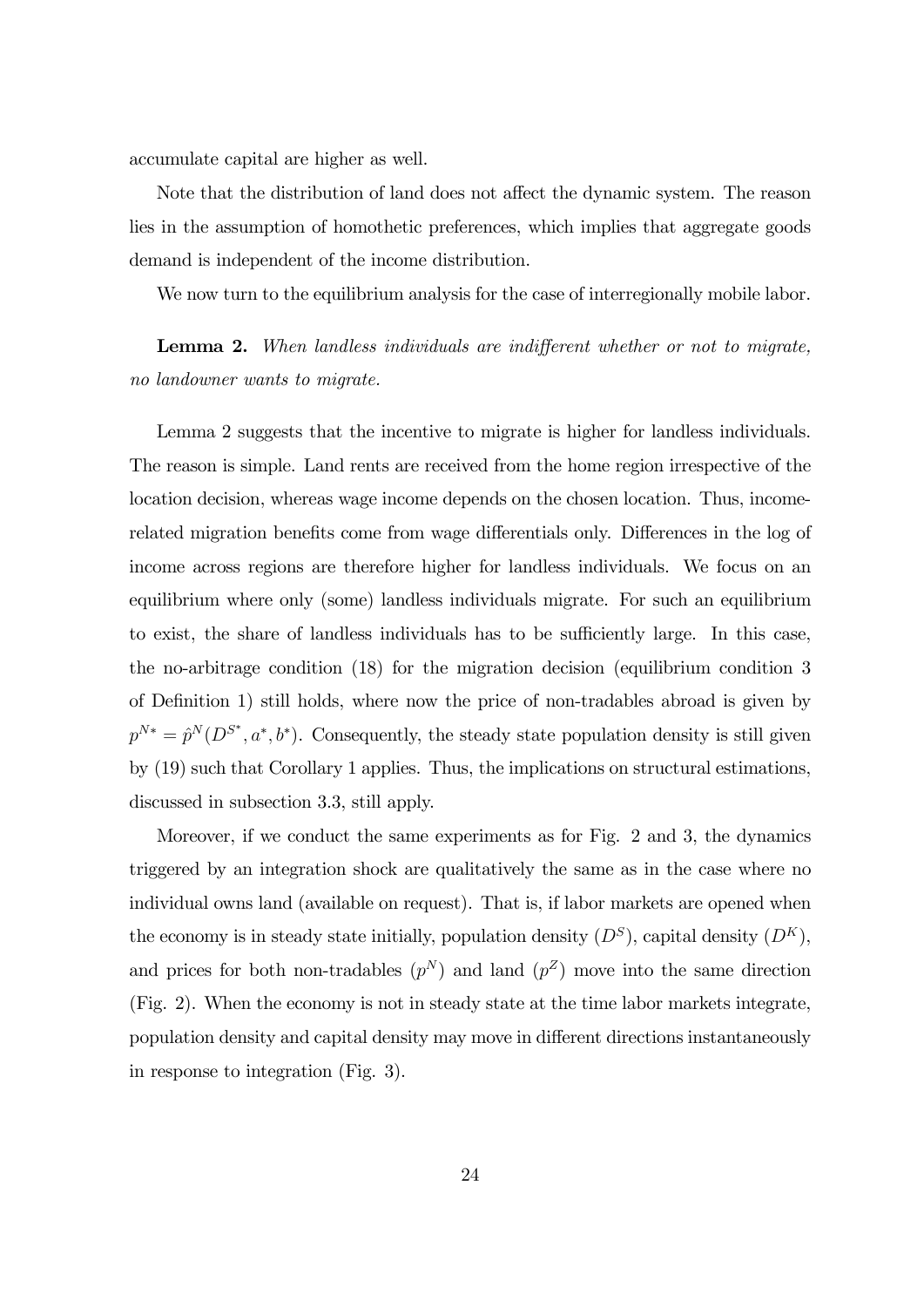accumulate capital are higher as well.

Note that the distribution of land does not affect the dynamic system. The reason lies in the assumption of homothetic preferences, which implies that aggregate goods demand is independent of the income distribution.

We now turn to the equilibrium analysis for the case of interregionally mobile labor.

**Lemma 2.** When landless individuals are indifferent whether or not to migrate, no landowner wants to migrate.

Lemma 2 suggests that the incentive to migrate is higher for landless individuals. The reason is simple. Land rents are received from the home region irrespective of the location decision, whereas wage income depends on the chosen location. Thus, incomerelated migration benefits come from wage differentials only. Differences in the log of income across regions are therefore higher for landless individuals. We focus on an equilibrium where only (some) landless individuals migrate. For such an equilibrium to exist, the share of landless individuals has to be sufficiently large. In this case, the no-arbitrage condition (18) for the migration decision (equilibrium condition 3 of Definition 1) still holds, where now the price of non-tradables abroad is given by  $p^{N*} = \hat{p}^N(D^{S^*}, a^*, b^*)$ . Consequently, the steady state population density is still given by (19) such that Corollary 1 applies. Thus, the implications on structural estimations, discussed in subsection 3.3, still apply.

Moreover, if we conduct the same experiments as for Fig. 2 and 3, the dynamics triggered by an integration shock are qualitatively the same as in the case where no individual owns land (available on request). That is, if labor markets are opened when the economy is in steady state initially, population density  $(D^S)$ , capital density  $(D^K)$ , and prices for both non-tradables  $(p^N)$  and land  $(p^Z)$  move into the same direction (Fig. 2). When the economy is not in steady state at the time labor markets integrate, population density and capital density may move in different directions instantaneously in response to integration (Fig. 3).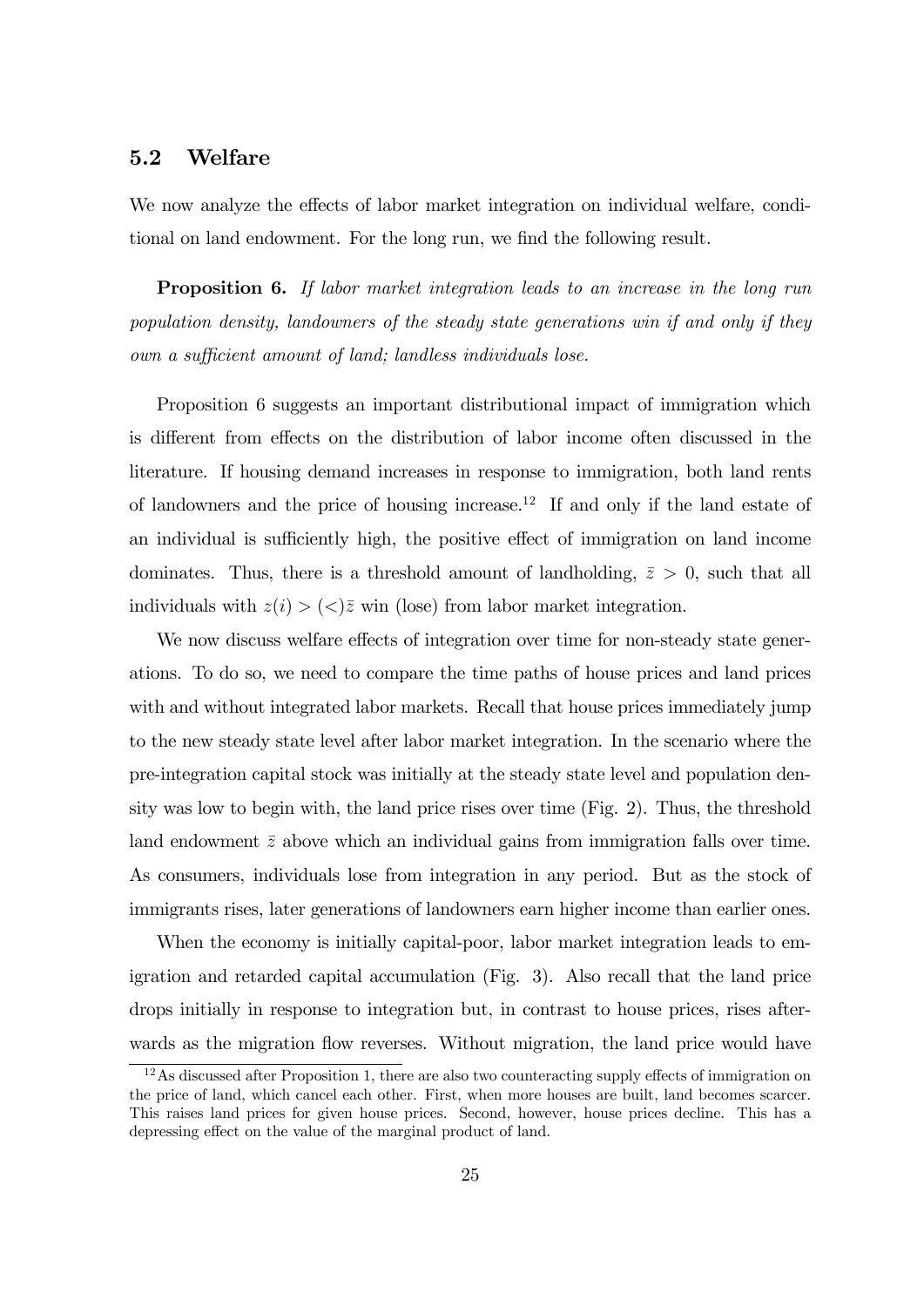#### 5.2 Welfare

We now analyze the effects of labor market integration on individual welfare, conditional on land endowment. For the long run, we find the following result.

Proposition 6. If labor market integration leads to an increase in the long run population density, landowners of the steady state generations win if and only if they own a sufficient amount of land; landless individuals lose.

Proposition 6 suggests an important distributional impact of immigration which is different from effects on the distribution of labor income often discussed in the literature. If housing demand increases in response to immigration, both land rents of landowners and the price of housing increase.<sup>12</sup> If and only if the land estate of an individual is sufficiently high, the positive effect of immigration on land income dominates. Thus, there is a threshold amount of landholding,  $\bar{z} > 0$ , such that all individuals with  $z(i) > (\langle \rangle \bar{z}$  win (lose) from labor market integration.

We now discuss welfare effects of integration over time for non-steady state generations. To do so, we need to compare the time paths of house prices and land prices with and without integrated labor markets. Recall that house prices immediately jump to the new steady state level after labor market integration. In the scenario where the pre-integration capital stock was initially at the steady state level and population density was low to begin with, the land price rises over time (Fig. 2). Thus, the threshold land endowment  $\bar{z}$  above which an individual gains from immigration falls over time. As consumers, individuals lose from integration in any period. But as the stock of immigrants rises, later generations of landowners earn higher income than earlier ones.

When the economy is initially capital-poor, labor market integration leads to emigration and retarded capital accumulation (Fig. 3). Also recall that the land price drops initially in response to integration but, in contrast to house prices, rises afterwards as the migration flow reverses. Without migration, the land price would have

<sup>&</sup>lt;sup>12</sup>As discussed after Proposition 1, there are also two counteracting supply effects of immigration on the price of land, which cancel each other. First, when more houses are built, land becomes scarcer. This raises land prices for given house prices. Second, however, house prices decline. This has a depressing effect on the value of the marginal product of land.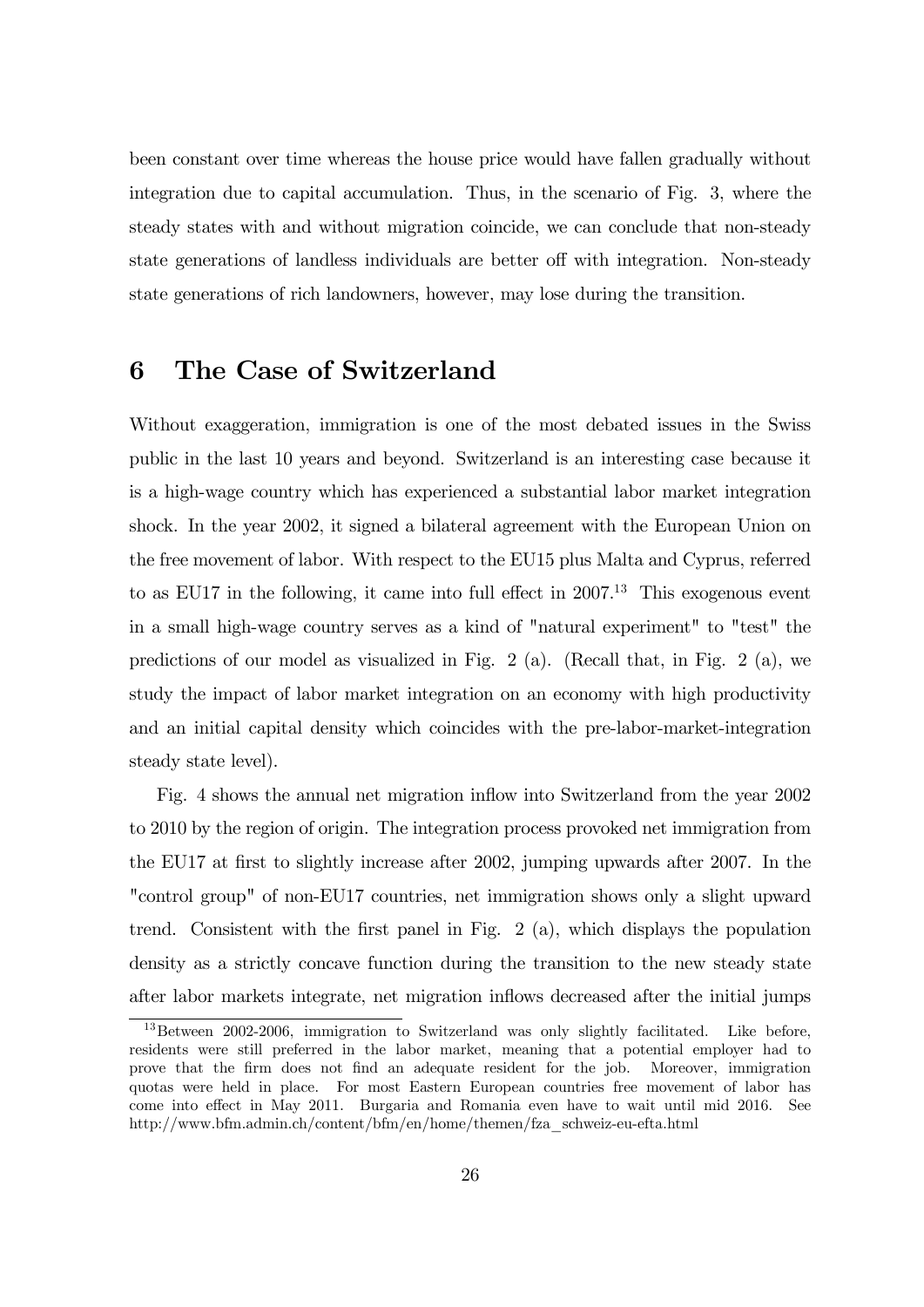been constant over time whereas the house price would have fallen gradually without integration due to capital accumulation. Thus, in the scenario of Fig. 3, where the steady states with and without migration coincide, we can conclude that non-steady state generations of landless individuals are better off with integration. Non-steady state generations of rich landowners, however, may lose during the transition.

# 6 The Case of Switzerland

Without exaggeration, immigration is one of the most debated issues in the Swiss public in the last 10 years and beyond. Switzerland is an interesting case because it is a high-wage country which has experienced a substantial labor market integration shock. In the year 2002, it signed a bilateral agreement with the European Union on the free movement of labor. With respect to the EU15 plus Malta and Cyprus, referred to as EU17 in the following, it came into full effect in  $2007<sup>13</sup>$  This exogenous event in a small high-wage country serves as a kind of "natural experiment" to "test" the predictions of our model as visualized in Fig. 2 (a). (Recall that, in Fig. 2 (a), we study the impact of labor market integration on an economy with high productivity and an initial capital density which coincides with the pre-labor-market-integration steady state level).

Fig. 4 shows the annual net migration inflow into Switzerland from the year 2002 to 2010 by the region of origin. The integration process provoked net immigration from the EU17 at first to slightly increase after 2002, jumping upwards after 2007. In the "control group" of non-EU17 countries, net immigration shows only a slight upward trend. Consistent with the first panel in Fig. 2 (a), which displays the population density as a strictly concave function during the transition to the new steady state after labor markets integrate, net migration inflows decreased after the initial jumps

<sup>&</sup>lt;sup>13</sup>Between 2002-2006, immigration to Switzerland was only slightly facilitated. Like before, residents were still preferred in the labor market, meaning that a potential employer had to prove that the firm does not find an adequate resident for the job. Moreover, immigration quotas were held in place. For most Eastern European countries free movement of labor has come into effect in May 2011. Burgaria and Romania even have to wait until mid 2016. See http://www.bfm.admin.ch/content/bfm/en/home/themen/fza\_schweiz-eu-efta.html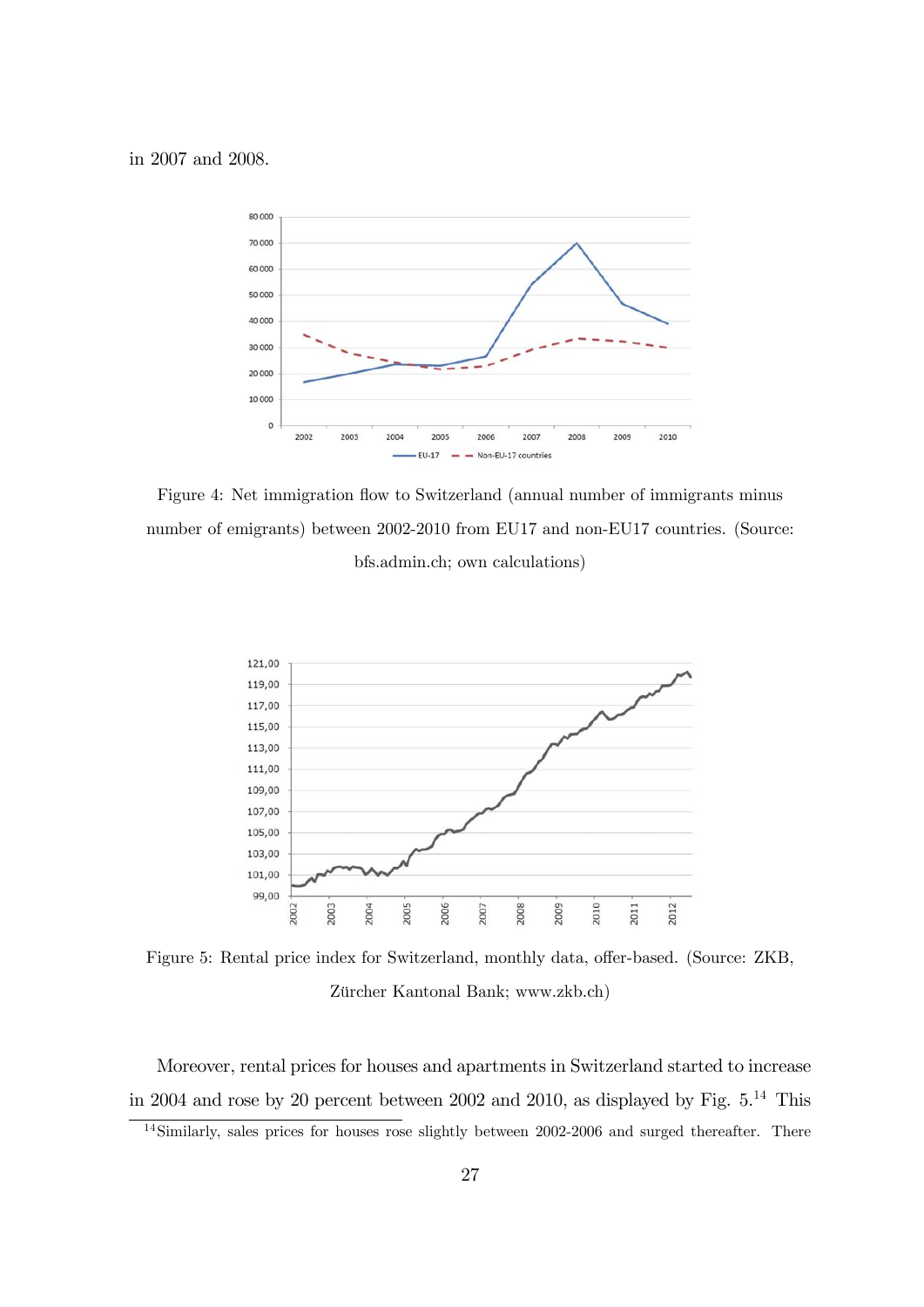

Figure 4: Net immigration flow to Switzerland (annual number of immigrants minus number of emigrants) between 2002-2010 from EU17 and non-EU17 countries. (Source: bfs.admin.ch; own calculations)



Figure 5: Rental price index for Switzerland, monthly data, offer-based. (Source: ZKB, Zürcher Kantonal Bank; www.zkb.ch)

Moreover, rental prices for houses and apartments in Switzerland started to increase in 2004 and rose by 20 percent between 2002 and 2010, as displayed by Fig.  $5^{14}$  This

<sup>&</sup>lt;sup>14</sup>Similarly, sales prices for houses rose slightly between 2002-2006 and surged thereafter. There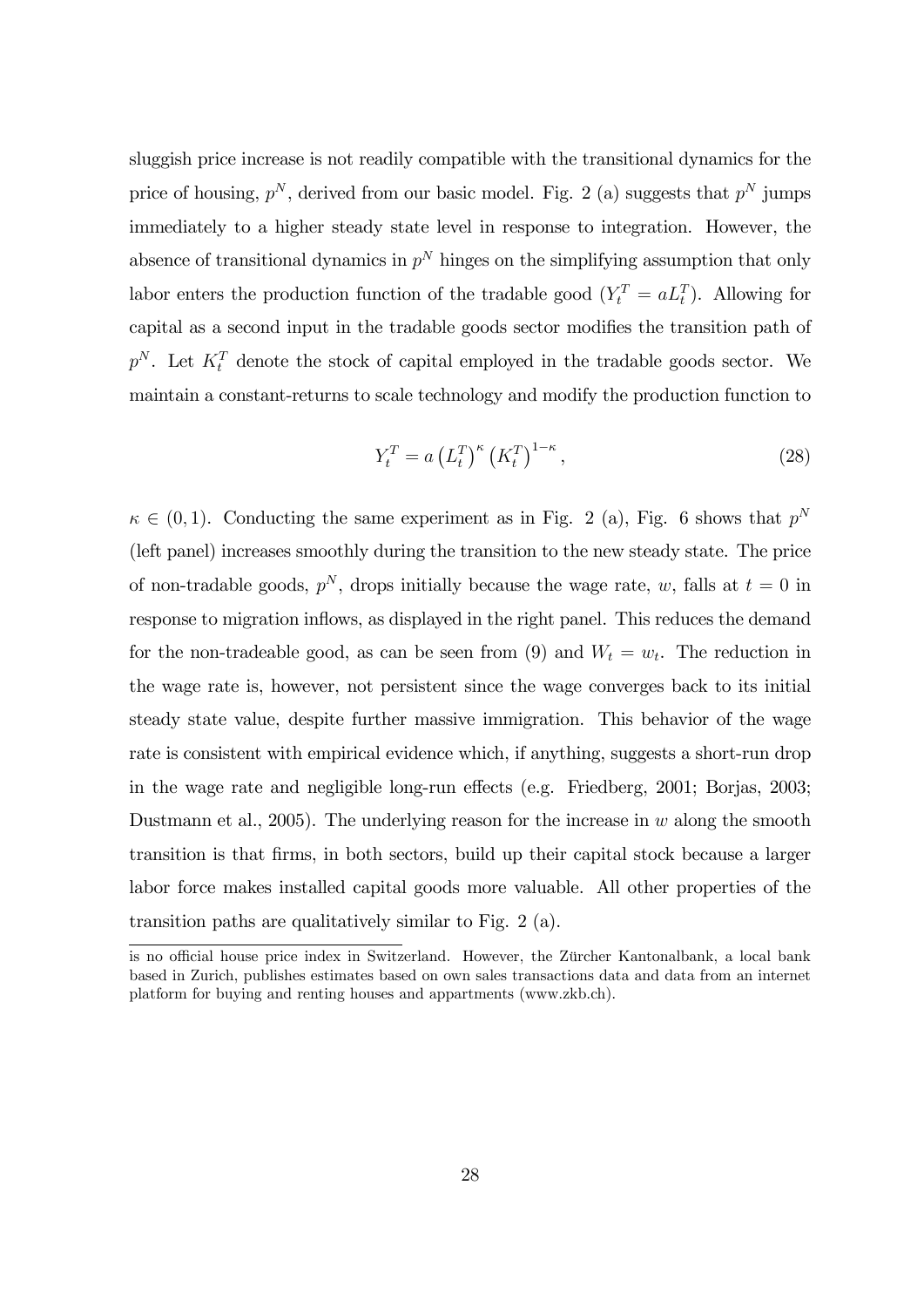sluggish price increase is not readily compatible with the transitional dynamics for the price of housing,  $p^N$ , derived from our basic model. Fig. 2 (a) suggests that  $p^N$  jumps immediately to a higher steady state level in response to integration. However, the absence of transitional dynamics in  $p^N$  hinges on the simplifying assumption that only labor enters the production function of the tradable good  $(Y_t^T = a L_t^T)$ . Allowing for capital as a second input in the tradable goods sector modifies the transition path of  $p^N$ . Let  $K_t^T$  denote the stock of capital employed in the tradable goods sector. We maintain a constant-returns to scale technology and modify the production function to

$$
Y_t^T = a \left( L_t^T \right)^\kappa \left( K_t^T \right)^{1-\kappa},\tag{28}
$$

 $\kappa \in (0,1)$ . Conducting the same experiment as in Fig. 2 (a), Fig. 6 shows that  $p^N$ (left panel) increases smoothly during the transition to the new steady state. The price of non-tradable goods,  $p^N$ , drops initially because the wage rate, w, falls at  $t = 0$  in response to migration inflows, as displayed in the right panel. This reduces the demand for the non-tradeable good, as can be seen from (9) and  $W_t = w_t$ . The reduction in the wage rate is, however, not persistent since the wage converges back to its initial steady state value, despite further massive immigration. This behavior of the wage rate is consistent with empirical evidence which, if anything, suggests a short-run drop in the wage rate and negligible long-run effects (e.g. Friedberg, 2001; Borjas, 2003; Dustmann et al., 2005). The underlying reason for the increase in  $w$  along the smooth transition is that firms, in both sectors, build up their capital stock because a larger labor force makes installed capital goods more valuable. All other properties of the transition paths are qualitatively similar to Fig. 2 (a).

is no official house price index in Switzerland. However, the Zürcher Kantonalbank, a local bank based in Zurich, publishes estimates based on own sales transactions data and data from an internet platform for buying and renting houses and appartments (www.zkb.ch).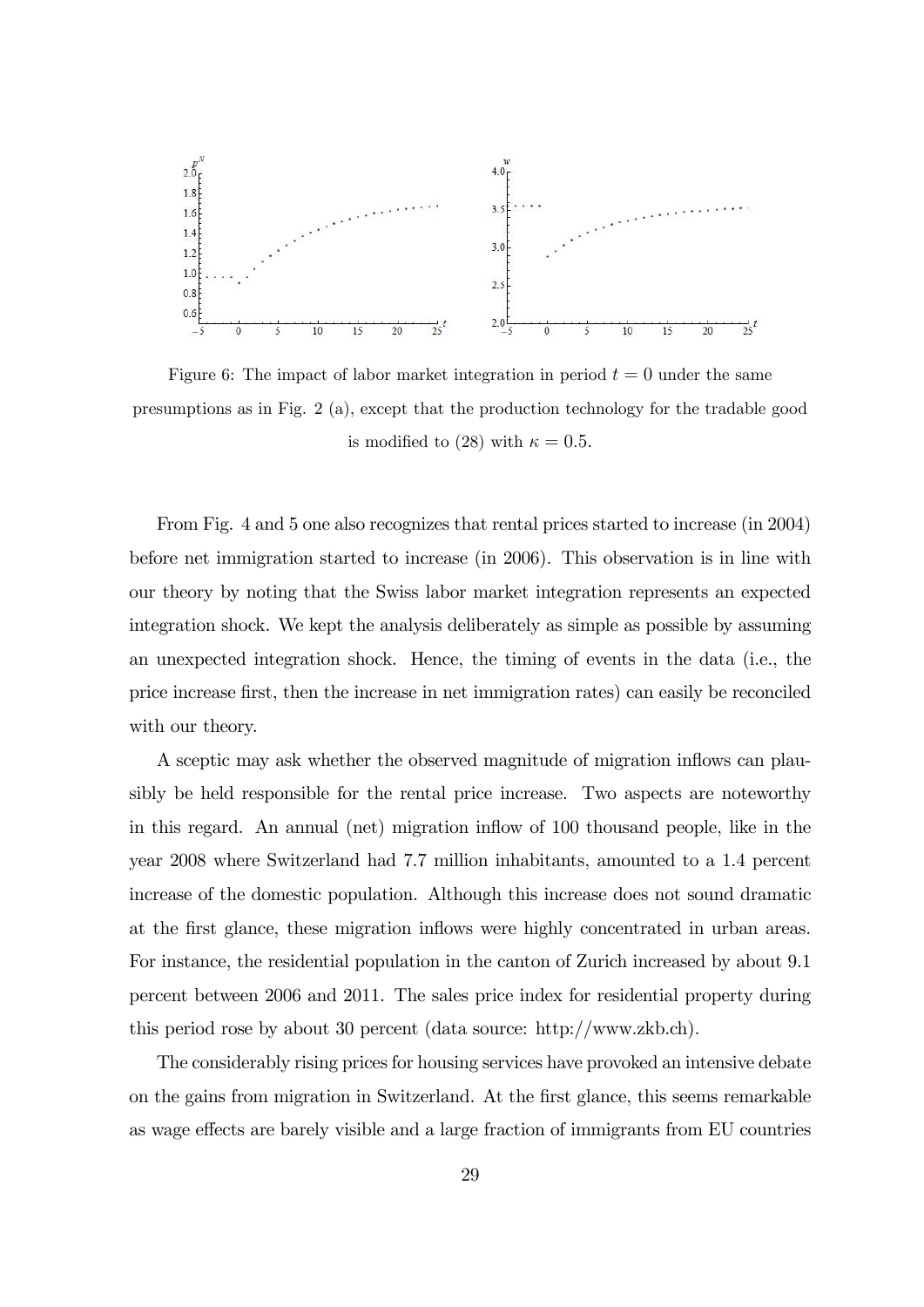

Figure 6: The impact of labor market integration in period  $t = 0$  under the same presumptions as in Fig. 2 (a), except that the production technology for the tradable good is modified to (28) with  $\kappa = 0.5$ .

From Fig. 4 and 5 one also recognizes that rental prices started to increase (in 2004) before net immigration started to increase (in 2006). This observation is in line with our theory by noting that the Swiss labor market integration represents an expected integration shock. We kept the analysis deliberately as simple as possible by assuming an unexpected integration shock. Hence, the timing of events in the data (i.e., the price increase first, then the increase in net immigration rates) can easily be reconciled with our theory.

A sceptic may ask whether the observed magnitude of migration inflows can plausibly be held responsible for the rental price increase. Two aspects are noteworthy in this regard. An annual (net) migration inflow of 100 thousand people, like in the year 2008 where Switzerland had 7.7 million inhabitants, amounted to a 1.4 percent increase of the domestic population. Although this increase does not sound dramatic at the first glance, these migration inflows were highly concentrated in urban areas. For instance, the residential population in the canton of Zurich increased by about 9.1 percent between 2006 and 2011. The sales price index for residential property during this period rose by about 30 percent (data source: http://www.zkb.ch).

The considerably rising prices for housing services have provoked an intensive debate on the gains from migration in Switzerland. At the first glance, this seems remarkable as wage effects are barely visible and a large fraction of immigrants from EU countries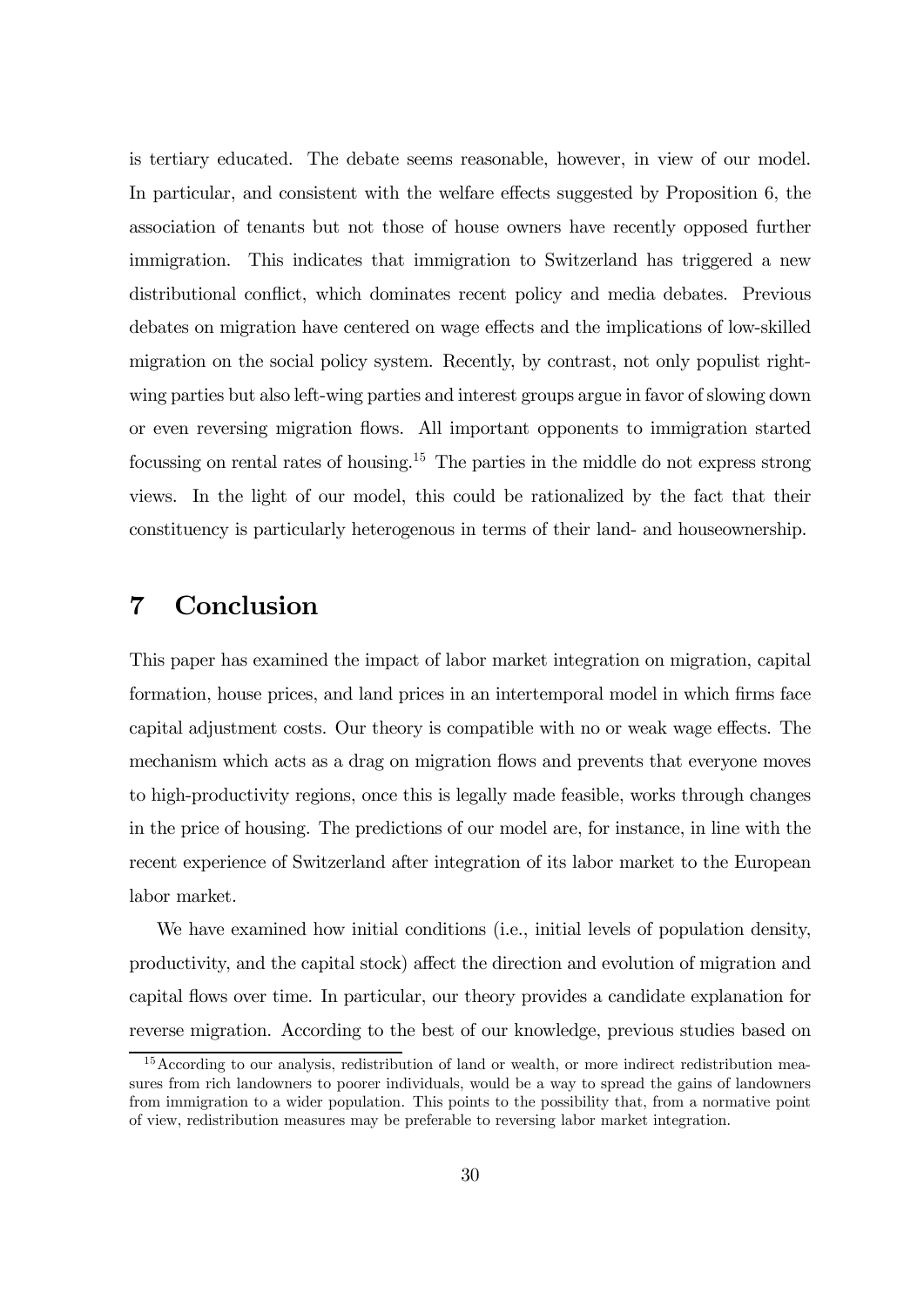is tertiary educated. The debate seems reasonable, however, in view of our model. In particular, and consistent with the welfare effects suggested by Proposition 6, the association of tenants but not those of house owners have recently opposed further immigration. This indicates that immigration to Switzerland has triggered a new distributional conflict, which dominates recent policy and media debates. Previous debates on migration have centered on wage effects and the implications of low-skilled migration on the social policy system. Recently, by contrast, not only populist rightwing parties but also left-wing parties and interest groups argue in favor of slowing down or even reversing migration flows. All important opponents to immigration started focussing on rental rates of housing.<sup>15</sup> The parties in the middle do not express strong views. In the light of our model, this could be rationalized by the fact that their constituency is particularly heterogenous in terms of their land- and houseownership.

# 7 Conclusion

This paper has examined the impact of labor market integration on migration, capital formation, house prices, and land prices in an intertemporal model in which firms face capital adjustment costs. Our theory is compatible with no or weak wage effects. The mechanism which acts as a drag on migration flows and prevents that everyone moves to high-productivity regions, once this is legally made feasible, works through changes in the price of housing. The predictions of our model are, for instance, in line with the recent experience of Switzerland after integration of its labor market to the European labor market.

We have examined how initial conditions (i.e., initial levels of population density, productivity, and the capital stock) affect the direction and evolution of migration and capital flows over time. In particular, our theory provides a candidate explanation for reverse migration. According to the best of our knowledge, previous studies based on

<sup>&</sup>lt;sup>15</sup> According to our analysis, redistribution of land or wealth, or more indirect redistribution measures from rich landowners to poorer individuals, would be a way to spread the gains of landowners from immigration to a wider population. This points to the possibility that, from a normative point of view, redistribution measures may be preferable to reversing labor market integration.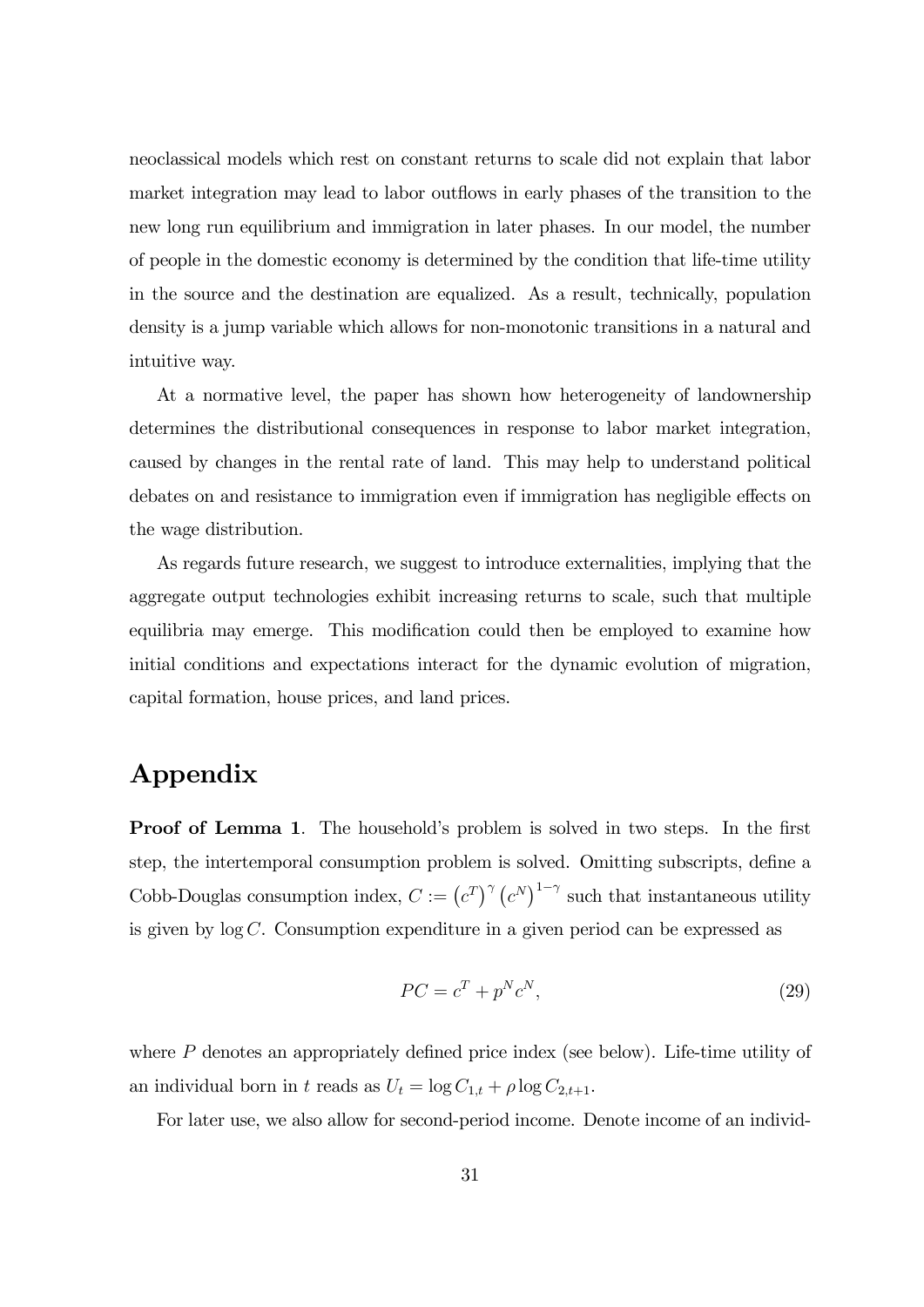neoclassical models which rest on constant returns to scale did not explain that labor market integration may lead to labor outflows in early phases of the transition to the new long run equilibrium and immigration in later phases. In our model, the number of people in the domestic economy is determined by the condition that life-time utility in the source and the destination are equalized. As a result, technically, population density is a jump variable which allows for non-monotonic transitions in a natural and intuitive way.

At a normative level, the paper has shown how heterogeneity of landownership determines the distributional consequences in response to labor market integration, caused by changes in the rental rate of land. This may help to understand political debates on and resistance to immigration even if immigration has negligible effects on the wage distribution.

As regards future research, we suggest to introduce externalities, implying that the aggregate output technologies exhibit increasing returns to scale, such that multiple equilibria may emerge. This modification could then be employed to examine how initial conditions and expectations interact for the dynamic evolution of migration, capital formation, house prices, and land prices.

# Appendix

**Proof of Lemma 1.** The household's problem is solved in two steps. In the first step, the intertemporal consumption problem is solved. Omitting subscripts, define a Cobb-Douglas consumption index,  $C := (c^T)^{\gamma} (c^N)^{1-\gamma}$  such that instantaneous utility is given by  $log C$ . Consumption expenditure in a given period can be expressed as

$$
PC = c^T + p^N c^N,\tag{29}
$$

where  $P$  denotes an appropriately defined price index (see below). Life-time utility of an individual born in t reads as  $U_t = \log C_{1,t} + \rho \log C_{2,t+1}$ .

For later use, we also allow for second-period income. Denote income of an individ-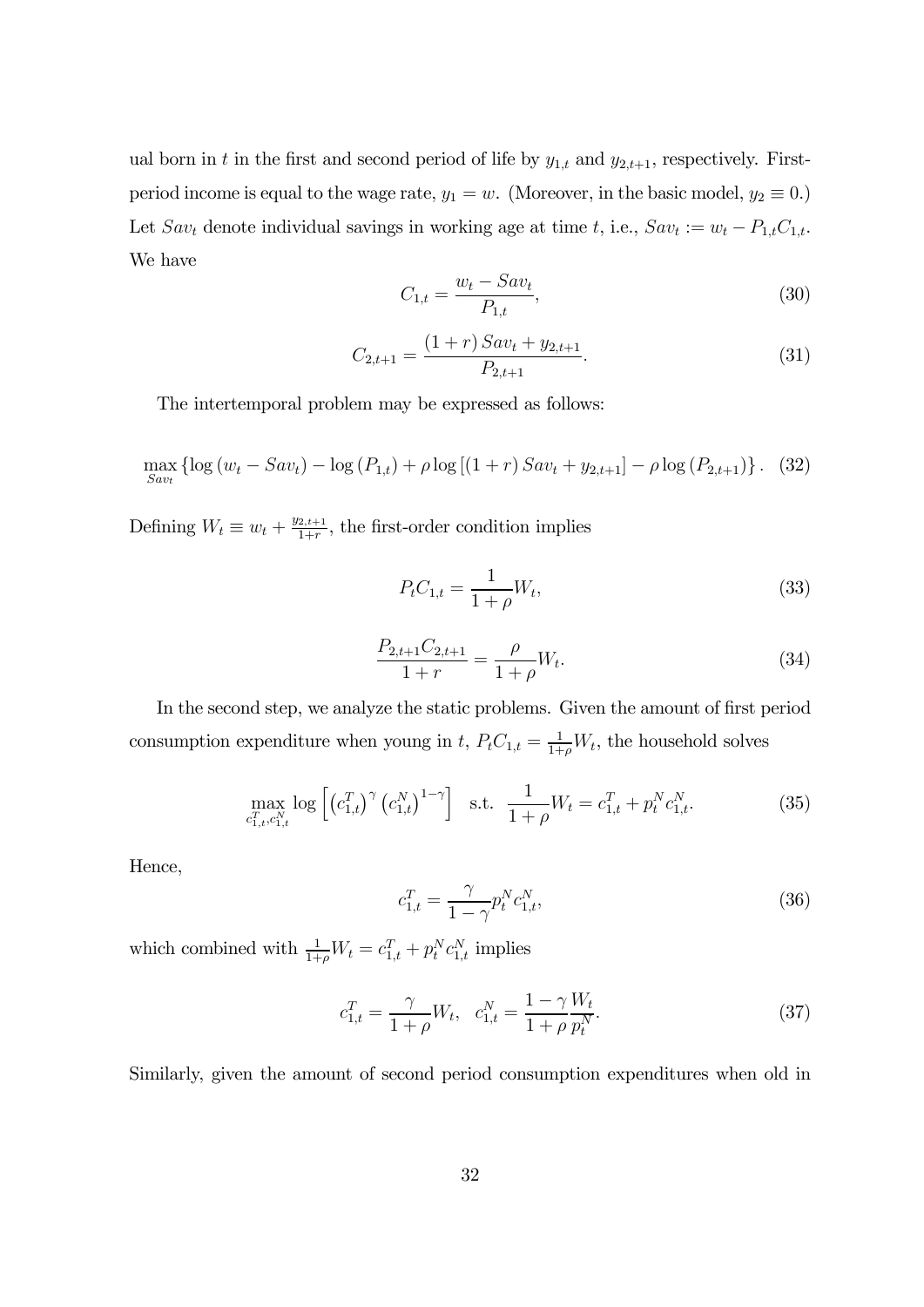ual born in t in the first and second period of life by  $y_{1,t}$  and  $y_{2,t+1}$ , respectively. Firstperiod income is equal to the wage rate,  $y_1 = w$ . (Moreover, in the basic model,  $y_2 \equiv 0$ .) Let  $Sav_t$  denote individual savings in working age at time t, i.e.,  $Sav_t := w_t - P_{1,t}C_{1,t}$ . We have

$$
C_{1,t} = \frac{w_t - Sav_t}{P_{1,t}},
$$
\n(30)

$$
C_{2,t+1} = \frac{(1+r) S a v_t + y_{2,t+1}}{P_{2,t+1}}.
$$
\n(31)

The intertemporal problem may be expressed as follows:

$$
\max_{Sav_t} \left\{ \log \left( w_t - Sav_t \right) - \log \left( P_{1,t} \right) + \rho \log \left[ \left( 1+r \right) Sav_t + y_{2,t+1} \right] - \rho \log \left( P_{2,t+1} \right) \right\}.
$$
 (32)

Defining  $W_t \equiv w_t + \frac{y_{2,t+1}}{1+r}$ , the first-order condition implies

$$
P_t C_{1,t} = \frac{1}{1+\rho} W_t,\tag{33}
$$

$$
\frac{P_{2,t+1}C_{2,t+1}}{1+r} = \frac{\rho}{1+\rho}W_t.
$$
\n(34)

In the second step, we analyze the static problems. Given the amount of first period consumption expenditure when young in t,  $P_t C_{1,t} = \frac{1}{1+\rho} W_t$ , the household solves

$$
\max_{c_{1,t}^T, c_{1,t}^N} \log \left[ \left( c_{1,t}^T \right)^\gamma \left( c_{1,t}^N \right)^{1-\gamma} \right] \quad \text{s.t.} \quad \frac{1}{1+\rho} W_t = c_{1,t}^T + p_t^N c_{1,t}^N. \tag{35}
$$

Hence,

$$
c_{1,t}^T = \frac{\gamma}{1 - \gamma} p_t^N c_{1,t}^N,
$$
\n(36)

which combined with  $\frac{1}{1+\rho}W_t = c_{1,t}^T + p_t^N c_{1,t}^N$  implies

$$
c_{1,t}^T = \frac{\gamma}{1+\rho}W_t, \quad c_{1,t}^N = \frac{1-\gamma}{1+\rho}\frac{W_t}{p_t^N}.\tag{37}
$$

Similarly, given the amount of second period consumption expenditures when old in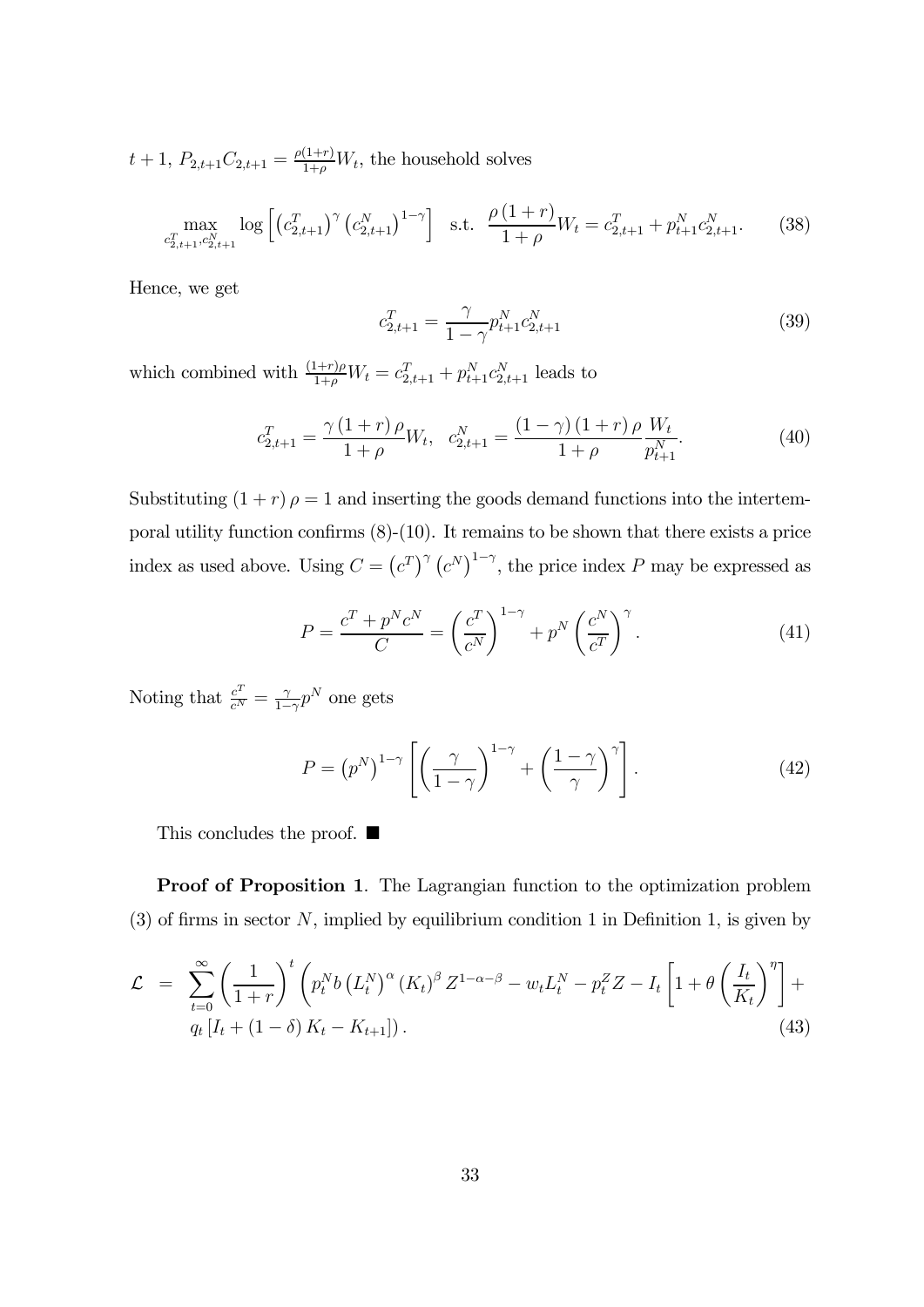$t + 1$ ,  $P_{2,t+1}C_{2,t+1} = \frac{\rho(1+r)}{1+\rho}W_t$ , the household solves

$$
\max_{c_{2,t+1}^T, c_{2,t+1}^N} \log \left[ \left( c_{2,t+1}^T \right)^\gamma \left( c_{2,t+1}^N \right)^{1-\gamma} \right] \text{ s.t. } \frac{\rho \left( 1+r \right)}{1+\rho} W_t = c_{2,t+1}^T + p_{t+1}^N c_{2,t+1}^N. \tag{38}
$$

Hence, we get

$$
c_{2,t+1}^T = \frac{\gamma}{1 - \gamma} p_{t+1}^N c_{2,t+1}^N
$$
\n(39)

which combined with  $\frac{(1+r)\rho}{1+\rho}W_t = c_{2,t+1}^T + p_{t+1}^N c_{2,t+1}^N$  leads to

$$
c_{2,t+1}^T = \frac{\gamma (1+r) \rho}{1+\rho} W_t, \quad c_{2,t+1}^N = \frac{(1-\gamma) (1+r) \rho}{1+\rho} \frac{W_t}{p_{t+1}^N}.
$$
 (40)

Substituting  $(1 + r) \rho = 1$  and inserting the goods demand functions into the intertemporal utility function confirms  $(8)-(10)$ . It remains to be shown that there exists a price index as used above. Using  $C = (c^T)^{\gamma} (c^N)^{1-\gamma}$ , the price index P may be expressed as

$$
P = \frac{c^T + p^N c^N}{C} = \left(\frac{c^T}{c^N}\right)^{1-\gamma} + p^N \left(\frac{c^N}{c^T}\right)^{\gamma}.
$$
 (41)

Noting that  $\frac{c^T}{c^N} = \frac{\gamma}{1-\gamma} p^N$  one gets

$$
P = (p^N)^{1-\gamma} \left[ \left( \frac{\gamma}{1-\gamma} \right)^{1-\gamma} + \left( \frac{1-\gamma}{\gamma} \right)^{\gamma} \right]. \tag{42}
$$

This concludes the proof.  $\blacksquare$ 

Proof of Proposition 1. The Lagrangian function to the optimization problem  $(3)$  of firms in sector N, implied by equilibrium condition 1 in Definition 1, is given by

$$
\mathcal{L} = \sum_{t=0}^{\infty} \left( \frac{1}{1+r} \right)^t \left( p_t^N b \left( L_t^N \right)^{\alpha} \left( K_t \right)^{\beta} Z^{1-\alpha-\beta} - w_t L_t^N - p_t^Z Z - I_t \left[ 1 + \theta \left( \frac{I_t}{K_t} \right)^{\eta} \right] + q_t \left[ I_t + (1-\delta) K_t - K_{t+1} \right] \right).
$$
\n(43)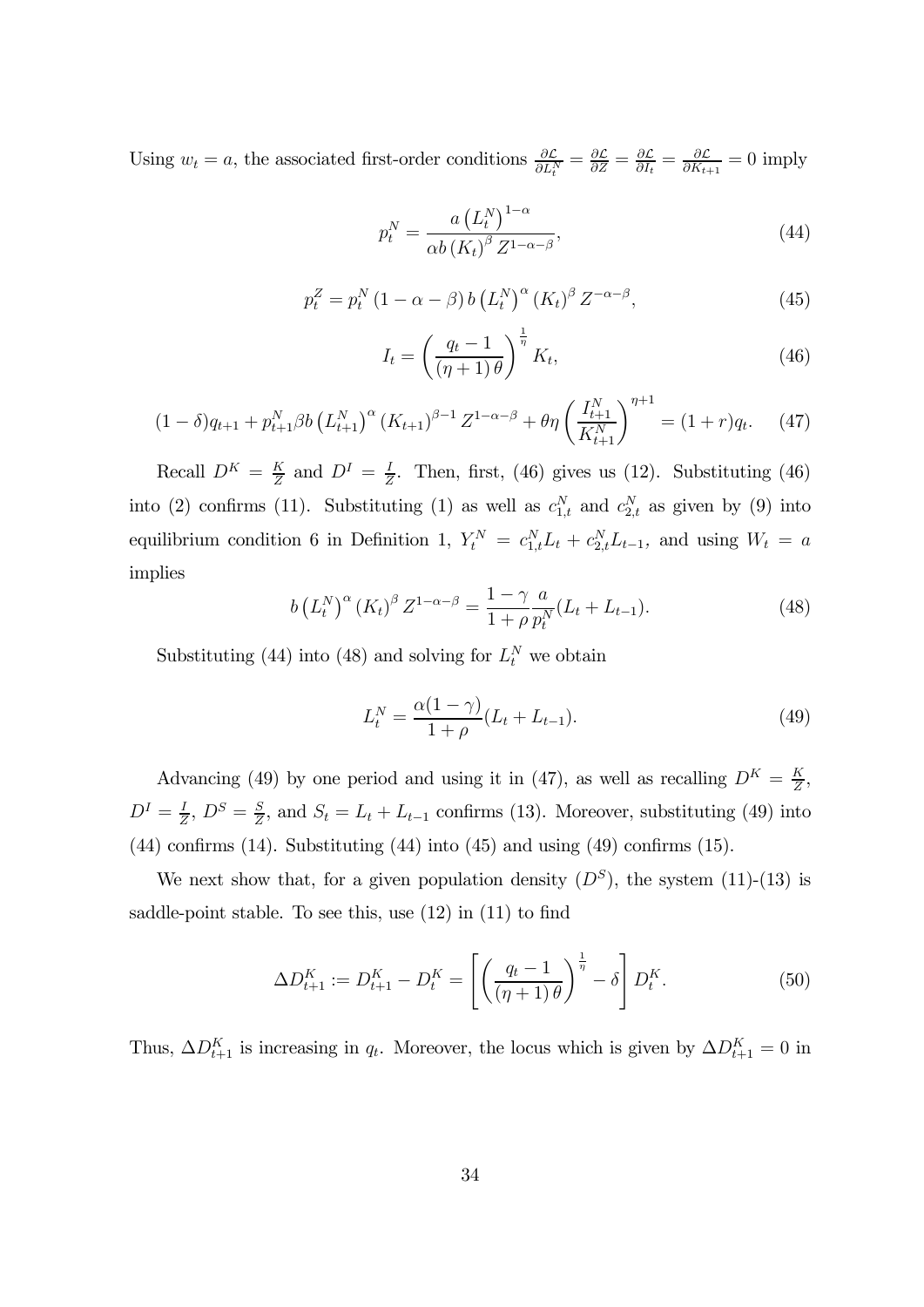Using  $w_t = a$ , the associated first-order conditions  $\frac{\partial \mathcal{L}}{\partial L_t^N} = \frac{\partial \mathcal{L}}{\partial Z} = \frac{\partial \mathcal{L}}{\partial I_t} = \frac{\partial \mathcal{L}}{\partial K_{t+1}} = 0$  imply

$$
p_t^N = \frac{a\left(L_t^N\right)^{1-\alpha}}{\alpha b\left(K_t\right)^{\beta}Z^{1-\alpha-\beta}},\tag{44}
$$

$$
p_t^Z = p_t^N \left(1 - \alpha - \beta\right) b \left(L_t^N\right)^\alpha \left(K_t\right)^\beta Z^{-\alpha - \beta},\tag{45}
$$

$$
I_t = \left(\frac{q_t - 1}{(\eta + 1)\theta}\right)^{\frac{1}{\eta}} K_t,
$$
\n(46)

$$
(1 - \delta)q_{t+1} + p_{t+1}^N \beta b \left(L_{t+1}^N\right)^\alpha \left(K_{t+1}\right)^{\beta - 1} Z^{1 - \alpha - \beta} + \theta \eta \left(\frac{I_{t+1}^N}{K_{t+1}^N}\right)^{\eta + 1} = (1 + r)q_t. \tag{47}
$$

Recall  $D^{K} = \frac{K}{Z}$  and  $D^{I} = \frac{I}{Z}$ . Then, first, (46) gives us (12). Substituting (46) into (2) confirms (11). Substituting (1) as well as  $c_{1,t}^N$  and  $c_{2,t}^N$  as given by (9) into equilibrium condition 6 in Definition 1,  $Y_t^N = c_{1,t}^N L_t + c_{2,t}^N L_{t-1}$ , and using  $W_t = a$ implies

$$
b (L_t^N)^{\alpha} (K_t)^{\beta} Z^{1-\alpha-\beta} = \frac{1-\gamma}{1+\rho} \frac{a}{p_t^N} (L_t + L_{t-1}).
$$
 (48)

Substituting (44) into (48) and solving for  $L_t^N$  we obtain

$$
L_t^N = \frac{\alpha(1-\gamma)}{1+\rho}(L_t + L_{t-1}).
$$
\n(49)

Advancing (49) by one period and using it in (47), as well as recalling  $D^{K} = \frac{K}{Z}$ ,  $D^{I} = \frac{I}{Z}, D^{S} = \frac{S}{Z}$ , and  $S_{t} = L_{t} + L_{t-1}$  confirms (13). Moreover, substituting (49) into  $(44)$  confirms  $(14)$ . Substituting  $(44)$  into  $(45)$  and using  $(49)$  confirms  $(15)$ .

We next show that, for a given population density  $(D^S)$ , the system  $(11)-(13)$  is saddle-point stable. To see this, use (12) in (11) to find

$$
\Delta D_{t+1}^K := D_{t+1}^K - D_t^K = \left[ \left( \frac{q_t - 1}{(\eta + 1)\theta} \right)^{\frac{1}{\eta}} - \delta \right] D_t^K.
$$
 (50)

Thus,  $\Delta D_{t+1}^K$  is increasing in  $q_t$ . Moreover, the locus which is given by  $\Delta D_{t+1}^K = 0$  in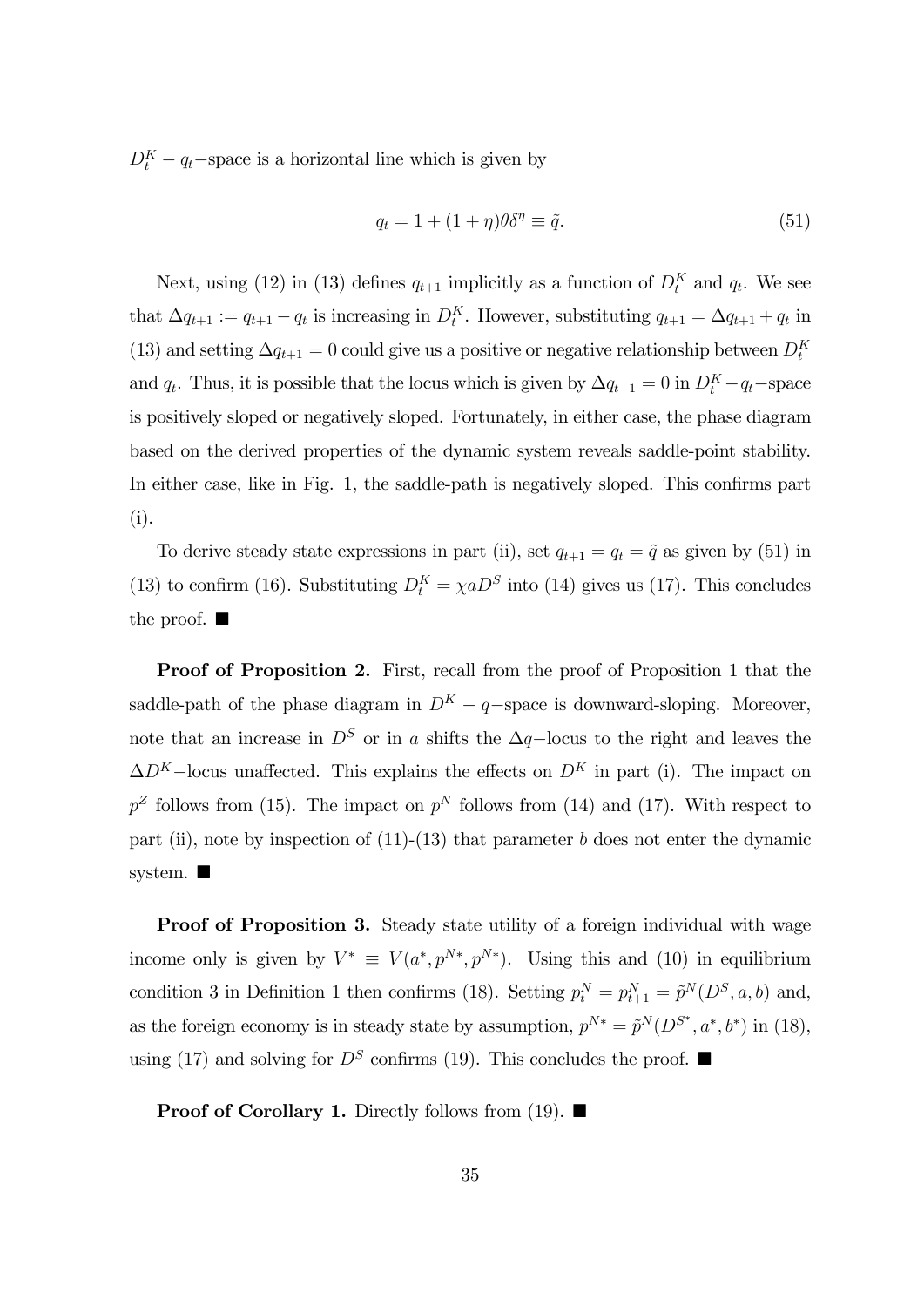$D_t^K - q_t$ –space is a horizontal line which is given by

$$
q_t = 1 + (1 + \eta)\theta \delta^{\eta} \equiv \tilde{q}.
$$
\n(51)

Next, using (12) in (13) defines  $q_{t+1}$  implicitly as a function of  $D_t^K$  and  $q_t$ . We see that  $\Delta q_{t+1} := q_{t+1} - q_t$  is increasing in  $D_t^K$ . However, substituting  $q_{t+1} = \Delta q_{t+1} + q_t$  in (13) and setting  $\Delta q_{t+1} = 0$  could give us a positive or negative relationship between  $D_t^K$ and  $q_t$ . Thus, it is possible that the locus which is given by  $\Delta q_{t+1} = 0$  in  $D_t^K - q_t$ -space is positively sloped or negatively sloped. Fortunately, in either case, the phase diagram based on the derived properties of the dynamic system reveals saddle-point stability. In either case, like in Fig. 1, the saddle-path is negatively sloped. This confirms part (i).

To derive steady state expressions in part (ii), set  $q_{t+1} = q_t = \tilde{q}$  as given by (51) in (13) to confirm (16). Substituting  $D_t^K = \chi a D^S$  into (14) gives us (17). This concludes the proof.  $\blacksquare$ 

Proof of Proposition 2. First, recall from the proof of Proposition 1 that the saddle-path of the phase diagram in  $D^{K} - q$ -space is downward-sloping. Moreover, note that an increase in  $D^S$  or in a shifts the  $\Delta q$ −locus to the right and leaves the  $\Delta D^{K}$ –locus unaffected. This explains the effects on  $D^{K}$  in part (i). The impact on  $p^Z$  follows from (15). The impact on  $p^N$  follows from (14) and (17). With respect to part (ii), note by inspection of  $(11)-(13)$  that parameter  $b$  does not enter the dynamic system.  $\blacksquare$ 

Proof of Proposition 3. Steady state utility of a foreign individual with wage income only is given by  $V^* \equiv V(a^*, p^{N*}, p^{N*})$ . Using this and (10) in equilibrium condition 3 in Definition 1 then confirms (18). Setting  $p_t^N = p_{t+1}^N = \tilde{p}^N(D^S, a, b)$  and, as the foreign economy is in steady state by assumption,  $p^{N*} = \tilde{p}^N(D^{S^*}, a^*, b^*)$  in (18), using (17) and solving for  $D^S$  confirms (19). This concludes the proof.  $\blacksquare$ 

**Proof of Corollary 1.** Directly follows from (19).  $\blacksquare$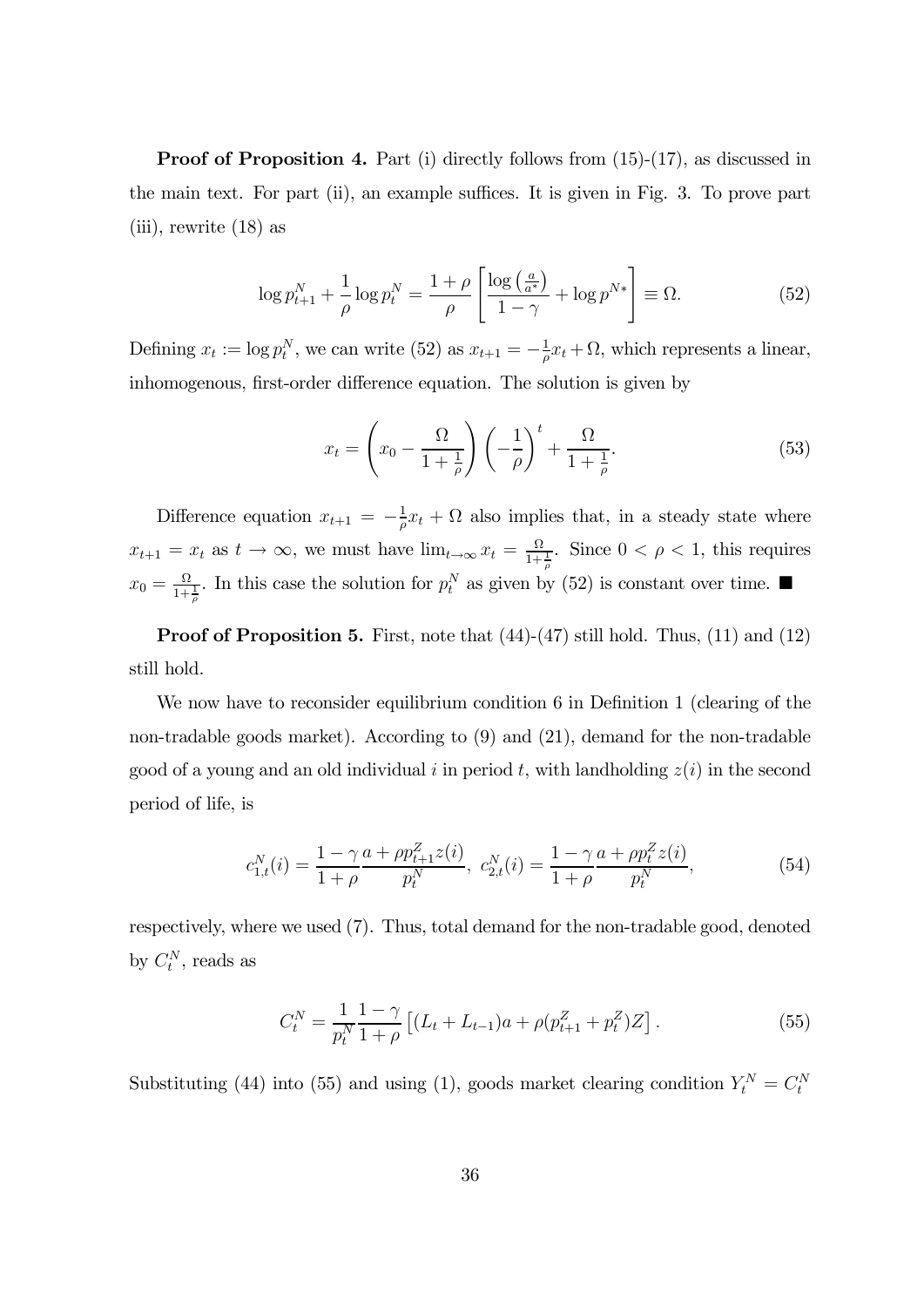**Proof of Proposition 4.** Part (i) directly follows from  $(15)-(17)$ , as discussed in the main text. For part (ii), an example suffices. It is given in Fig. 3. To prove part (iii), rewrite (18) as

$$
\log p_{t+1}^N + \frac{1}{\rho} \log p_t^N = \frac{1+\rho}{\rho} \left[ \frac{\log \left( \frac{a}{a^*} \right)}{1-\gamma} + \log p^{N*} \right] \equiv \Omega. \tag{52}
$$

Defining  $x_t := \log p_t^N$ , we can write (52) as  $x_{t+1} = -\frac{1}{\rho}x_t + \Omega$ , which represents a linear, inhomogenous, first-order difference equation. The solution is given by

$$
x_t = \left(x_0 - \frac{\Omega}{1 + \frac{1}{\rho}}\right) \left(-\frac{1}{\rho}\right)^t + \frac{\Omega}{1 + \frac{1}{\rho}}.\tag{53}
$$

Difference equation  $x_{t+1} = -\frac{1}{\rho}x_t + \Omega$  also implies that, in a steady state where  $x_{t+1} = x_t$  as  $t \to \infty$ , we must have  $\lim_{t \to \infty} x_t = \frac{\Omega}{1 + \frac{1}{\rho}}$ . Since  $0 < \rho < 1$ , this requires  $x_0 = \frac{\Omega}{1 + \frac{1}{\rho}}$ . In this case the solution for  $p_t^N$  as given by (52) is constant over time.

Proof of Proposition 5. First, note that  $(44)-(47)$  still hold. Thus,  $(11)$  and  $(12)$ still hold.

We now have to reconsider equilibrium condition 6 in Definition 1 (clearing of the non-tradable goods market). According to (9) and (21), demand for the non-tradable good of a young and an old individual  $i$  in period  $t$ , with landholding  $z(i)$  in the second period of life, is

$$
c_{1,t}^N(i) = \frac{1 - \gamma a + \rho p_{t+1}^Z z(i)}{1 + \rho} , \ c_{2,t}^N(i) = \frac{1 - \gamma a + \rho p_t^Z z(i)}{1 + \rho} , \tag{54}
$$

respectively, where we used (7). Thus, total demand for the non-tradable good, denoted by  $C_t^N$ , reads as

$$
C_t^N = \frac{1}{p_t^N} \frac{1 - \gamma}{1 + \rho} \left[ (L_t + L_{t-1})a + \rho (p_{t+1}^Z + p_t^Z) Z \right].
$$
 (55)

Substituting (44) into (55) and using (1), goods market clearing condition  $Y_t^N = C_t^N$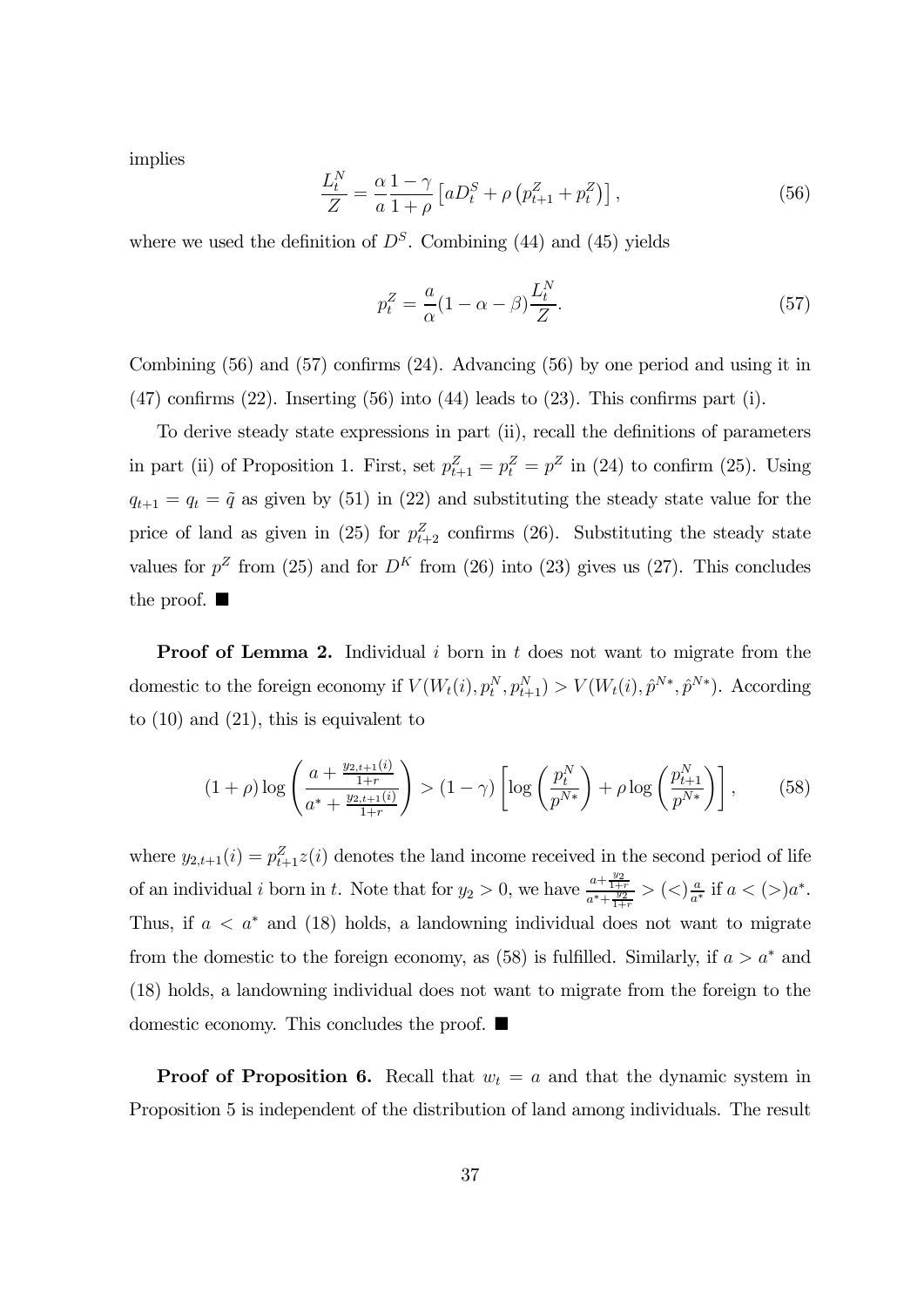implies

$$
\frac{L_t^N}{Z} = \frac{\alpha}{a} \frac{1-\gamma}{1+\rho} \left[ aD_t^S + \rho \left( p_{t+1}^Z + p_t^Z \right) \right],\tag{56}
$$

where we used the definition of  $D<sup>S</sup>$ . Combining (44) and (45) yields

$$
p_t^Z = \frac{a}{\alpha} (1 - \alpha - \beta) \frac{L_t^N}{Z}.
$$
\n(57)

Combining (56) and (57) confirms (24). Advancing (56) by one period and using it in  $(47)$  confirms  $(22)$ . Inserting  $(56)$  into  $(44)$  leads to  $(23)$ . This confirms part  $(i)$ .

To derive steady state expressions in part (ii), recall the definitions of parameters in part (ii) of Proposition 1. First, set  $p_{t+1}^Z = p_Z^Z = p^Z$  in (24) to confirm (25). Using  $q_{t+1} = q_t = \tilde{q}$  as given by (51) in (22) and substituting the steady state value for the price of land as given in (25) for  $p_{t+2}^Z$  confirms (26). Substituting the steady state values for  $p^Z$  from (25) and for  $D^K$  from (26) into (23) gives us (27). This concludes the proof.  $\blacksquare$ 

**Proof of Lemma 2.** Individual  $i$  born in  $t$  does not want to migrate from the domestic to the foreign economy if  $V(W_t(i), p_t^N, p_{t+1}^N) > V(W_t(i), \hat{p}^{N*}, \hat{p}^{N*})$ . According to (10) and (21), this is equivalent to

$$
(1+\rho)\log\left(\frac{a+\frac{y_{2,t+1}(i)}{1+r}}{a^*+\frac{y_{2,t+1}(i)}{1+r}}\right) > (1-\gamma)\left[\log\left(\frac{p_t^N}{p^{N*}}\right)+\rho\log\left(\frac{p_{t+1}^N}{p^{N*}}\right)\right],\qquad(58)
$$

where  $y_{2,t+1}(i) = p_{t+1}^Z(z)$  denotes the land income received in the second period of life of an individual *i* born in *t*. Note that for  $y_2 > 0$ , we have  $\frac{a + \frac{y_2}{1+r}}{a^* + \frac{y_2}{1+r}} > (\langle \rangle)^{\frac{a}{a^*}}$  if  $a < (\rangle)^{a^*}$ . Thus, if  $a < a^*$  and (18) holds, a landowning individual does not want to migrate from the domestic to the foreign economy, as (58) is fulfilled. Similarly, if  $a > a^*$  and (18) holds, a landowning individual does not want to migrate from the foreign to the domestic economy. This concludes the proof.  $\blacksquare$ 

**Proof of Proposition 6.** Recall that  $w_t = a$  and that the dynamic system in Proposition 5 is independent of the distribution of land among individuals. The result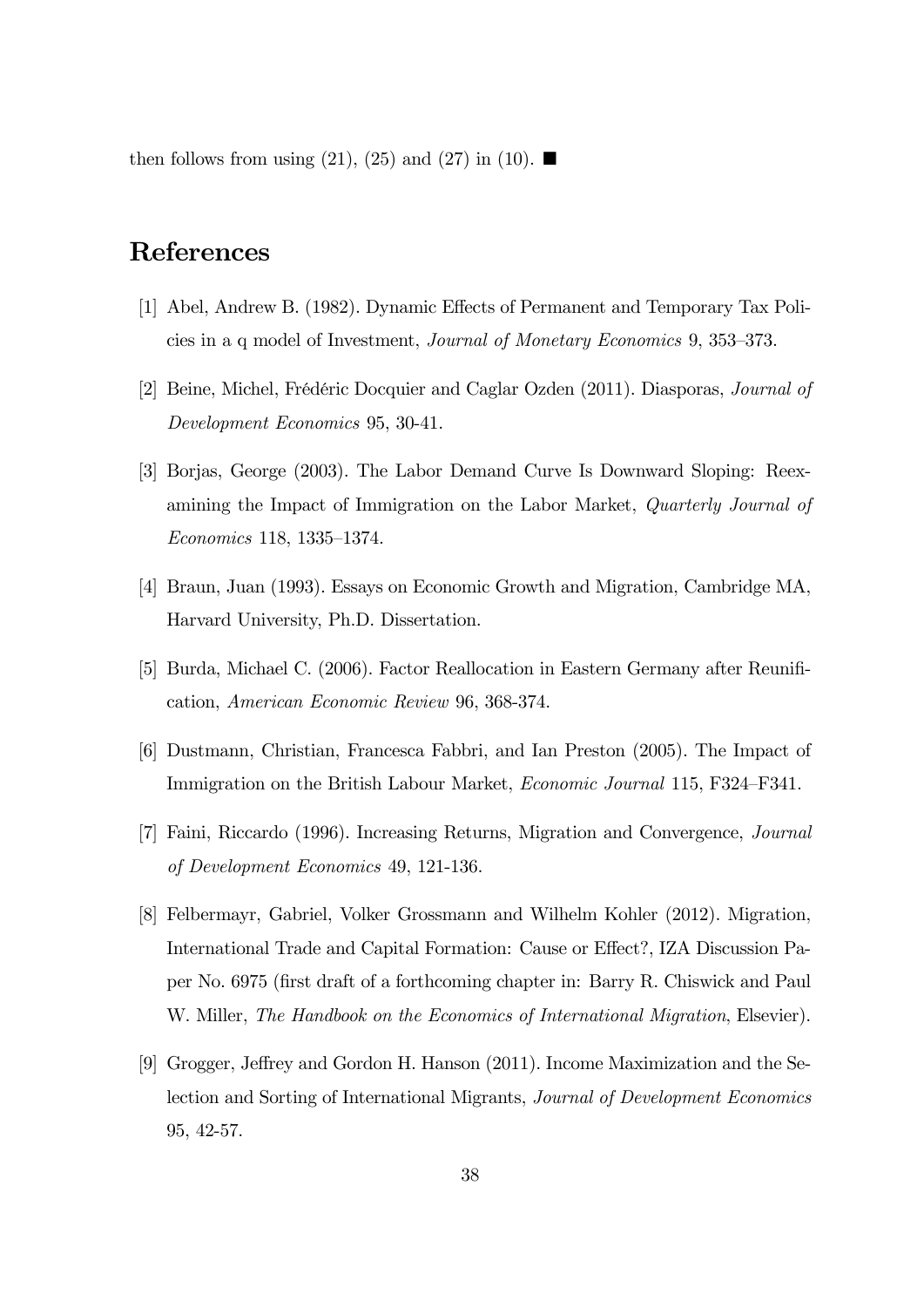then follows from using (21), (25) and (27) in (10).  $\blacksquare$ 

# References

- [1] Abel, Andrew B. (1982). Dynamic Effects of Permanent and Temporary Tax Policies in a q model of Investment, Journal of Monetary Economics 9, 353—373.
- [2] Beine, Michel, Frédéric Docquier and Caglar Ozden (2011). Diasporas, Journal of Development Economics 95, 30-41.
- [3] Borjas, George (2003). The Labor Demand Curve Is Downward Sloping: Reexamining the Impact of Immigration on the Labor Market, Quarterly Journal of Economics 118, 1335—1374.
- [4] Braun, Juan (1993). Essays on Economic Growth and Migration, Cambridge MA, Harvard University, Ph.D. Dissertation.
- [5] Burda, Michael C. (2006). Factor Reallocation in Eastern Germany after Reunification, American Economic Review 96, 368-374.
- [6] Dustmann, Christian, Francesca Fabbri, and Ian Preston (2005). The Impact of Immigration on the British Labour Market, Economic Journal 115, F324—F341.
- [7] Faini, Riccardo (1996). Increasing Returns, Migration and Convergence, Journal of Development Economics 49, 121-136.
- [8] Felbermayr, Gabriel, Volker Grossmann and Wilhelm Kohler (2012). Migration, International Trade and Capital Formation: Cause or Effect?, IZA Discussion Paper No. 6975 (first draft of a forthcoming chapter in: Barry R. Chiswick and Paul W. Miller, The Handbook on the Economics of International Migration, Elsevier).
- [9] Grogger, Jeffrey and Gordon H. Hanson (2011). Income Maximization and the Selection and Sorting of International Migrants, Journal of Development Economics 95, 42-57.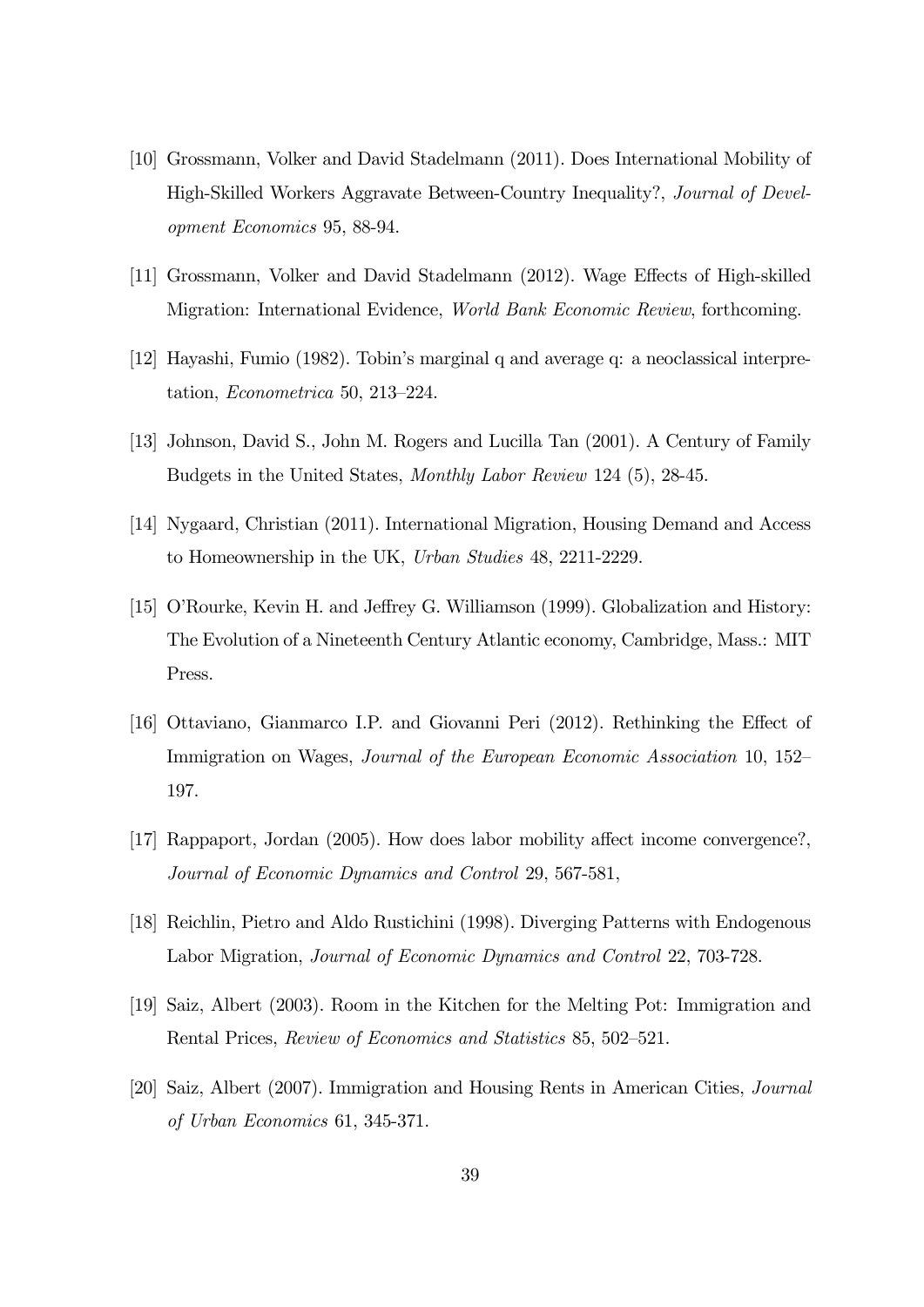- [10] Grossmann, Volker and David Stadelmann (2011). Does International Mobility of High-Skilled Workers Aggravate Between-Country Inequality?, Journal of Development Economics 95, 88-94.
- [11] Grossmann, Volker and David Stadelmann (2012). Wage Effects of High-skilled Migration: International Evidence, World Bank Economic Review, forthcoming.
- [12] Hayashi, Fumio (1982). Tobin's marginal q and average q: a neoclassical interpretation, Econometrica 50, 213—224.
- [13] Johnson, David S., John M. Rogers and Lucilla Tan (2001). A Century of Family Budgets in the United States, Monthly Labor Review 124 (5), 28-45.
- [14] Nygaard, Christian (2011). International Migration, Housing Demand and Access to Homeownership in the UK, Urban Studies 48, 2211-2229.
- [15] O'Rourke, Kevin H. and Jeffrey G. Williamson (1999). Globalization and History: The Evolution of a Nineteenth Century Atlantic economy, Cambridge, Mass.: MIT Press.
- [16] Ottaviano, Gianmarco I.P. and Giovanni Peri (2012). Rethinking the Effect of Immigration on Wages, *Journal of the European Economic Association* 10, 152– 197.
- [17] Rappaport, Jordan (2005). How does labor mobility affect income convergence?, Journal of Economic Dynamics and Control 29, 567-581,
- [18] Reichlin, Pietro and Aldo Rustichini (1998). Diverging Patterns with Endogenous Labor Migration, Journal of Economic Dynamics and Control 22, 703-728.
- [19] Saiz, Albert (2003). Room in the Kitchen for the Melting Pot: Immigration and Rental Prices, Review of Economics and Statistics 85, 502—521.
- [20] Saiz, Albert (2007). Immigration and Housing Rents in American Cities, Journal of Urban Economics 61, 345-371.